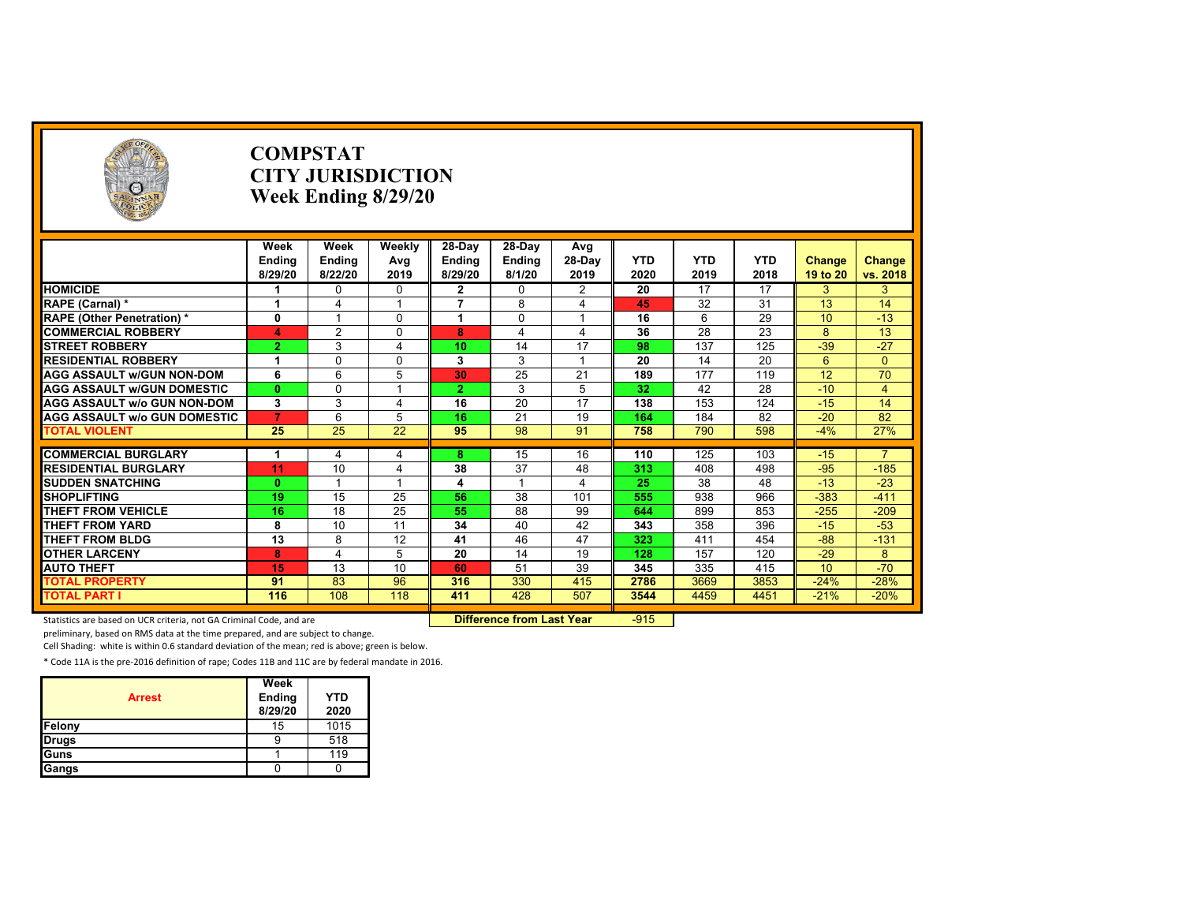|                                     |                 | <b>COMPSTAT</b><br><b>CITY JURISDICTION</b><br>Week Ending 8/29/20 |                         |                      |          |                |            |                 |                 |                 |                         |
|-------------------------------------|-----------------|--------------------------------------------------------------------|-------------------------|----------------------|----------|----------------|------------|-----------------|-----------------|-----------------|-------------------------|
|                                     | Week            | Week                                                               | Weekly                  | $28-Day$             | 28-Day   | Avg            |            |                 |                 |                 |                         |
|                                     | <b>Endina</b>   | Endina                                                             | Avg                     | Endina               | Endina   | 28-Dav         | <b>YTD</b> | <b>YTD</b>      | <b>YTD</b>      | <b>Change</b>   | <b>Change</b>           |
|                                     | 8/29/20         | 8/22/20                                                            | 2019                    | 8/29/20              | 8/1/20   | 2019           | 2020       | 2019            | 2018            | 19 to 20        | vs. 2018                |
| <b>HOMICIDE</b>                     |                 | 0                                                                  | $\Omega$                | $\overline{2}$       | $\Omega$ | $\overline{2}$ | 20         | $\overline{17}$ | $\overline{17}$ | 3               | 3                       |
| RAPE (Carnal) *                     | 1               | 4                                                                  | 1                       | $\overline{7}$       | 8        | 4              | 45         | 32              | 31              | 13              | 14                      |
| <b>RAPE (Other Penetration) *</b>   | $\mathbf{0}$    |                                                                    | $\Omega$                | $\blacktriangleleft$ | $\Omega$ | $\overline{ }$ | 16         | 6               | $\overline{29}$ | 10              | $-13$                   |
| <b>COMMERCIAL ROBBERY</b>           | 4               | 2                                                                  | $\Omega$                | 8                    | 4        | 4              | 36         | 28              | 23              | 8               | 13                      |
| <b>STREET ROBBERY</b>               | $\overline{2}$  | 3                                                                  | 4                       | 10                   | 14       | 17             | 98         | 137             | 125             | $-39$           | $-27$                   |
| <b>RESIDENTIAL ROBBERY</b>          | -1              | 0                                                                  | $\Omega$                | 3                    | 3        | $\overline{1}$ | 20         | 14              | 20              | 6               | $\Omega$                |
| <b>AGG ASSAULT w/GUN NON-DOM</b>    | 6               | 6                                                                  | 5                       | 30                   | 25       | 21             | 189        | 177             | 119             | $\overline{12}$ | 70                      |
| <b>AGG ASSAULT W/GUN DOMESTIC</b>   | $\mathbf{0}$    | 0                                                                  | $\overline{\mathbf{A}}$ | $\overline{2}$       | 3        | 5              | 32         | 42              | 28              | $-10$           | $\overline{\mathbf{A}}$ |
| <b>AGG ASSAULT w/o GUN NON-DOM</b>  | 3               | 3                                                                  | 4                       | 16                   | 20       | 17             | 138        | 153             | 124             | $-15$           | 14                      |
| <b>AGG ASSAULT W/o GUN DOMESTIC</b> | $\overline{7}$  | 6                                                                  | 5                       | 16                   | 21       | 19             | 164        | 184             | 82              | $-20$           | 82                      |
| <b>TOTAL VIOLENT</b>                | 25              | 25                                                                 | 22                      | 95                   | 98       | 91             | 758        | 790             | 598             | $-4%$           | 27%                     |
| <b>COMMERCIAL BURGLARY</b>          | -1              |                                                                    | 4                       | 8                    | 15       | 16             | 110        | 125             | 103             | $-15$           |                         |
| <b>RESIDENTIAL BURGLARY</b>         | 11              | 10                                                                 | 4                       | 38                   | 37       | 48             | 313        | 408             | 498             | $-95$           | $-185$                  |
| <b>SUDDEN SNATCHING</b>             | $\mathbf{0}$    |                                                                    | 1                       | 4                    |          | 4              | 25         | $\overline{38}$ | 48              | $-13$           | $-23$                   |
| <b>SHOPLIFTING</b>                  | 19              | 15                                                                 | 25                      | 56                   | 38       | 101            | 555        | 938             | 966             | $-383$          | $-411$                  |
| <b>THEFT FROM VEHICLE</b>           | 16              | 18                                                                 | 25                      | 55                   | 88       | 99             | 644        | 899             | 853             | $-255$          | $-209$                  |
| <b>THEFT FROM YARD</b>              | 8               | 10                                                                 | 11                      | 34                   | 40       | 42             | 343        | 358             | 396             | $-15$           | $-53$                   |
| <b>THEFT FROM BLDG</b>              | $\overline{13}$ | 8                                                                  | 12                      | 41                   | 46       | 47             | 323        | 411             | 454             | $-88-$          | $-131$                  |
| <b>OTHER LARCENY</b>                | 8               | 4                                                                  | 5                       | 20                   | 14       | 19             | 128        | 157             | 120             | $-29$           | 8                       |
| <b>AUTO THEFT</b>                   | 15              | 13                                                                 | 10                      | 60                   | 51       | 39             | 345        | 335             | 415             | 10              | $-70$                   |
| <b>TOTAL PROPERTY</b>               | 91              | 83                                                                 | 96                      | 316                  | 330      | 415            | 2786       | 3669            | 3853            | $-24%$          | $-28%$                  |
| <b>TOTAL PART I</b>                 | 116             | 108                                                                | 118                     | 411                  | 428      | 507            | 3544       | 4459            | 4451            | $-21%$          | $-20%$                  |
|                                     |                 |                                                                    |                         |                      |          |                |            |                 |                 |                 |                         |

Statistics are based on UCR criteria, not GA Criminal Code, and are **Difference from Last Year** -915

preliminary, based on RMS data at the time prepared, and are subject to change.

Cell Shading: white is within 0.6 standard deviation of the mean; red is above; green is below.

| <b>Arrest</b> | Week<br>Ending<br>8/29/20 | <b>YTD</b><br>2020 |
|---------------|---------------------------|--------------------|
| Felony        | 15                        | 1015               |
| Drugs         | 9                         | 518                |
| Guns          |                           | 119                |
| Gangs         |                           |                    |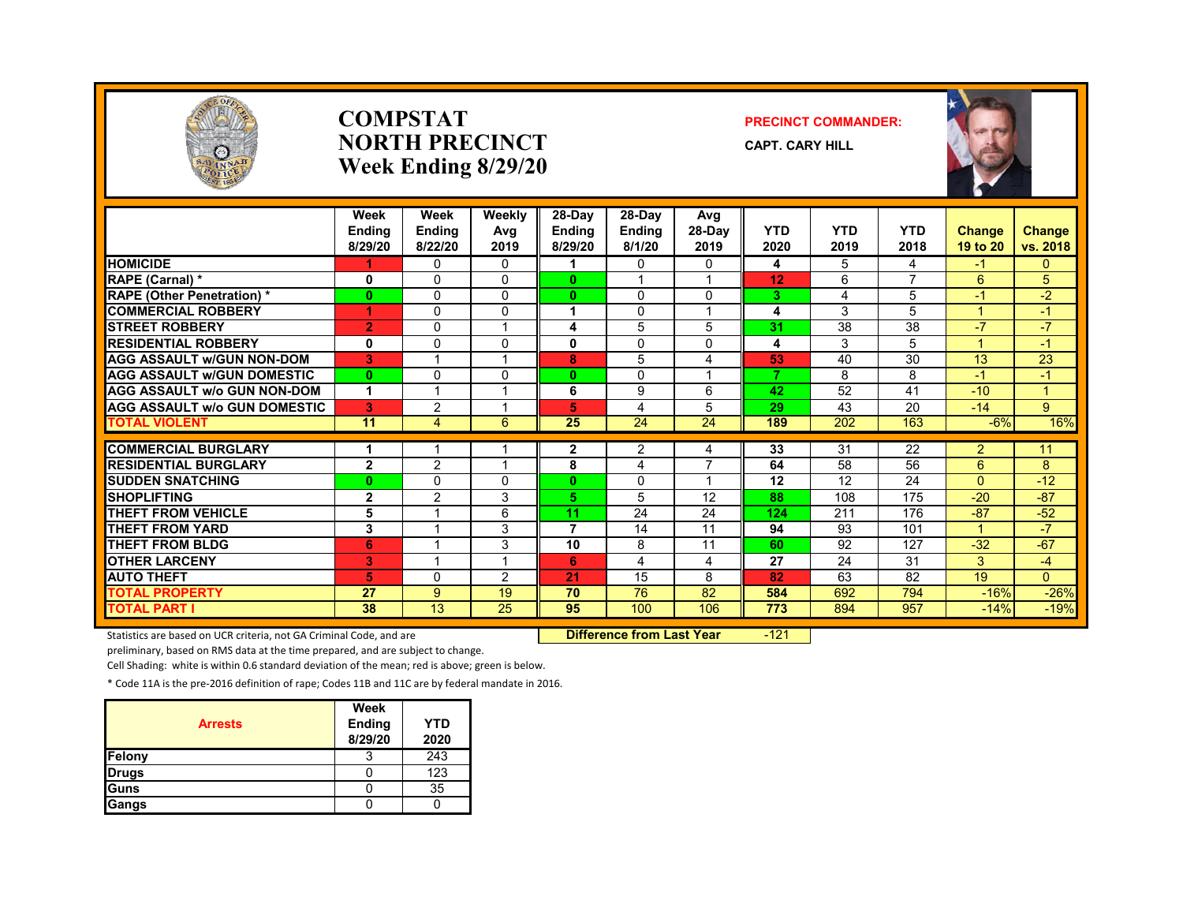

#### **COMPSTATNORTH PRECINCTWeek Ending 8/29/20**

#### **PRECINCT COMMANDER:**

**CAPT. CARY HILL**



|                                     | Week<br><b>Endina</b><br>8/29/20 | Week<br><b>Endina</b><br>8/22/20 | Weekly<br>Avg<br>2019   | 28-Day<br>Ending<br>8/29/20 | $28-Dav$<br><b>Endina</b><br>8/1/20 | Avg<br>$28-Dav$<br>2019 | <b>YTD</b><br>2020 | <b>YTD</b><br>2019 | <b>YTD</b><br>2018       | <b>Change</b><br>19 to 20 | Change<br>vs. 2018   |
|-------------------------------------|----------------------------------|----------------------------------|-------------------------|-----------------------------|-------------------------------------|-------------------------|--------------------|--------------------|--------------------------|---------------------------|----------------------|
| <b>HOMICIDE</b>                     |                                  | $\Omega$                         | $\Omega$                |                             | 0                                   | $\Omega$                | 4                  | 5                  | 4                        | -1                        | 0                    |
| <b>RAPE (Carnal) *</b>              | 0                                | $\Omega$                         | $\Omega$                | $\mathbf{0}$                |                                     |                         | 12                 | 6                  | $\overline{\phantom{a}}$ | 6                         | 5                    |
| <b>RAPE (Other Penetration) *</b>   | $\bf{0}$                         | $\Omega$                         | $\Omega$                | $\mathbf{0}$                | $\Omega$                            | $\Omega$                | 3.                 | 4                  | 5                        | $-1$                      | $-2$                 |
| <b>COMMERCIAL ROBBERY</b>           | 4                                | $\Omega$                         | $\Omega$                |                             | $\Omega$                            | 1                       | 4                  | 3                  | 5                        | 4                         | $-1$                 |
| <b>STREET ROBBERY</b>               | 2                                | $\Omega$                         |                         | 4                           | 5                                   | 5                       | 31                 | 38                 | 38                       | $-7$                      | $-7$                 |
| <b>RESIDENTIAL ROBBERY</b>          | 0                                | $\Omega$                         | $\Omega$                | 0                           | $\Omega$                            | 0                       | 4                  | 3                  | 5                        |                           | $-1$                 |
| <b>AGG ASSAULT w/GUN NON-DOM</b>    | 3                                |                                  |                         | 8                           | 5                                   | 4                       | 53                 | 40                 | 30                       | 13                        | 23                   |
| <b>AGG ASSAULT W/GUN DOMESTIC</b>   | $\bf{0}$                         | $\Omega$                         | $\Omega$                | 0                           | $\Omega$                            | $\overline{ }$          | 7                  | 8                  | 8                        | $-1$                      | $\blacktriangleleft$ |
| <b>AGG ASSAULT w/o GUN NON-DOM</b>  | 1                                |                                  |                         | 6                           | 9                                   | 6                       | 42                 | 52                 | 41                       | $-10$                     | $\overline{A}$       |
| <b>AGG ASSAULT W/o GUN DOMESTIC</b> | 3                                | $\overline{2}$                   |                         | 5                           | 4                                   | 5                       | 29                 | 43                 | 20                       | $-14$                     | 9                    |
| <b>TOTAL VIOLENT</b>                | 11                               | $\overline{4}$                   | 6                       | 25                          | 24                                  | 24                      | 189                | 202                | 163                      | $-6%$                     | 16%                  |
|                                     |                                  |                                  |                         |                             |                                     |                         |                    |                    |                          |                           |                      |
| <b>COMMERCIAL BURGLARY</b>          |                                  |                                  |                         | 2                           | 2                                   | 4                       | 33                 | 31                 | 22                       | $\overline{2}$            | 11                   |
| <b>RESIDENTIAL BURGLARY</b>         | $\mathbf{2}$                     | 2                                |                         | 8                           | 4                                   | 7                       | 64                 | 58                 | 56                       | 6                         | 8                    |
| <b>SUDDEN SNATCHING</b>             | $\bf{0}$                         | $\Omega$                         | $\Omega$                | 0                           | $\Omega$                            | $\overline{\mathbf{A}}$ | 12                 | 12                 | 24                       | $\Omega$                  | $-12$                |
| <b>SHOPLIFTING</b>                  | $\overline{2}$                   | 2                                | 3                       | 5.                          | 5                                   | 12                      | 88                 | 108                | 175                      | $-20$                     | $-87$                |
| <b>THEFT FROM VEHICLE</b>           | 5                                |                                  | 6                       | 11                          | 24                                  | 24                      | 124                | 211                | 176                      | $-87$                     | $-52$                |
| <b>THEFT FROM YARD</b>              | 3                                |                                  | 3                       | 7                           | 14                                  | 11                      | 94                 | 93                 | 101                      |                           | $\overline{7}$       |
| <b>THEFT FROM BLDG</b>              | 6                                |                                  | 3                       | 10                          | 8                                   | 11                      | 60                 | 92                 | 127                      | $-32$                     | $-67$                |
| <b>OTHER LARCENY</b>                | 3                                |                                  | $\overline{\mathbf{A}}$ | 6                           | 4                                   | 4                       | 27                 | 24                 | 31                       | 3                         | $-4$                 |
| <b>AUTO THEFT</b>                   | 5                                | $\Omega$                         | 2                       | 21                          | 15                                  | 8                       | 82                 | 63                 | 82                       | 19                        | $\overline{0}$       |
| <b>TOTAL PROPERTY</b>               | 27                               | 9                                | 19                      | 70                          | 76                                  | 82                      | 584                | 692                | 794                      | $-16%$                    | $-26%$               |
| TOTAL PART I                        | 38                               | $\overline{13}$                  | 25                      | 95                          | 100                                 | 106                     | 773                | 894                | 957                      | $-14%$                    | $-19%$               |

Statistics are based on UCR criteria, not GA Criminal Code, and are **Difference from Last Year** -121

preliminary, based on RMS data at the time prepared, and are subject to change.

Cell Shading: white is within 0.6 standard deviation of the mean; red is above; green is below.

| <b>Arrests</b> | <b>Week</b><br>Ending<br>8/29/20 | <b>YTD</b><br>2020 |
|----------------|----------------------------------|--------------------|
| <b>Felony</b>  |                                  | 243                |
| <b>Drugs</b>   |                                  | 123                |
| Guns           |                                  | 35                 |
| Gangs          |                                  |                    |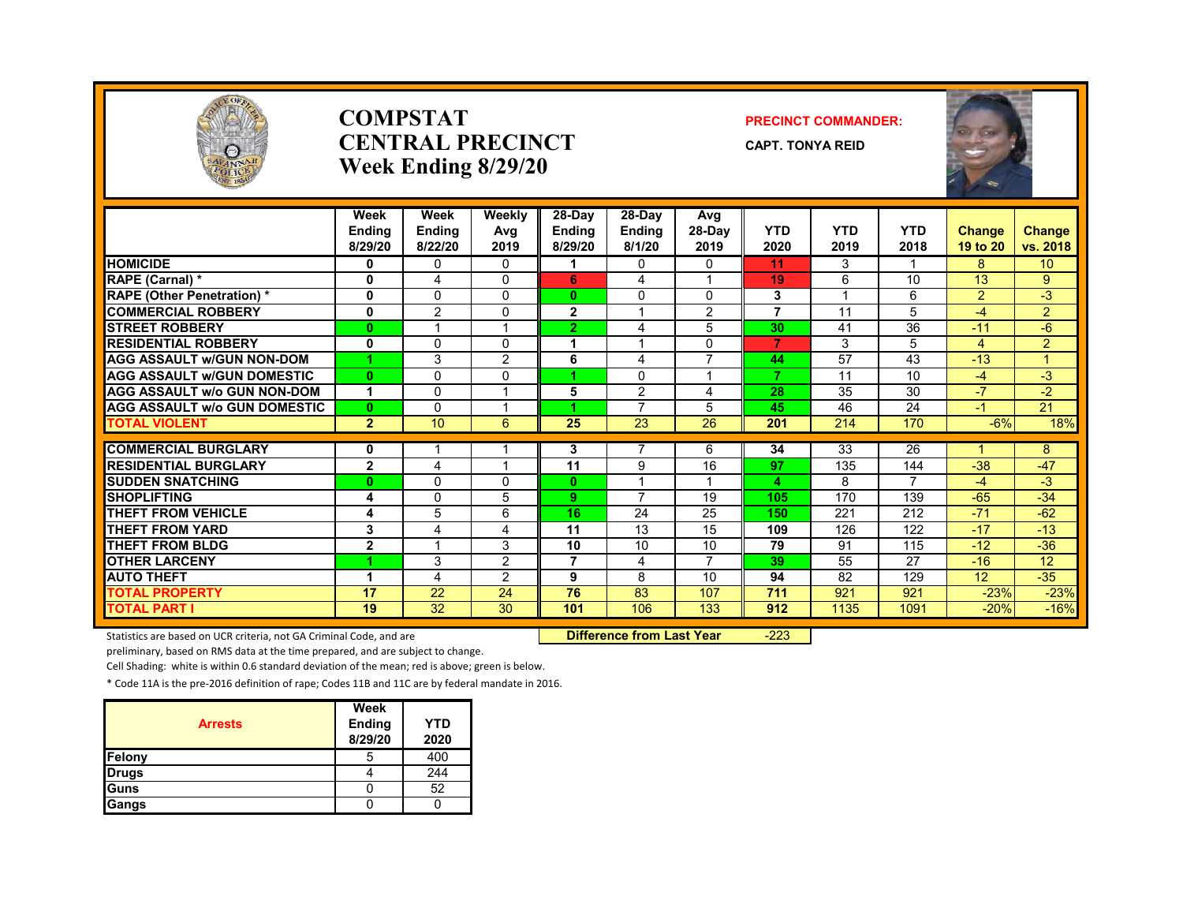

#### **COMPSTATCENTRAL PRECINCTWeek Ending 8/29/20**

#### **PRECINCT COMMANDER:**

**CAPT. TONYA REID**



|                                     | Week<br><b>Endina</b><br>8/29/20 | Week<br><b>Ending</b><br>8/22/20 | Weekly<br>Avg<br>2019 | 28-Day<br><b>Ending</b><br>8/29/20 | $28-Dav$<br><b>Ending</b><br>8/1/20 | Avg<br>28-Day<br>2019 | <b>YTD</b><br>2020 | <b>YTD</b><br>2019 | <b>YTD</b><br>2018      | Change<br>19 to 20 | Change<br>vs. 2018 |
|-------------------------------------|----------------------------------|----------------------------------|-----------------------|------------------------------------|-------------------------------------|-----------------------|--------------------|--------------------|-------------------------|--------------------|--------------------|
| <b>HOMICIDE</b>                     | 0                                | 0                                | 0                     |                                    | 0                                   | 0                     | 11                 | 3                  | $\overline{\mathbf{A}}$ | 8                  | 10 <sup>1</sup>    |
| RAPE (Carnal) *                     | $\bf{0}$                         | $\overline{\mathbf{4}}$          | $\Omega$              | 6                                  | 4                                   |                       | 19                 | 6                  | 10                      | 13                 | 9                  |
| <b>RAPE</b> (Other Penetration) *   | $\mathbf{0}$                     | $\Omega$                         | $\Omega$              | 0                                  | $\Omega$                            | $\Omega$              | 3                  |                    | 6                       | $\overline{2}$     | $-3$               |
| <b>COMMERCIAL ROBBERY</b>           | $\mathbf 0$                      | $\overline{2}$                   | $\Omega$              | $\overline{2}$                     |                                     | $\overline{2}$        | 7                  | 11                 | 5                       | $-4$               | $\overline{2}$     |
| <b>STREET ROBBERY</b>               | $\bf{0}$                         |                                  |                       | $\overline{2}$                     | 4                                   | 5                     | 30                 | 41                 | 36                      | $-11$              | -6                 |
| <b>RESIDENTIAL ROBBERY</b>          | 0                                | $\mathbf{0}$                     | $\Omega$              |                                    |                                     | $\Omega$              | 7                  | 3                  | 5                       | 4                  | $\overline{2}$     |
| <b>AGG ASSAULT W/GUN NON-DOM</b>    |                                  | 3                                | $\overline{2}$        | 6                                  | 4                                   | $\overline{7}$        | 44                 | 57                 | 43                      | $-13$              | $\overline{A}$     |
| <b>AGG ASSAULT W/GUN DOMESTIC</b>   | $\mathbf{0}$                     | $\Omega$                         | $\Omega$              | и                                  | $\Omega$                            | $\overline{ }$        | 7                  | 11                 | 10                      | $-4$               | $-3$               |
| <b>AGG ASSAULT w/o GUN NON-DOM</b>  | 1                                | 0                                |                       | 5                                  | $\overline{2}$                      | 4                     | 28                 | 35                 | 30                      | $-7$               | $-2$               |
| <b>AGG ASSAULT W/o GUN DOMESTIC</b> | $\mathbf{0}$                     | $\Omega$                         |                       |                                    | $\overline{7}$                      | 5                     | 45                 | 46                 | 24                      | $-1$               | 21                 |
| <b>TOTAL VIOLENT</b>                | $\overline{2}$                   | 10                               | 6                     | 25                                 | 23                                  | 26                    | 201                | 214                | 170                     | $-6%$              | 18%                |
| <b>COMMERCIAL BURGLARY</b>          |                                  |                                  |                       |                                    | 7                                   |                       |                    | 33                 | 26                      |                    |                    |
| <b>RESIDENTIAL BURGLARY</b>         | 0<br>$\overline{2}$              |                                  |                       | 3<br>11                            | 9                                   | 6<br>16               | 34<br>97           | 135                | 144                     | $-38$              | 8<br>$-47$         |
| <b>SUDDEN SNATCHING</b>             | $\mathbf{0}$                     | 4<br>$\Omega$                    | $\Omega$              | 0                                  |                                     |                       |                    | 8                  | 7                       | $-4$               | $-3$               |
| <b>SHOPLIFTING</b>                  | 4                                | $\Omega$                         | 5                     | 9                                  | $\overline{7}$                      | 19                    | 4<br>105           | 170                | 139                     | $-65$              | $-34$              |
| <b>THEFT FROM VEHICLE</b>           |                                  | 5                                | 6                     | 16                                 | 24                                  | 25                    | 150                | 221                | 212                     | $-71$              | $-62$              |
| <b>THEFT FROM YARD</b>              | 4<br>3                           | 4                                | 4                     | 11                                 | 13                                  | 15                    | 109                | 126                | 122                     | $-17$              | $-13$              |
| <b>THEFT FROM BLDG</b>              | $\overline{2}$                   |                                  | 3                     | 10                                 | 10                                  | 10                    | 79                 | 91                 | 115                     | $-12$              | $-36$              |
| <b>OTHER LARCENY</b>                |                                  | 3                                | $\overline{2}$        | 7                                  | 4                                   | 7                     | 39                 | 55                 | 27                      | $-16$              | 12                 |
| <b>AUTO THEFT</b>                   | 1                                | $\overline{4}$                   | $\overline{2}$        | 9                                  | 8                                   | 10                    | 94                 | 82                 | 129                     | 12                 | $-35$              |
| <b>TOTAL PROPERTY</b>               | 17                               | $\overline{22}$                  | 24                    | 76                                 | 83                                  | 107                   | 711                | 921                | 921                     | $-23%$             | $-23%$             |
| <b>TOTAL PART I</b>                 | 19                               | 32                               | 30                    | 101                                | 106                                 | 133                   | 912                | 1135               | 1091                    | $-20%$             | $-16%$             |
|                                     |                                  |                                  |                       |                                    |                                     |                       |                    |                    |                         |                    |                    |

Statistics are based on UCR criteria, not GA Criminal Code, and are **Difference from Last Year** -223

preliminary, based on RMS data at the time prepared, and are subject to change.

Cell Shading: white is within 0.6 standard deviation of the mean; red is above; green is below.

|                | Week              |                    |
|----------------|-------------------|--------------------|
| <b>Arrests</b> | Ending<br>8/29/20 | <b>YTD</b><br>2020 |
| Felony         |                   | 400                |
| <b>Drugs</b>   |                   | 244                |
| Guns           |                   | 52                 |
| Gangs          |                   |                    |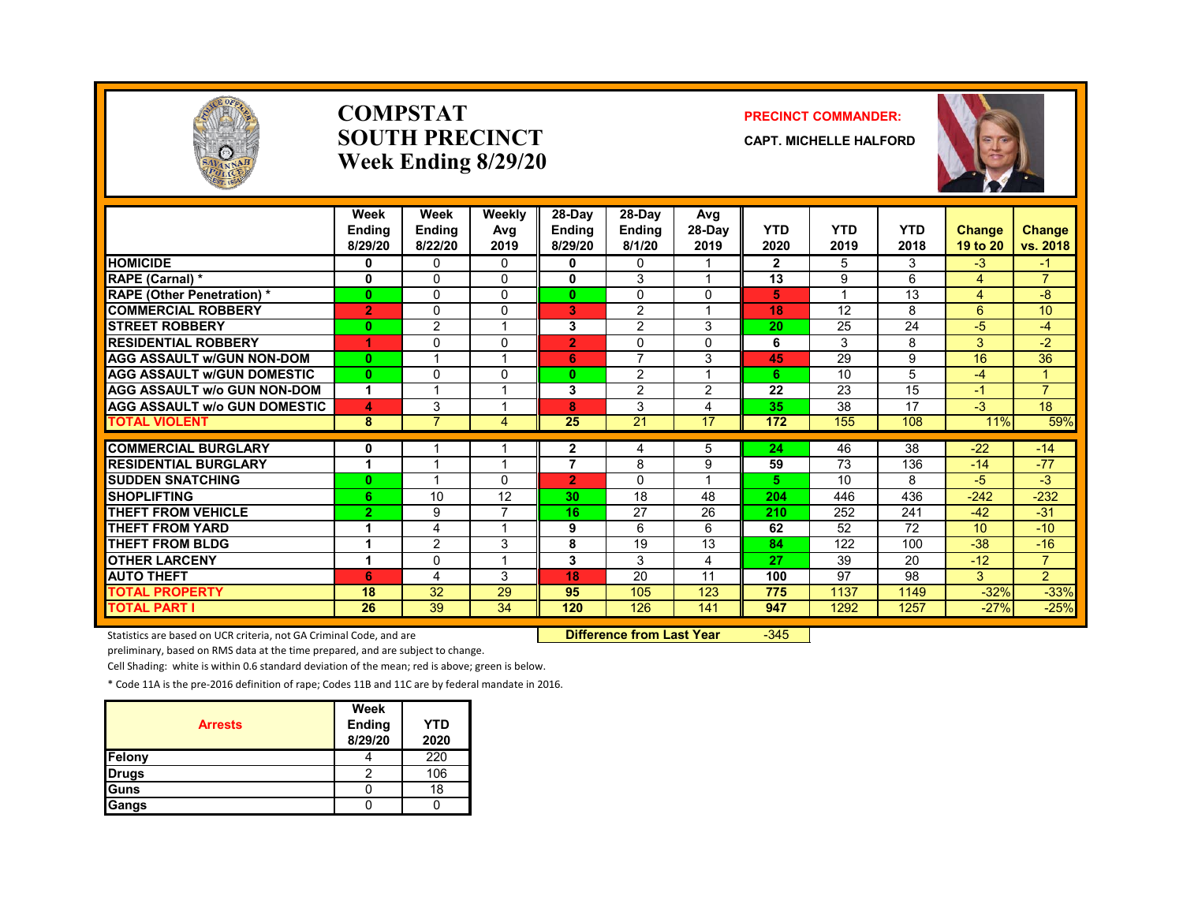

#### **COMPSTATSOUTH PRECINCTWeek Ending 8/29/20**

#### **PRECINCT COMMANDER:**

**CAPT. MICHELLE HALFORD**



|                                               | Week<br><b>Endina</b><br>8/29/20 | Week<br><b>Ending</b><br>8/22/20 | Weekly<br>Avg<br>2019 | 28-Day<br><b>Ending</b><br>8/29/20 | 28-Day<br><b>Ending</b><br>8/1/20 | Avg<br>$28-Dav$<br>2019 | <b>YTD</b><br>2020 | <b>YTD</b><br>2019 | <b>YTD</b><br>2018 | Change<br>19 to 20 | <b>Change</b><br>vs. 2018 |
|-----------------------------------------------|----------------------------------|----------------------------------|-----------------------|------------------------------------|-----------------------------------|-------------------------|--------------------|--------------------|--------------------|--------------------|---------------------------|
| <b>HOMICIDE</b>                               | 0                                | 0                                | 0                     | 0                                  | $\Omega$                          |                         | $\mathbf{2}$       | 5                  | 3                  | $-3$               | -1                        |
| <b>RAPE (Carnal) *</b>                        | $\mathbf 0$                      | $\Omega$                         | $\Omega$              | 0                                  | 3                                 | $\overline{A}$          | 13                 | 9                  | 6                  | 4                  | $\overline{7}$            |
| <b>RAPE (Other Penetration)*</b>              | $\bf{0}$                         | $\Omega$                         | $\Omega$              | $\mathbf{0}$                       | $\Omega$                          | $\Omega$                | 5                  | -4                 | 13                 | 4                  | -8                        |
| <b>COMMERCIAL ROBBERY</b>                     | $\overline{2}$                   | $\mathbf{0}$                     | 0                     | 3                                  | $\overline{2}$                    |                         | 18                 | 12                 | 8                  | 6                  | 10                        |
| <b>STREET ROBBERY</b>                         | $\bf{0}$                         | $\overline{2}$                   |                       | 3                                  | $\overline{2}$                    | 3                       | 20                 | 25                 | 24                 | $-5$               | -4                        |
| <b>RESIDENTIAL ROBBERY</b>                    | 1                                | $\Omega$                         | $\Omega$              | $\overline{2}$                     | $\Omega$                          | $\Omega$                | 6                  | 3                  | 8                  | 3                  | $-2$                      |
| <b>AGG ASSAULT w/GUN NON-DOM</b>              | $\mathbf{0}$                     |                                  |                       | 6                                  | 7                                 | 3                       | 45                 | 29                 | 9                  | 16                 | 36                        |
| <b>AGG ASSAULT W/GUN DOMESTIC</b>             | $\bf{0}$                         | $\mathbf{0}$                     | $\Omega$              | $\bf{0}$                           | 2                                 | $\overline{A}$          | 6.                 | 10                 | 5                  | -4                 | $\mathbf{1}$              |
| <b>AGG ASSAULT w/o GUN NON-DOM</b>            | 1                                |                                  |                       | 3                                  | 2                                 | 2                       | 22                 | 23                 | 15                 | -1                 | $\overline{7}$            |
| <b>AGG ASSAULT w/o GUN DOMESTIC</b>           | 4                                | 3                                |                       | 8                                  | 3                                 | 4                       | 35                 | 38                 | 17                 | $-3$               | 18                        |
| <b>TOTAL VIOLENT</b>                          | 8                                | $\overline{7}$                   | 4                     | 25                                 | 21                                | 17                      | 172                | 155                | 108                | 11%                | 59%                       |
| <b>COMMERCIAL BURGLARY</b>                    |                                  |                                  |                       |                                    |                                   |                         | 24                 | 46                 | 38                 | $-22$              | $-14$                     |
| <b>RESIDENTIAL BURGLARY</b>                   | 0<br>4                           |                                  |                       | 2<br>7                             | 4<br>8                            | 5<br>9                  | 59                 | 73                 | 136                | $-14$              | $-77$                     |
|                                               |                                  |                                  | <sup>n</sup>          |                                    |                                   |                         | 5.                 | 10                 | 8                  | -5                 | $-3$                      |
| <b>SUDDEN SNATCHING</b><br><b>SHOPLIFTING</b> | $\bf{0}$<br>6                    | 10                               | 12                    | $\overline{2}$<br>30               | $\Omega$<br>18                    | 48                      | 204                | 446                | 436                |                    |                           |
| <b>THEFT FROM VEHICLE</b>                     |                                  |                                  |                       |                                    |                                   |                         |                    |                    |                    | $-242$             | $-232$<br>$-31$           |
| <b>THEFT FROM YARD</b>                        | $\overline{2}$                   | 9                                |                       | 16                                 | 27                                | 26                      | 210<br>62          | 252<br>52          | 241<br>72          | $-42$<br>10        | $-10$                     |
|                                               |                                  | 4                                |                       | 9                                  | 6                                 | 6                       |                    |                    |                    |                    |                           |
| <b>THEFT FROM BLDG</b>                        |                                  | $\overline{2}$                   | 3                     | 8                                  | 19                                | 13                      | 84                 | 122                | 100                | $-38$              | $-16$                     |
| <b>OTHER LARCENY</b>                          | 1                                | $\Omega$                         |                       | 3                                  | 3                                 | 4                       | 27                 | 39                 | 20                 | $-12$              | $\overline{7}$            |
| <b>AUTO THEFT</b>                             | 6                                | 4                                | 3                     | 18                                 | 20                                | 11                      | 100                | 97                 | 98                 | 3                  | $\overline{2}$            |
| <b>TOTAL PROPERTY</b>                         | 18                               | 32                               | 29                    | 95                                 | 105                               | 123                     | 775                | 1137               | 1149               | $-32%$             | $-33%$                    |
| <b>TOTAL PART I</b>                           | 26                               | 39                               | 34                    | 120                                | 126                               | 141                     | 947                | 1292               | 1257               | $-27%$             | $-25%$                    |

Statistics are based on UCR criteria, not GA Criminal Code, and are **Difference from Last Year** -345

preliminary, based on RMS data at the time prepared, and are subject to change.

Cell Shading: white is within 0.6 standard deviation of the mean; red is above; green is below.

| <b>Arrests</b> | Week<br><b>Ending</b><br>8/29/20 | <b>YTD</b><br>2020 |
|----------------|----------------------------------|--------------------|
| Felony         |                                  | 220                |
| <b>Drugs</b>   |                                  | 106                |
| Guns           |                                  | 18                 |
| Gangs          |                                  |                    |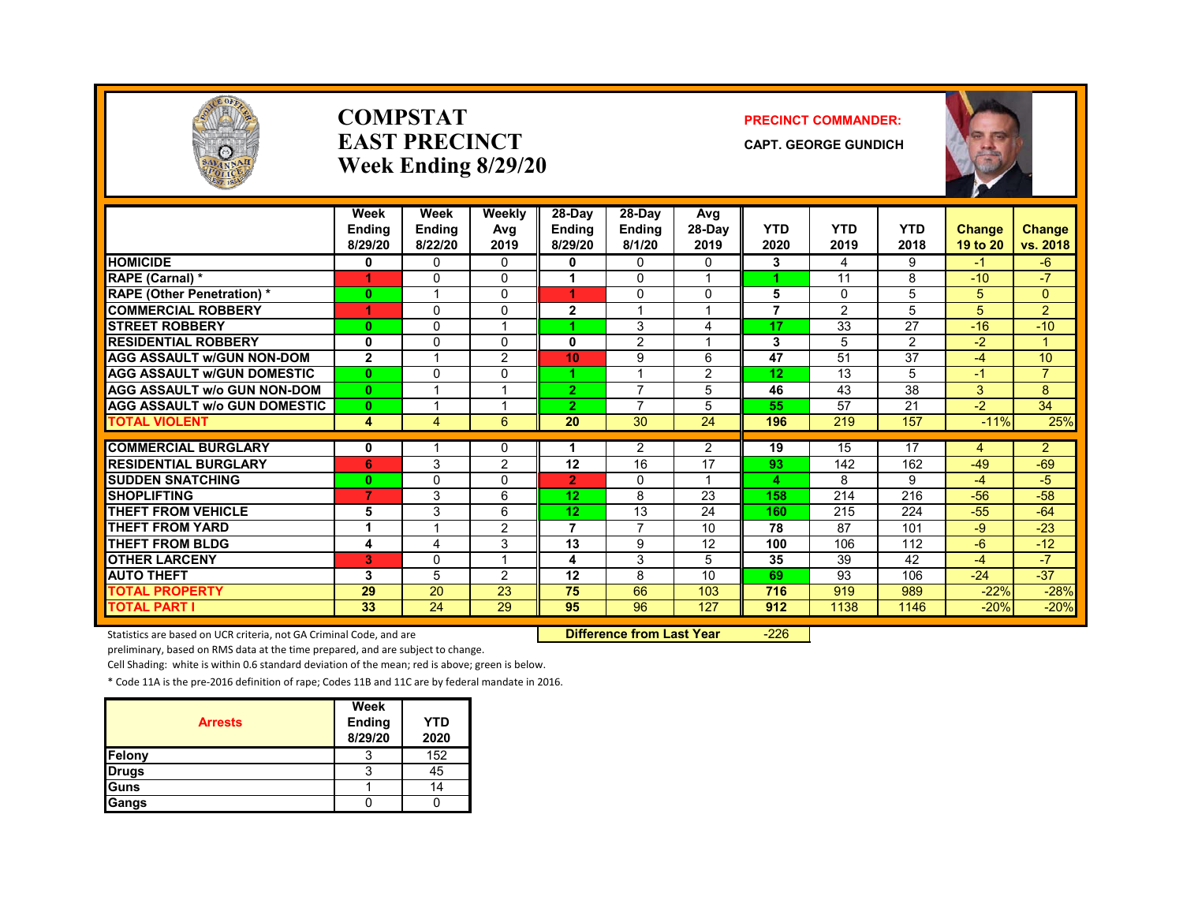

#### **COMPSTATEAST PRECINCTWeek Ending 8/29/20**

#### **PRECINCT COMMANDER:**

**CAPT. GEORGE GUNDICH**



|                                     | Week<br>Endina<br>8/29/20 | Week<br>Endina<br>8/22/20 | Weekly<br>Avg<br>2019 | $28-Dav$<br><b>Ending</b><br>8/29/20 | 28-Day<br><b>Endina</b><br>8/1/20 | Avg<br>$28-Dav$<br>2019 | <b>YTD</b><br>2020 | <b>YTD</b><br>2019 | <b>YTD</b><br>2018 | Change<br>19 to 20 | <b>Change</b><br>vs. 2018 |
|-------------------------------------|---------------------------|---------------------------|-----------------------|--------------------------------------|-----------------------------------|-------------------------|--------------------|--------------------|--------------------|--------------------|---------------------------|
| <b>HOMICIDE</b>                     | 0                         | $\Omega$                  | 0                     | 0                                    | $\mathbf{0}$                      | 0                       | 3                  | 4                  | 9                  | -1                 | -6                        |
| RAPE (Carnal) *                     |                           | $\Omega$                  | 0                     |                                      | 0                                 |                         |                    | 11                 | 8                  | $-10$              | $-7$                      |
| <b>RAPE (Other Penetration)*</b>    | $\bf{0}$                  | -1                        | 0                     | 4.                                   | 0                                 | $\Omega$                | 5                  | $\Omega$           | 5                  | 5                  | $\Omega$                  |
| <b>COMMERCIAL ROBBERY</b>           |                           | $\Omega$                  | 0                     | $\mathbf{2}$                         |                                   |                         | 7                  | 2                  | 5                  | 5                  | $\overline{2}$            |
| <b>STREET ROBBERY</b>               | $\bf{0}$                  | 0                         |                       |                                      | 3                                 | 4                       | 17                 | 33                 | 27                 | $-16$              | $-10$                     |
| <b>RESIDENTIAL ROBBERY</b>          | 0                         | 0                         | 0                     | $\mathbf{0}$                         | 2                                 |                         | 3                  | 5                  | $\overline{2}$     | $-2$               |                           |
| <b>AGG ASSAULT w/GUN NON-DOM</b>    | $\overline{2}$            |                           | $\overline{2}$        | 10                                   | 9                                 | 6                       | 47                 | 51                 | $\overline{37}$    | -4                 | 10                        |
| <b>AGG ASSAULT W/GUN DOMESTIC</b>   | $\mathbf{0}$              | $\Omega$                  | 0                     | 4.                                   | $\overline{A}$                    | $\overline{2}$          | 12                 | 13                 | 5                  | $-1$               | $\overline{7}$            |
| <b>AGG ASSAULT w/o GUN NON-DOM</b>  | $\bf{0}$                  |                           |                       | $\overline{2}$                       | $\overline{7}$                    | 5                       | 46                 | 43                 | 38                 | 3                  | 8                         |
| <b>AGG ASSAULT w/o GUN DOMESTIC</b> | $\mathbf{0}$              |                           |                       | 2                                    | 7                                 | 5                       | 55                 | 57                 | 21                 | $-2$               | 34                        |
| <b>TOTAL VIOLENT</b>                | 4                         | 4                         | 6                     | 20                                   | 30                                | 24                      | 196                | 219                | 157                | $-11%$             | 25%                       |
|                                     |                           |                           |                       |                                      |                                   |                         |                    |                    |                    |                    |                           |
| <b>COMMERCIAL BURGLARY</b>          | 0                         |                           | 0                     |                                      | 2                                 | $\overline{2}$          | 19                 | 15                 | 17                 | 4                  | $\overline{2}$            |
| <b>RESIDENTIAL BURGLARY</b>         | 6                         | 3                         | 2                     | 12                                   | 16                                | 17                      | 93                 | 142                | 162                | $-49$              | $-69$                     |
| <b>SUDDEN SNATCHING</b>             | $\mathbf{0}$              | 0                         | 0                     | $\overline{2}$                       | 0                                 |                         | 4                  | 8                  | 9                  | $-4$               | -5                        |
| <b>SHOPLIFTING</b>                  | $\overline{7}$            | 3                         | 6                     | 12 <sub>2</sub>                      | 8                                 | 23                      | 158                | 214                | 216                | $-56$              | $-58$                     |
| <b>THEFT FROM VEHICLE</b>           | 5                         | 3                         | 6                     | 12 <sub>2</sub>                      | 13                                | 24                      | 160                | 215                | 224                | $-55$              | $-64$                     |
| <b>THEFT FROM YARD</b>              |                           |                           | 2                     | 7                                    | $\overline{7}$                    | 10                      | 78                 | 87                 | 101                | $-9$               | $-23$                     |
| <b>THEFT FROM BLDG</b>              | 4                         | $\overline{4}$            | 3                     | 13                                   | 9                                 | 12                      | 100                | 106                | 112                | $-6$               | $-12$                     |
| <b>OTHER LARCENY</b>                | в.                        | 0                         |                       | 4                                    | 3                                 | 5                       | 35                 | 39                 | 42                 | $-4$               | $-7$                      |
| <b>AUTO THEFT</b>                   | 3                         | 5                         | 2                     | 12                                   | 8                                 | 10                      | 69                 | 93                 | 106                | $-24$              | $-37$                     |
| <b>TOTAL PROPERTY</b>               | 29                        | 20                        | 23                    | 75                                   | 66                                | 103                     | 716                | 919                | 989                | $-22%$             | $-28%$                    |
| <b>TOTAL PART I</b>                 | 33                        | 24                        | 29                    | 95                                   | 96                                | 127                     | 912                | 1138               | 1146               | $-20%$             | $-20%$                    |

Statistics are based on UCR criteria, not GA Criminal Code, and are **Difference from Last Year** -226

preliminary, based on RMS data at the time prepared, and are subject to change.

Cell Shading: white is within 0.6 standard deviation of the mean; red is above; green is below.

| <b>Arrests</b> | Week<br>Ending<br>8/29/20 | YTD<br>2020 |
|----------------|---------------------------|-------------|
| Felony         | 3                         | 152         |
| <b>Drugs</b>   | 3                         | 45          |
| Guns           |                           | 14          |
| Gangs          |                           |             |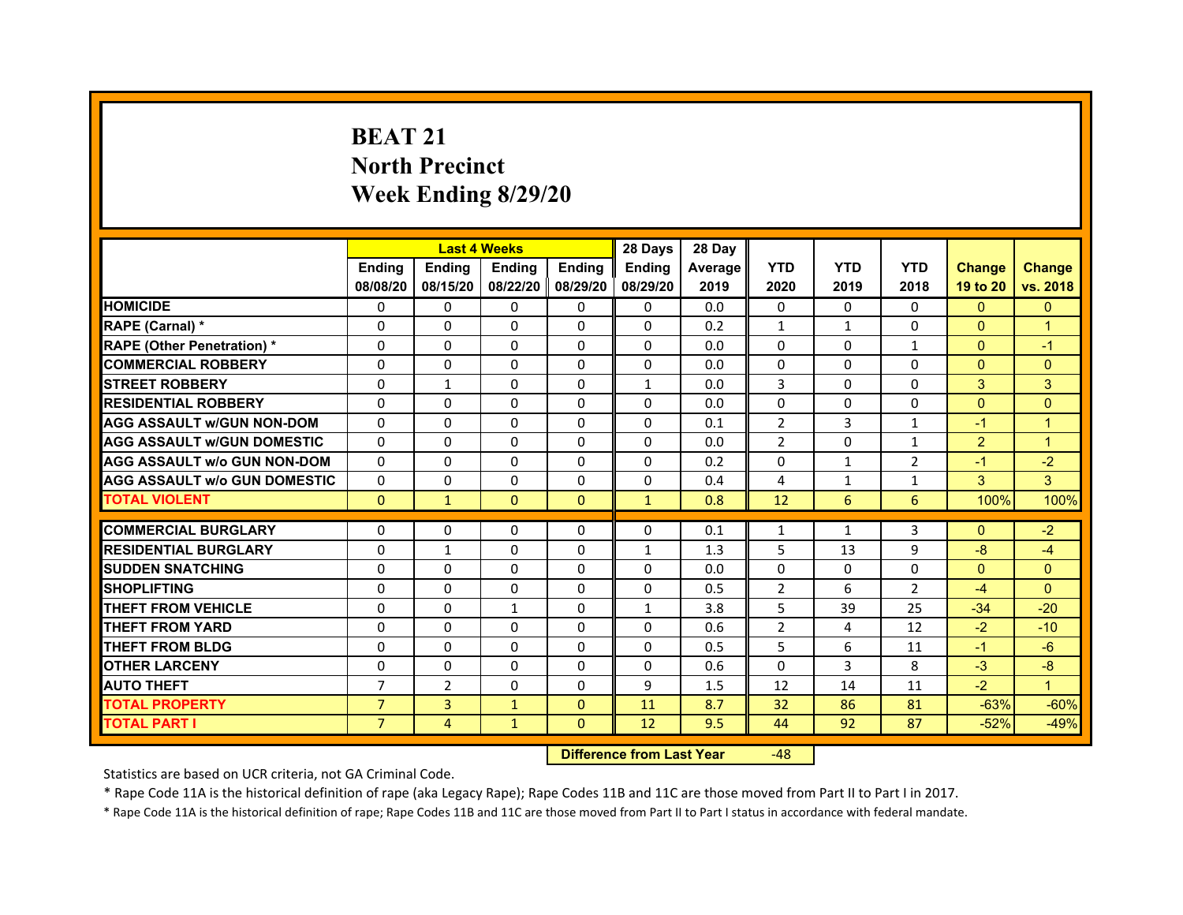# **BEAT 21North PrecinctWeek Ending 8/29/20**

|                                                           |                | <b>Last 4 Weeks</b> |                     |               | 28 Days       | 28 Day  |                   |              |                |                  |                |
|-----------------------------------------------------------|----------------|---------------------|---------------------|---------------|---------------|---------|-------------------|--------------|----------------|------------------|----------------|
|                                                           | <b>Endina</b>  | <b>Endina</b>       | <b>Endina</b>       | <b>Endina</b> | <b>Endina</b> | Average | <b>YTD</b>        | <b>YTD</b>   | <b>YTD</b>     | <b>Change</b>    | <b>Change</b>  |
|                                                           | 08/08/20       | 08/15/20            | 08/22/20   08/29/20 |               | 08/29/20      | 2019    | 2020              | 2019         | 2018           | 19 to 20         | vs. 2018       |
| <b>HOMICIDE</b>                                           | 0              | 0                   | $\mathbf{0}$        | 0             | 0             | 0.0     | $\mathbf{0}$      | 0            | $\Omega$       | $\mathbf{0}$     | $\mathbf{0}$   |
| RAPE (Carnal) *                                           | $\Omega$       | $\Omega$            | $\Omega$            | $\mathbf{0}$  | $\Omega$      | 0.2     | $\mathbf{1}$      | $\mathbf{1}$ | $\Omega$       | $\Omega$         | $\overline{1}$ |
| <b>RAPE (Other Penetration) *</b>                         | 0              | $\Omega$            | $\Omega$            | $\Omega$      | 0             | 0.0     | $\Omega$          | $\Omega$     | $\mathbf{1}$   | $\Omega$         | $-1$           |
| <b>COMMERCIAL ROBBERY</b>                                 | 0              | 0                   | $\Omega$            | 0             | 0             | 0.0     | $\Omega$          | 0            | $\Omega$       | $\mathbf{0}$     | $\Omega$       |
| <b>STREET ROBBERY</b>                                     | 0              | $\mathbf{1}$        | 0                   | 0             | $\mathbf{1}$  | 0.0     | 3                 | 0            | 0              | 3                | 3              |
| <b>RESIDENTIAL ROBBERY</b>                                | 0              | $\Omega$            | $\Omega$            | $\Omega$      | $\Omega$      | 0.0     | $\Omega$          | $\Omega$     | $\Omega$       | $\Omega$         | $\Omega$       |
| <b>AGG ASSAULT w/GUN NON-DOM</b>                          | $\Omega$       | $\Omega$            | $\Omega$            | $\Omega$      | $\Omega$      | 0.1     | $\overline{2}$    | 3            | $\mathbf{1}$   | $-1$             | $\mathbf{1}$   |
| <b>AGG ASSAULT w/GUN DOMESTIC</b>                         | $\Omega$       | $\Omega$            | $\Omega$            | 0             | $\Omega$      | 0.0     | $\overline{2}$    | $\Omega$     | $\mathbf{1}$   | $\overline{2}$   | $\mathbf{1}$   |
| <b>AGG ASSAULT w/o GUN NON-DOM</b>                        | $\Omega$       | $\Omega$            | $\Omega$            | $\Omega$      | $\Omega$      | 0.2     | $\Omega$          | $\mathbf{1}$ | $\overline{2}$ | $-1$             | $-2$           |
| <b>AGG ASSAULT W/o GUN DOMESTIC</b>                       | $\Omega$       | $\Omega$            | $\Omega$            | $\mathbf{0}$  | $\Omega$      | 0.4     | 4                 | 1            | 1              | 3                | 3              |
| <b>TOTAL VIOLENT</b>                                      | $\Omega$       | $\mathbf{1}$        | $\Omega$            | $\mathbf{0}$  | $\mathbf{1}$  | 0.8     | 12                | 6            | 6              | 100%             | 100%           |
|                                                           |                |                     |                     |               |               |         |                   |              |                |                  |                |
| <b>COMMERCIAL BURGLARY</b><br><b>RESIDENTIAL BURGLARY</b> | 0              | 0                   | $\Omega$            | 0             | $\Omega$      | 0.1     | $\mathbf{1}$<br>5 | $\mathbf{1}$ | 3              | $\Omega$<br>$-8$ | $-2$           |
|                                                           | 0              | $\mathbf{1}$        | 0                   | $\Omega$      | 1             | 1.3     |                   | 13           | 9              |                  | $-4$           |
| <b>SUDDEN SNATCHING</b>                                   | 0              | 0                   | 0                   | 0             | 0             | 0.0     | $\Omega$          | 0            | $\Omega$       | $\Omega$         | $\Omega$       |
| <b>SHOPLIFTING</b>                                        | $\Omega$       | $\Omega$            | $\Omega$            | $\Omega$      | $\Omega$      | 0.5     | $\overline{2}$    | 6            | $\overline{2}$ | $-4$             | $\Omega$       |
| <b>THEFT FROM VEHICLE</b>                                 | $\Omega$       | $\Omega$            | $\mathbf{1}$        | $\mathbf{0}$  | $\mathbf{1}$  | 3.8     | 5                 | 39           | 25             | $-34$            | $-20$          |
| <b>THEFT FROM YARD</b>                                    | $\Omega$       | 0                   | $\Omega$            | $\Omega$      | $\Omega$      | 0.6     | $\mathcal{P}$     | 4            | 12             | $-2$             | $-10$          |
| <b>THEFT FROM BLDG</b>                                    | 0              | 0                   | 0                   | 0             | 0             | 0.5     | 5                 | 6            | 11             | $-1$             | $-6$           |
| <b>OTHER LARCENY</b>                                      | 0              | 0                   | $\Omega$            | $\mathbf{0}$  | $\Omega$      | 0.6     | $\Omega$          | 3            | 8              | $-3$             | -8             |
| <b>AUTO THEFT</b>                                         | $\overline{7}$ | $\overline{2}$      | 0                   | 0             | 9             | 1.5     | 12                | 14           | 11             | $-2$             | $\overline{1}$ |
| <b>TOTAL PROPERTY</b>                                     | $\overline{7}$ | 3                   | $\mathbf{1}$        | $\Omega$      | 11            | 8.7     | 32                | 86           | 81             | $-63%$           | $-60%$         |
| <b>TOTAL PART I</b>                                       | $\overline{7}$ | 4                   | $\mathbf{1}$        | $\mathbf{0}$  | 12            | 9.5     | 44                | 92           | 87             | $-52%$           | $-49%$         |

 **Difference from Last Year**r -48

Statistics are based on UCR criteria, not GA Criminal Code.

\* Rape Code 11A is the historical definition of rape (aka Legacy Rape); Rape Codes 11B and 11C are those moved from Part II to Part I in 2017.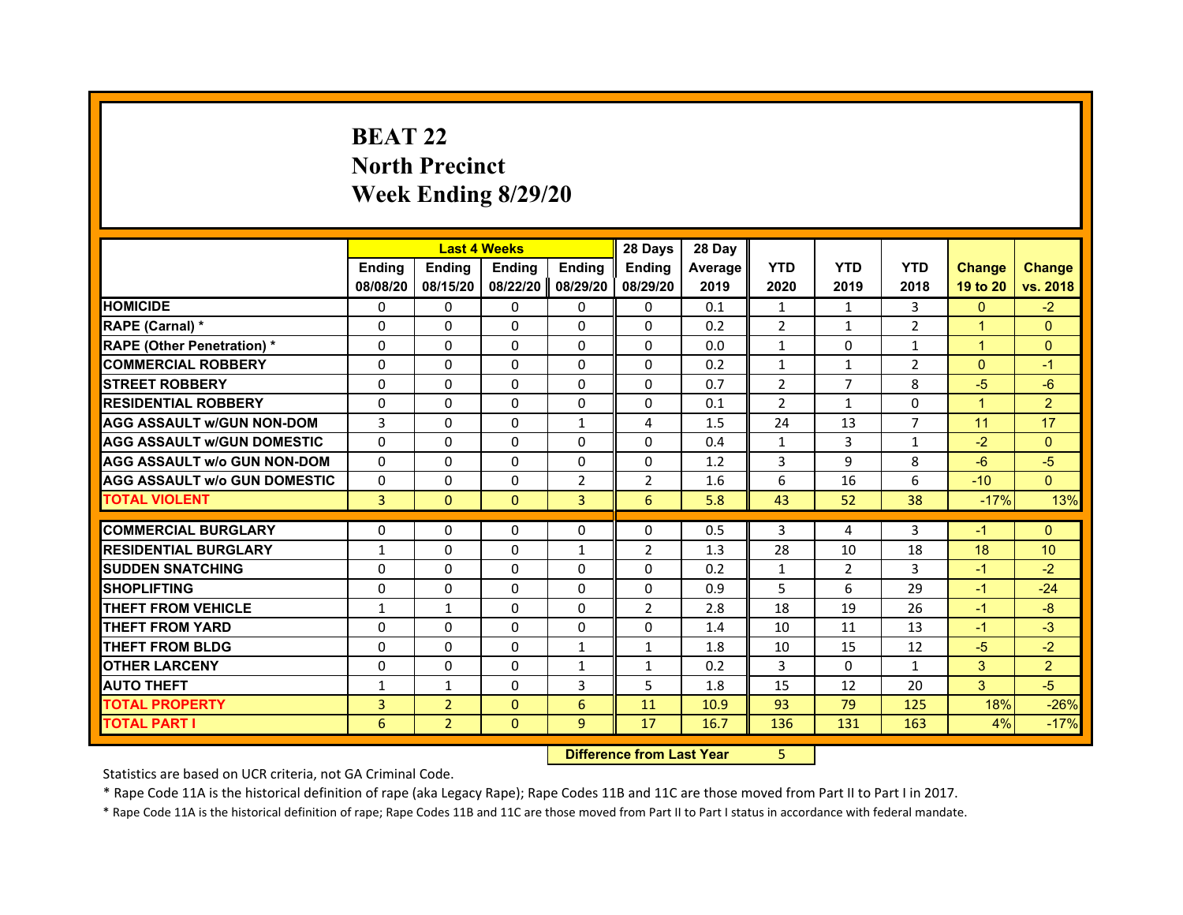# **BEAT 22North Precinct Week Ending 8/29/20**

|                                     |               | <b>Last 4 Weeks</b> |               |                   | 28 Days        | 28 Day  |                |                |                |                |                |
|-------------------------------------|---------------|---------------------|---------------|-------------------|----------------|---------|----------------|----------------|----------------|----------------|----------------|
|                                     | <b>Endina</b> | <b>Ending</b>       | <b>Ending</b> | <b>Endina</b>     | <b>Ending</b>  | Average | <b>YTD</b>     | <b>YTD</b>     | <b>YTD</b>     | <b>Change</b>  | <b>Change</b>  |
|                                     | 08/08/20      | 08/15/20            |               | 08/22/20 08/29/20 | 08/29/20       | 2019    | 2020           | 2019           | 2018           | 19 to 20       | vs. 2018       |
| <b>HOMICIDE</b>                     | 0             | $\Omega$            | $\Omega$      | 0                 | 0              | 0.1     | $\mathbf{1}$   | $\mathbf{1}$   | 3              | $\Omega$       | $-2$           |
| RAPE (Carnal) *                     | $\Omega$      | $\Omega$            | $\Omega$      | $\Omega$          | $\Omega$       | 0.2     | $\overline{2}$ | $\mathbf{1}$   | $\overline{2}$ | $\overline{1}$ | $\Omega$       |
| <b>RAPE (Other Penetration) *</b>   | 0             | 0                   | 0             | 0                 | 0              | 0.0     | $\mathbf{1}$   | $\mathbf{0}$   | $\mathbf{1}$   | $\mathbf{1}$   | $\mathbf{0}$   |
| <b>COMMERCIAL ROBBERY</b>           | $\Omega$      | $\Omega$            | $\Omega$      | $\Omega$          | $\Omega$       | 0.2     | 1              | 1              | $\overline{2}$ | $\Omega$       | $-1$           |
| <b>STREET ROBBERY</b>               | $\Omega$      | $\Omega$            | $\Omega$      | $\Omega$          | $\Omega$       | 0.7     | $\overline{2}$ | $\overline{7}$ | 8              | $-5$           | $-6$           |
| <b>RESIDENTIAL ROBBERY</b>          | 0             | $\Omega$            | 0             | $\Omega$          | 0              | 0.1     | $\overline{2}$ | $\mathbf{1}$   | $\Omega$       | $\overline{1}$ | $\overline{2}$ |
| <b>AGG ASSAULT w/GUN NON-DOM</b>    | 3             | $\Omega$            | $\Omega$      | $\mathbf{1}$      | 4              | 1.5     | 24             | 13             | $\overline{7}$ | 11             | 17             |
| <b>AGG ASSAULT W/GUN DOMESTIC</b>   | 0             | 0                   | 0             | 0                 | 0              | 0.4     | $\mathbf{1}$   | 3              | $\mathbf{1}$   | $-2$           | $\Omega$       |
| <b>AGG ASSAULT w/o GUN NON-DOM</b>  | $\Omega$      | $\Omega$            | $\Omega$      | $\Omega$          | $\Omega$       | 1.2     | 3              | 9              | 8              | $-6$           | $-5$           |
| <b>AGG ASSAULT W/o GUN DOMESTIC</b> | $\Omega$      | $\Omega$            | $\Omega$      | 2                 | $\overline{2}$ | 1.6     | 6              | 16             | 6              | $-10$          | $\Omega$       |
| <b>TOTAL VIOLENT</b>                | 3             | $\Omega$            | $\Omega$      | $\overline{3}$    | 6              | 5.8     | 43             | 52             | 38             | $-17%$         | 13%            |
|                                     |               |                     |               |                   |                |         |                |                |                |                |                |
| <b>COMMERCIAL BURGLARY</b>          | 0             | 0                   | 0             | 0                 | 0              | 0.5     | 3              | 4              | 3              | $-1$           | $\Omega$       |
| <b>RESIDENTIAL BURGLARY</b>         | 1             | 0                   | 0             | $\mathbf{1}$      | $\overline{2}$ | 1.3     | 28             | 10             | 18             | 18             | 10             |
| <b>SUDDEN SNATCHING</b>             | $\Omega$      | $\Omega$            | $\Omega$      | $\Omega$          | $\Omega$       | 0.2     | $\mathbf{1}$   | $\overline{2}$ | 3              | $-1$           | $-2$           |
| <b>SHOPLIFTING</b>                  | $\Omega$      | $\Omega$            | $\Omega$      | $\Omega$          | $\Omega$       | 0.9     | 5              | 6              | 29             | $-1$           | $-24$          |
| <b>THEFT FROM VEHICLE</b>           | 1             | 1                   | $\Omega$      | 0                 | $\overline{2}$ | 2.8     | 18             | 19             | 26             | $-1$           | $-8$           |
| <b>THEFT FROM YARD</b>              | $\Omega$      | 0                   | $\Omega$      | 0                 | $\Omega$       | 1.4     | 10             | 11             | 13             | $-1$           | $-3$           |
| <b>THEFT FROM BLDG</b>              | $\Omega$      | $\Omega$            | $\Omega$      | $\mathbf{1}$      | 1              | 1.8     | 10             | 15             | 12             | $-5$           | $-2$           |
| <b>OTHER LARCENY</b>                | 0             | 0                   | 0             | $\mathbf{1}$      | $\mathbf{1}$   | 0.2     | 3              | $\mathbf{0}$   | $\mathbf{1}$   | 3              | $\overline{2}$ |
| <b>AUTO THEFT</b>                   | $\mathbf{1}$  | $\mathbf{1}$        | $\Omega$      | 3                 | 5              | 1.8     | 15             | 12             | 20             | 3              | $-5$           |
| <b>TOTAL PROPERTY</b>               | 3             | $\overline{2}$      | $\Omega$      | 6                 | 11             | 10.9    | 93             | 79             | 125            | 18%            | $-26%$         |
| <b>TOTAL PART I</b>                 | 6             | $\overline{2}$      | $\mathbf{0}$  | 9                 | 17             | 16.7    | 136            | 131            | 163            | 4%             | $-17%$         |

 **Difference from Last Year**5

Statistics are based on UCR criteria, not GA Criminal Code.

\* Rape Code 11A is the historical definition of rape (aka Legacy Rape); Rape Codes 11B and 11C are those moved from Part II to Part I in 2017.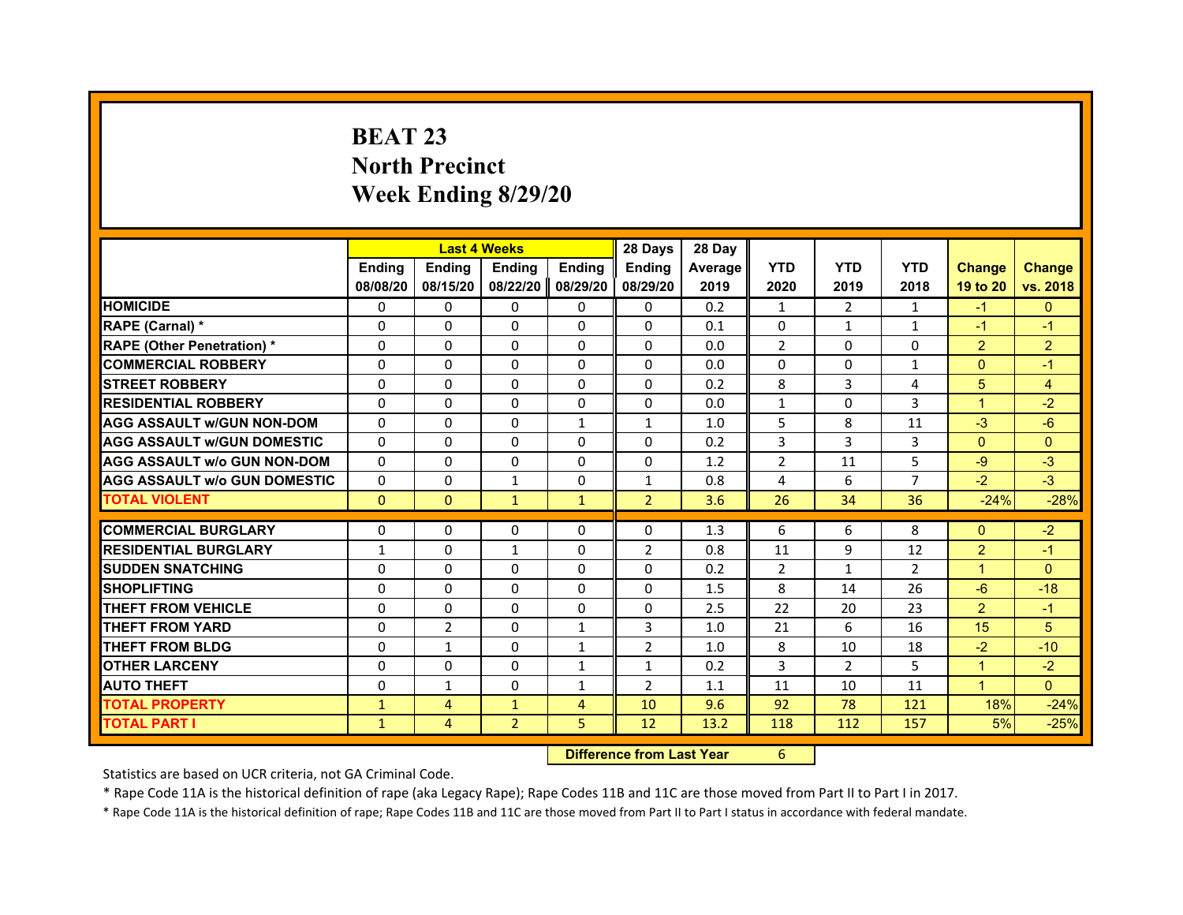# **BEAT 23North Precinct Week Ending 8/29/20**

|                                     |               |                | <b>Last 4 Weeks</b> |               | 28 Days        | 28 Day         |                |                |                |               |                |
|-------------------------------------|---------------|----------------|---------------------|---------------|----------------|----------------|----------------|----------------|----------------|---------------|----------------|
|                                     | <b>Endina</b> | <b>Ending</b>  | <b>Endina</b>       | <b>Endina</b> | <b>Endina</b>  | <b>Average</b> | <b>YTD</b>     | <b>YTD</b>     | <b>YTD</b>     | <b>Change</b> | <b>Change</b>  |
|                                     | 08/08/20      | 08/15/20       | 08/22/20            | 08/29/20      | 08/29/20       | 2019           | 2020           | 2019           | 2018           | 19 to 20      | vs. 2018       |
| <b>HOMICIDE</b>                     | 0             | $\Omega$       | $\Omega$            | 0             | 0              | 0.2            | $\mathbf{1}$   | $\overline{2}$ | $\mathbf{1}$   | $-1$          | $\mathbf{0}$   |
| RAPE (Carnal) *                     | $\Omega$      | $\Omega$       | $\Omega$            | $\Omega$      | $\Omega$       | 0.1            | $\Omega$       | $\mathbf{1}$   | 1              | $-1$          | $-1$           |
| <b>RAPE (Other Penetration) *</b>   | $\Omega$      | $\Omega$       | $\Omega$            | $\Omega$      | $\Omega$       | 0.0            | 2              | $\Omega$       | $\Omega$       | 2             | $\overline{2}$ |
| <b>COMMERCIAL ROBBERY</b>           | 0             | 0              | 0                   | 0             | 0              | 0.0            | 0              | 0              | $\mathbf{1}$   | $\Omega$      | $-1$           |
| <b>STREET ROBBERY</b>               | $\Omega$      | $\Omega$       | $\Omega$            | $\Omega$      | $\Omega$       | 0.2            | 8              | 3              | 4              | 5             | $\overline{4}$ |
| <b>RESIDENTIAL ROBBERY</b>          | 0             | 0              | 0                   | $\Omega$      | 0              | 0.0            | $\mathbf{1}$   | 0              | 3              | $\mathbf 1$   | $-2$           |
| <b>AGG ASSAULT w/GUN NON-DOM</b>    | $\Omega$      | $\Omega$       | $\Omega$            | $\mathbf{1}$  | $\mathbf{1}$   | 1.0            | 5              | 8              | 11             | $-3$          | $-6$           |
| <b>AGG ASSAULT W/GUN DOMESTIC</b>   | $\Omega$      | $\Omega$       | $\Omega$            | $\Omega$      | $\Omega$       | 0.2            | 3              | 3              | 3              | $\Omega$      | $\Omega$       |
| <b>AGG ASSAULT W/o GUN NON-DOM</b>  | 0             | $\Omega$       | 0                   | $\Omega$      | $\Omega$       | 1.2            | $\overline{2}$ | 11             | 5              | $-9$          | $-3$           |
| <b>AGG ASSAULT W/o GUN DOMESTIC</b> | $\Omega$      | 0              | 1                   | 0             | $\mathbf{1}$   | 0.8            | 4              | 6              | $\overline{7}$ | $-2$          | $-3$           |
| <b>TOTAL VIOLENT</b>                | $\mathbf{0}$  | $\mathbf{0}$   | $\mathbf{1}$        | $\mathbf{1}$  | $\overline{2}$ | 3.6            | 26             | 34             | 36             | $-24%$        | $-28%$         |
|                                     |               |                |                     |               |                |                |                |                |                |               |                |
| <b>COMMERCIAL BURGLARY</b>          | 0             | 0              | 0                   | 0             | 0              | 1.3            | 6              | 6              | 8              | $\Omega$      | $-2$           |
| <b>RESIDENTIAL BURGLARY</b>         | $\mathbf{1}$  | $\Omega$       | $\mathbf{1}$        | $\Omega$      | $\overline{2}$ | 0.8            | 11             | 9              | 12             | 2             | $-1$           |
| <b>SUDDEN SNATCHING</b>             | 0             | 0              | 0                   | $\Omega$      | 0              | 0.2            | $\overline{2}$ | $\mathbf{1}$   | $\overline{2}$ | $\mathbf 1$   | $\Omega$       |
| <b>SHOPLIFTING</b>                  | $\Omega$      | $\Omega$       | $\Omega$            | $\Omega$      | $\Omega$       | 1.5            | 8              | 14             | 26             | $-6$          | $-18$          |
| <b>THEFT FROM VEHICLE</b>           | $\Omega$      | $\Omega$       | $\Omega$            | $\Omega$      | $\Omega$       | 2.5            | 22             | 20             | 23             | $\mathcal{P}$ | $-1$           |
| <b>THEFT FROM YARD</b>              | 0             | $\overline{2}$ | 0                   | 1             | 3              | 1.0            | 21             | 6              | 16             | 15            | 5              |
| <b>THEFT FROM BLDG</b>              | $\Omega$      | 1              | 0                   | $\mathbf{1}$  | $\overline{2}$ | 1.0            | 8              | 10             | 18             | $-2$          | $-10$          |
| <b>OTHER LARCENY</b>                | 0             | 0              | 0                   | $\mathbf{1}$  | $\mathbf{1}$   | 0.2            | 3              | 2              | 5              | $\mathbf 1$   | $-2$           |
| <b>AUTO THEFT</b>                   | $\Omega$      | $\mathbf{1}$   | $\Omega$            | $\mathbf{1}$  | $\overline{2}$ | 1.1            | 11             | 10             | 11             | $\mathbf{1}$  | $\Omega$       |
| <b>TOTAL PROPERTY</b>               | $\mathbf{1}$  | 4              | $\mathbf{1}$        | 4             | 10             | 9.6            | 92             | 78             | 121            | 18%           | $-24%$         |
| <b>TOTAL PART I</b>                 | $\mathbf{1}$  | 4              | $\overline{2}$      | 5             | 12             | 13.2           | 118            | 112            | 157            | 5%            | $-25%$         |

 **Difference from Last Year**r 6

Statistics are based on UCR criteria, not GA Criminal Code.

\* Rape Code 11A is the historical definition of rape (aka Legacy Rape); Rape Codes 11B and 11C are those moved from Part II to Part I in 2017.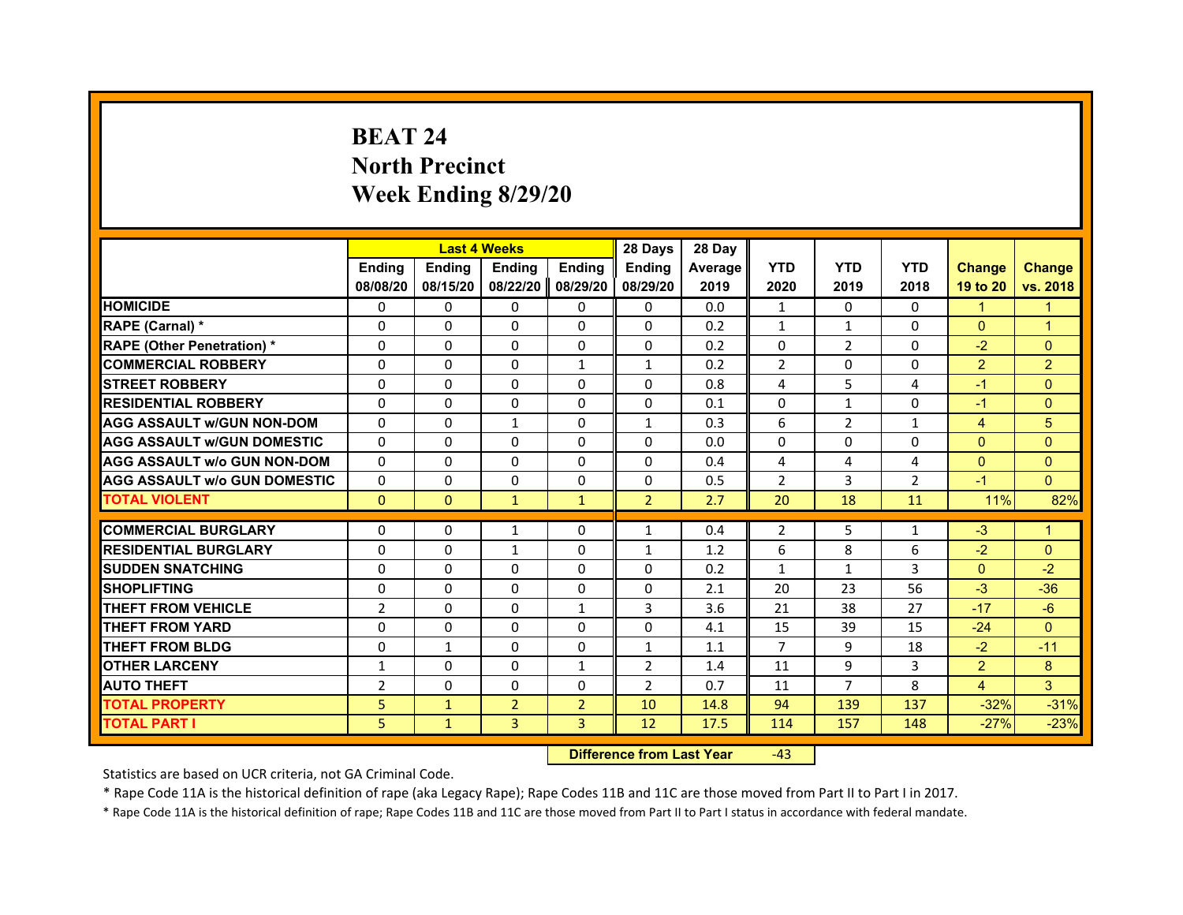# **BEAT 24North Precinct Week Ending 8/29/20**

|                                     |                | <b>Last 4 Weeks</b> |                |                | 28 Days        | 28 Day  |                |                |                |                |                |
|-------------------------------------|----------------|---------------------|----------------|----------------|----------------|---------|----------------|----------------|----------------|----------------|----------------|
|                                     | <b>Endina</b>  | <b>Ending</b>       | <b>Endina</b>  | <b>Ending</b>  | <b>Endina</b>  | Average | <b>YTD</b>     | <b>YTD</b>     | <b>YTD</b>     | <b>Change</b>  | <b>Change</b>  |
|                                     | 08/08/20       | 08/15/20            | 08/22/20       | 08/29/20       | 08/29/20       | 2019    | 2020           | 2019           | 2018           | 19 to 20       | vs. 2018       |
| <b>HOMICIDE</b>                     | 0              | $\Omega$            | $\Omega$       | 0              | $\mathbf{0}$   | 0.0     | $\mathbf{1}$   | 0              | $\mathbf{0}$   | 1              | 1              |
| RAPE (Carnal) *                     | $\Omega$       | $\Omega$            | $\Omega$       | $\mathbf{0}$   | $\mathbf{0}$   | 0.2     | $\mathbf{1}$   | $\mathbf{1}$   | $\mathbf{0}$   | $\mathbf{0}$   | $\mathbf{1}$   |
| <b>RAPE (Other Penetration)*</b>    | 0              | $\Omega$            | $\Omega$       | $\mathbf{0}$   | $\mathbf{0}$   | 0.2     | $\mathbf{0}$   | $\overline{2}$ | 0              | $-2$           | $\mathbf{0}$   |
| <b>COMMERCIAL ROBBERY</b>           | 0              | $\Omega$            | 0              | $\mathbf{1}$   | $\mathbf{1}$   | 0.2     | $\overline{2}$ | 0              | 0              | $\overline{2}$ | $\overline{2}$ |
| <b>STREET ROBBERY</b>               | $\Omega$       | $\Omega$            | 0              | $\mathbf{0}$   | $\Omega$       | 0.8     | 4              | 5              | 4              | $-1$           | $\Omega$       |
| <b>RESIDENTIAL ROBBERY</b>          | 0              | $\Omega$            | 0              | $\mathbf{0}$   | $\Omega$       | 0.1     | 0              | $\mathbf{1}$   | 0              | $-1$           | $\mathbf{0}$   |
| <b>AGG ASSAULT W/GUN NON-DOM</b>    | $\Omega$       | $\Omega$            | $\mathbf{1}$   | $\Omega$       | $\mathbf 1$    | 0.3     | 6              | $\overline{2}$ | $\mathbf{1}$   | $\overline{4}$ | 5              |
| <b>AGG ASSAULT W/GUN DOMESTIC</b>   | $\Omega$       | $\Omega$            | $\Omega$       | $\Omega$       | $\Omega$       | 0.0     | $\Omega$       | $\Omega$       | $\Omega$       | $\Omega$       | $\mathbf{0}$   |
| <b>AGG ASSAULT w/o GUN NON-DOM</b>  | 0              | 0                   | 0              | 0              | 0              | 0.4     | 4              | 4              | 4              | $\Omega$       | $\Omega$       |
| <b>AGG ASSAULT W/o GUN DOMESTIC</b> | 0              | $\Omega$            | 0              | 0              | 0              | 0.5     | $\overline{2}$ | 3              | $\overline{2}$ | $-1$           | $\Omega$       |
| <b>TOTAL VIOLENT</b>                | $\mathbf{0}$   | $\mathbf{0}$        | $\mathbf{1}$   | $\mathbf{1}$   | $\overline{2}$ | 2.7     | 20             | 18             | 11             | 11%            | 82%            |
|                                     |                |                     |                |                |                |         |                |                |                |                |                |
| <b>COMMERCIAL BURGLARY</b>          | 0              | 0                   | $\mathbf{1}$   | 0              | $\mathbf{1}$   | 0.4     | 2              | 5              | $\mathbf{1}$   | $-3$           | $\overline{1}$ |
| <b>RESIDENTIAL BURGLARY</b>         | $\Omega$       | $\Omega$            | $\mathbf{1}$   | $\Omega$       | $\mathbf{1}$   | 1.2     | 6              | 8              | 6              | $-2$           | $\Omega$       |
| <b>SUDDEN SNATCHING</b>             | $\Omega$       | $\Omega$            | $\Omega$       | $\Omega$       | 0              | 0.2     | $\mathbf{1}$   | $\mathbf{1}$   | 3              | $\Omega$       | $-2$           |
| <b>SHOPLIFTING</b>                  | $\Omega$       | $\Omega$            | $\Omega$       | $\Omega$       | $\Omega$       | 2.1     | 20             | 23             | 56             | $-3$           | $-36$          |
| <b>THEFT FROM VEHICLE</b>           | $\overline{2}$ | $\Omega$            | $\Omega$       | $\mathbf{1}$   | 3              | 3.6     | 21             | 38             | 27             | $-17$          | $-6$           |
| <b>THEFT FROM YARD</b>              | 0              | 0                   | 0              | 0              | $\Omega$       | 4.1     | 15             | 39             | 15             | $-24$          | $\mathbf{0}$   |
| <b>THEFT FROM BLDG</b>              | $\Omega$       | $\mathbf{1}$        | 0              | $\mathbf{0}$   | $\mathbf{1}$   | 1.1     | $\overline{7}$ | 9              | 18             | $-2$           | $-11$          |
| <b>OTHER LARCENY</b>                | $\mathbf{1}$   | $\Omega$            | $\Omega$       | $\mathbf{1}$   | $\overline{2}$ | 1.4     | 11             | 9              | 3              | $\overline{2}$ | 8              |
| <b>AUTO THEFT</b>                   | $\overline{2}$ | $\Omega$            | $\Omega$       | $\mathbf{0}$   | $\overline{2}$ | 0.7     | 11             | $\overline{7}$ | 8              | $\overline{4}$ | 3              |
| <b>TOTAL PROPERTY</b>               | 5              | $\mathbf{1}$        | $\overline{2}$ | $\overline{2}$ | 10             | 14.8    | 94             | 139            | 137            | $-32%$         | $-31%$         |
| <b>TOTAL PART I</b>                 | 5.             | $\mathbf{1}$        | 3              | 3              | 12             | 17.5    | 114            | 157            | 148            | $-27%$         | $-23%$         |

 **Difference from Last Year**‐43

Statistics are based on UCR criteria, not GA Criminal Code.

\* Rape Code 11A is the historical definition of rape (aka Legacy Rape); Rape Codes 11B and 11C are those moved from Part II to Part I in 2017.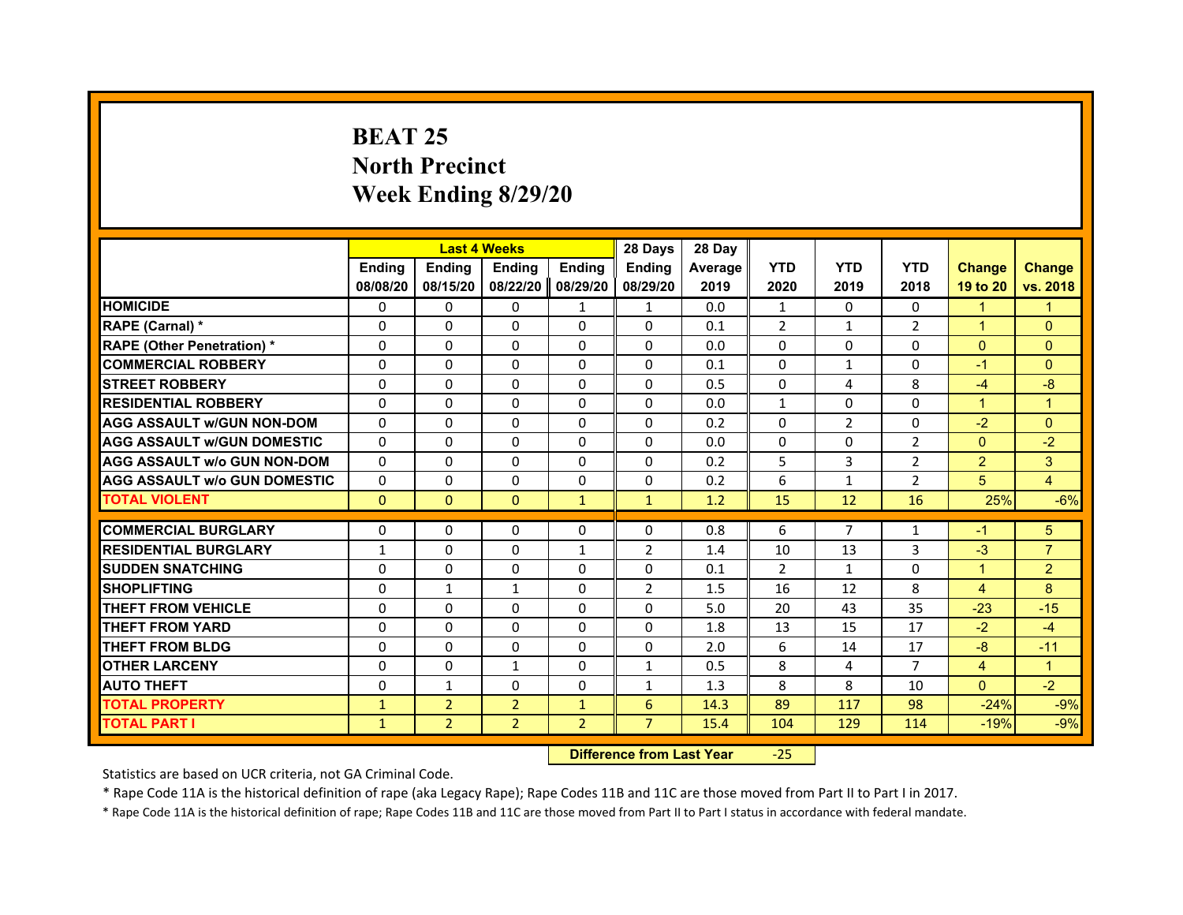## **BEAT 25North Precinct Week Ending 8/29/20**

|                                     |               |                | <b>Last 4 Weeks</b> |                | 28 Days        | 28 Day  |                |                |                |                |                |
|-------------------------------------|---------------|----------------|---------------------|----------------|----------------|---------|----------------|----------------|----------------|----------------|----------------|
|                                     | <b>Endina</b> | <b>Endina</b>  | <b>Endina</b>       | <b>Endina</b>  | <b>Ending</b>  | Average | <b>YTD</b>     | <b>YTD</b>     | <b>YTD</b>     | <b>Change</b>  | <b>Change</b>  |
|                                     | 08/08/20      | 08/15/20       | 08/22/20            | 08/29/20       | 08/29/20       | 2019    | 2020           | 2019           | 2018           | 19 to 20       | vs. 2018       |
| <b>HOMICIDE</b>                     | 0             | $\Omega$       | $\Omega$            | $\mathbf{1}$   | 1              | 0.0     | $\mathbf{1}$   | $\Omega$       | $\mathbf{0}$   | $\mathbf{1}$   | $\mathbf{1}$   |
| RAPE (Carnal) *                     | $\Omega$      | $\Omega$       | $\Omega$            | $\Omega$       | $\Omega$       | 0.1     | $\overline{2}$ | $\mathbf{1}$   | $\overline{2}$ | $\mathbf{1}$   | $\Omega$       |
| <b>RAPE (Other Penetration) *</b>   | 0             | $\Omega$       | $\Omega$            | $\Omega$       | $\Omega$       | 0.0     | $\Omega$       | $\Omega$       | $\Omega$       | $\mathbf{0}$   | $\Omega$       |
| <b>COMMERCIAL ROBBERY</b>           | 0             | $\Omega$       | $\Omega$            | $\Omega$       | $\Omega$       | 0.1     | $\Omega$       | $\mathbf{1}$   | 0              | $-1$           | $\Omega$       |
| <b>STREET ROBBERY</b>               | $\Omega$      | $\Omega$       | $\Omega$            | $\Omega$       | $\Omega$       | 0.5     | $\Omega$       | 4              | 8              | $-4$           | $-8$           |
| <b>RESIDENTIAL ROBBERY</b>          | $\Omega$      | $\Omega$       | $\Omega$            | $\Omega$       | $\Omega$       | 0.0     | $\mathbf{1}$   | $\Omega$       | $\Omega$       | $\overline{1}$ | $\mathbf{1}$   |
| <b>AGG ASSAULT w/GUN NON-DOM</b>    | $\Omega$      | $\Omega$       | $\Omega$            | $\Omega$       | $\Omega$       | 0.2     | $\Omega$       | $\overline{2}$ | $\Omega$       | $-2$           | $\Omega$       |
| <b>AGG ASSAULT W/GUN DOMESTIC</b>   | $\Omega$      | $\Omega$       | $\Omega$            | 0              | 0              | 0.0     | 0              | 0              | $\overline{2}$ | $\Omega$       | $-2$           |
| <b>AGG ASSAULT W/o GUN NON-DOM</b>  | $\Omega$      | $\Omega$       | $\Omega$            | $\Omega$       | $\Omega$       | 0.2     | 5              | 3              | $\overline{2}$ | $\overline{2}$ | 3              |
| <b>AGG ASSAULT W/o GUN DOMESTIC</b> | $\Omega$      | $\Omega$       | $\Omega$            | $\Omega$       | $\Omega$       | 0.2     | 6              | $\mathbf{1}$   | $\overline{2}$ | 5              | $\overline{4}$ |
| <b>TOTAL VIOLENT</b>                | $\pmb{0}$     | $\pmb{0}$      | $\mathbf{0}$        | $\mathbf{1}$   | $\mathbf{1}$   | 1.2     | 15             | 12             | 16             | 25%            | $-6%$          |
|                                     |               |                |                     |                |                |         |                |                |                |                |                |
| <b>COMMERCIAL BURGLARY</b>          | 0             | $\Omega$       | $\Omega$            | 0              | 0              | 0.8     | 6              | 7              | 1              | $-1$           | 5              |
| <b>RESIDENTIAL BURGLARY</b>         | 1             | $\Omega$       | $\Omega$            | $\mathbf{1}$   | $\overline{2}$ | 1.4     | 10             | 13             | 3              | $-3$           | $\overline{7}$ |
| <b>SUDDEN SNATCHING</b>             | $\Omega$      | $\Omega$       | $\Omega$            | $\Omega$       | $\Omega$       | 0.1     | $\overline{2}$ | $\mathbf{1}$   | $\Omega$       | $\overline{1}$ | $\overline{2}$ |
| <b>SHOPLIFTING</b>                  | $\Omega$      | $\mathbf{1}$   | $\mathbf{1}$        | $\Omega$       | $\overline{2}$ | 1.5     | 16             | 12             | 8              | $\overline{4}$ | 8              |
| <b>THEFT FROM VEHICLE</b>           | 0             | $\Omega$       | $\Omega$            | 0              | $\Omega$       | 5.0     | 20             | 43             | 35             | $-23$          | $-15$          |
| <b>THEFT FROM YARD</b>              | 0             | $\Omega$       | 0                   | $\Omega$       | $\Omega$       | 1.8     | 13             | 15             | 17             | $-2$           | $-4$           |
| <b>THEFT FROM BLDG</b>              | $\Omega$      | $\Omega$       | $\Omega$            | $\Omega$       | $\Omega$       | 2.0     | 6              | 14             | 17             | $-8$           | $-11$          |
| <b>OTHER LARCENY</b>                | 0             | $\Omega$       | $\mathbf{1}$        | $\Omega$       | $\mathbf{1}$   | 0.5     | 8              | 4              | $\overline{7}$ | $\overline{4}$ | $\mathbf{1}$   |
| <b>AUTO THEFT</b>                   | $\Omega$      | $\mathbf{1}$   | $\Omega$            | $\Omega$       | $\mathbf{1}$   | 1.3     | 8              | 8              | 10             | $\Omega$       | $-2$           |
| <b>TOTAL PROPERTY</b>               | $\mathbf{1}$  | $\overline{2}$ | $\overline{2}$      | $\mathbf{1}$   | 6              | 14.3    | 89             | 117            | 98             | $-24%$         | $-9%$          |
| <b>TOTAL PART I</b>                 | $\mathbf{1}$  | $\overline{2}$ | $\overline{2}$      | $\overline{2}$ | $\overline{7}$ | 15.4    | 104            | 129            | 114            | $-19%$         | $-9%$          |

 **Difference from Last Year**‐25

Statistics are based on UCR criteria, not GA Criminal Code.

\* Rape Code 11A is the historical definition of rape (aka Legacy Rape); Rape Codes 11B and 11C are those moved from Part II to Part I in 2017.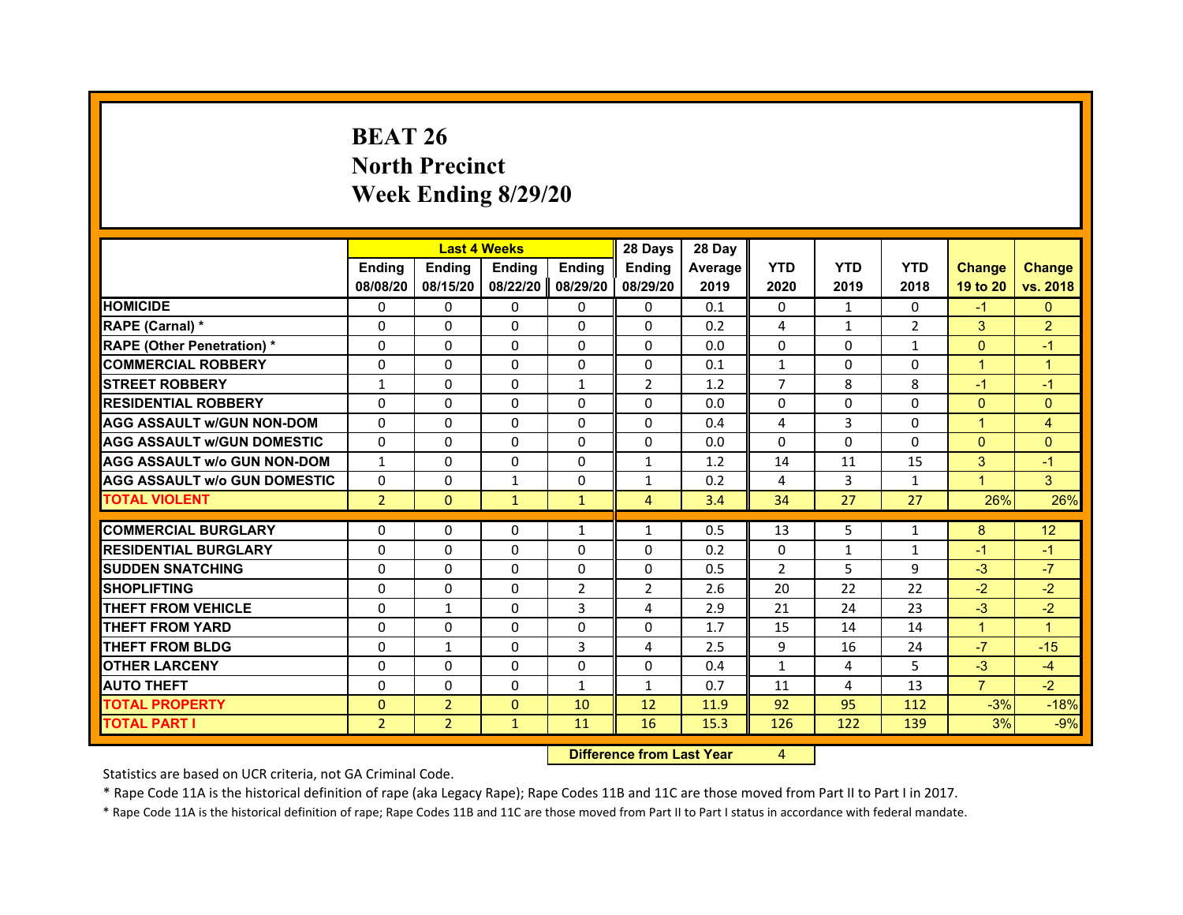# **BEAT 26North Precinct Week Ending 8/29/20**

|                                     |                |                | <b>Last 4 Weeks</b> |               | 28 Days        | 28 Day  |                |              |                |                      |                      |
|-------------------------------------|----------------|----------------|---------------------|---------------|----------------|---------|----------------|--------------|----------------|----------------------|----------------------|
|                                     | <b>Endina</b>  | <b>Ending</b>  | <b>Endina</b>       | <b>Endina</b> | <b>Endina</b>  | Average | <b>YTD</b>     | <b>YTD</b>   | <b>YTD</b>     | <b>Change</b>        | <b>Change</b>        |
|                                     | 08/08/20       | 08/15/20       | 08/22/20            | 08/29/20      | 08/29/20       | 2019    | 2020           | 2019         | 2018           | 19 to 20             | vs. 2018             |
| <b>HOMICIDE</b>                     | 0              | $\Omega$       | $\Omega$            | 0             | 0              | 0.1     | 0              | $\mathbf{1}$ | $\Omega$       | $-1$                 | $\mathbf{0}$         |
| RAPE (Carnal) *                     | $\Omega$       | $\Omega$       | $\Omega$            | $\Omega$      | $\Omega$       | 0.2     | 4              | $\mathbf{1}$ | $\overline{2}$ | 3                    | $\overline{2}$       |
| <b>RAPE (Other Penetration) *</b>   | $\Omega$       | $\Omega$       | $\Omega$            | $\Omega$      | $\Omega$       | 0.0     | $\Omega$       | $\Omega$     | $\mathbf{1}$   | $\Omega$             | $-1$                 |
| <b>COMMERCIAL ROBBERY</b>           | 0              | 0              | 0                   | 0             | 0              | 0.1     | $\mathbf{1}$   | 0            | $\Omega$       | $\blacktriangleleft$ | 1                    |
| <b>STREET ROBBERY</b>               | $\mathbf{1}$   | $\Omega$       | $\Omega$            | $\mathbf{1}$  | $\overline{2}$ | 1.2     | $\overline{7}$ | 8            | 8              | $-1$                 | $-1$                 |
| <b>RESIDENTIAL ROBBERY</b>          | 0              | $\Omega$       | 0                   | $\Omega$      | 0              | 0.0     | 0              | 0            | $\Omega$       | $\Omega$             | $\Omega$             |
| <b>AGG ASSAULT w/GUN NON-DOM</b>    | $\Omega$       | $\Omega$       | $\Omega$            | $\Omega$      | $\Omega$       | 0.4     | 4              | 3            | $\Omega$       | $\overline{1}$       | $\overline{4}$       |
| <b>AGG ASSAULT W/GUN DOMESTIC</b>   | $\Omega$       | $\Omega$       | $\Omega$            | $\Omega$      | $\Omega$       | 0.0     | $\Omega$       | $\Omega$     | $\Omega$       | $\Omega$             | $\Omega$             |
| <b>AGG ASSAULT W/o GUN NON-DOM</b>  | $\mathbf{1}$   | $\Omega$       | 0                   | $\Omega$      | $\mathbf{1}$   | 1.2     | 14             | 11           | 15             | 3                    | $-1$                 |
| <b>AGG ASSAULT W/o GUN DOMESTIC</b> | $\Omega$       | 0              | 1                   | $\Omega$      | $\mathbf{1}$   | 0.2     | 4              | 3            | 1              | $\blacktriangleleft$ | 3                    |
| <b>TOTAL VIOLENT</b>                | $\overline{2}$ | $\mathbf{0}$   | $\mathbf{1}$        | $\mathbf{1}$  | 4              | 3.4     | 34             | 27           | 27             | 26%                  | 26%                  |
|                                     |                |                |                     |               |                |         |                |              |                |                      |                      |
| <b>COMMERCIAL BURGLARY</b>          | 0              | 0              | 0                   | 1             | $\mathbf{1}$   | 0.5     | 13             | 5            | 1              | 8                    | 12                   |
| <b>RESIDENTIAL BURGLARY</b>         | $\Omega$       | $\Omega$       | $\Omega$            | $\Omega$      | $\Omega$       | 0.2     | $\Omega$       | $\mathbf{1}$ | $\mathbf{1}$   | $-1$                 | $-1$                 |
| <b>SUDDEN SNATCHING</b>             | 0              | $\Omega$       | 0                   | $\Omega$      | 0              | 0.5     | $\overline{2}$ | 5            | 9              | $-3$                 | $-7$                 |
| <b>SHOPLIFTING</b>                  | $\Omega$       | $\Omega$       | $\Omega$            | 2             | 2              | 2.6     | 20             | 22           | 22             | $-2$                 | $-2$                 |
| <b>THEFT FROM VEHICLE</b>           | $\Omega$       | $\mathbf{1}$   | $\Omega$            | 3             | 4              | 2.9     | 21             | 24           | 23             | $-3$                 | $-2$                 |
| <b>THEFT FROM YARD</b>              | 0              | $\Omega$       | 0                   | $\Omega$      | $\Omega$       | 1.7     | 15             | 14           | 14             | $\mathbf{1}$         | $\blacktriangleleft$ |
| <b>THEFT FROM BLDG</b>              | $\Omega$       | 1              | 0                   | 3             | 4              | 2.5     | 9              | 16           | 24             | $-7$                 | $-15$                |
| <b>OTHER LARCENY</b>                | 0              | 0              | 0                   | 0             | 0              | 0.4     | $\mathbf{1}$   | 4            | 5              | $-3$                 | $-4$                 |
| <b>AUTO THEFT</b>                   | $\Omega$       | $\Omega$       | $\Omega$            | $\mathbf{1}$  | $\mathbf{1}$   | 0.7     | 11             | 4            | 13             | $\overline{7}$       | $-2$                 |
| <b>TOTAL PROPERTY</b>               | $\Omega$       | $\overline{2}$ | $\Omega$            | 10            | 12             | 11.9    | 92             | 95           | 112            | $-3%$                | $-18%$               |
| <b>TOTAL PART I</b>                 | $\overline{2}$ | $\overline{2}$ | $\mathbf{1}$        | 11            | 16             | 15.3    | 126            | 122          | 139            | 3%                   | $-9%$                |

 **Difference from Last Year**r 4

Statistics are based on UCR criteria, not GA Criminal Code.

\* Rape Code 11A is the historical definition of rape (aka Legacy Rape); Rape Codes 11B and 11C are those moved from Part II to Part I in 2017.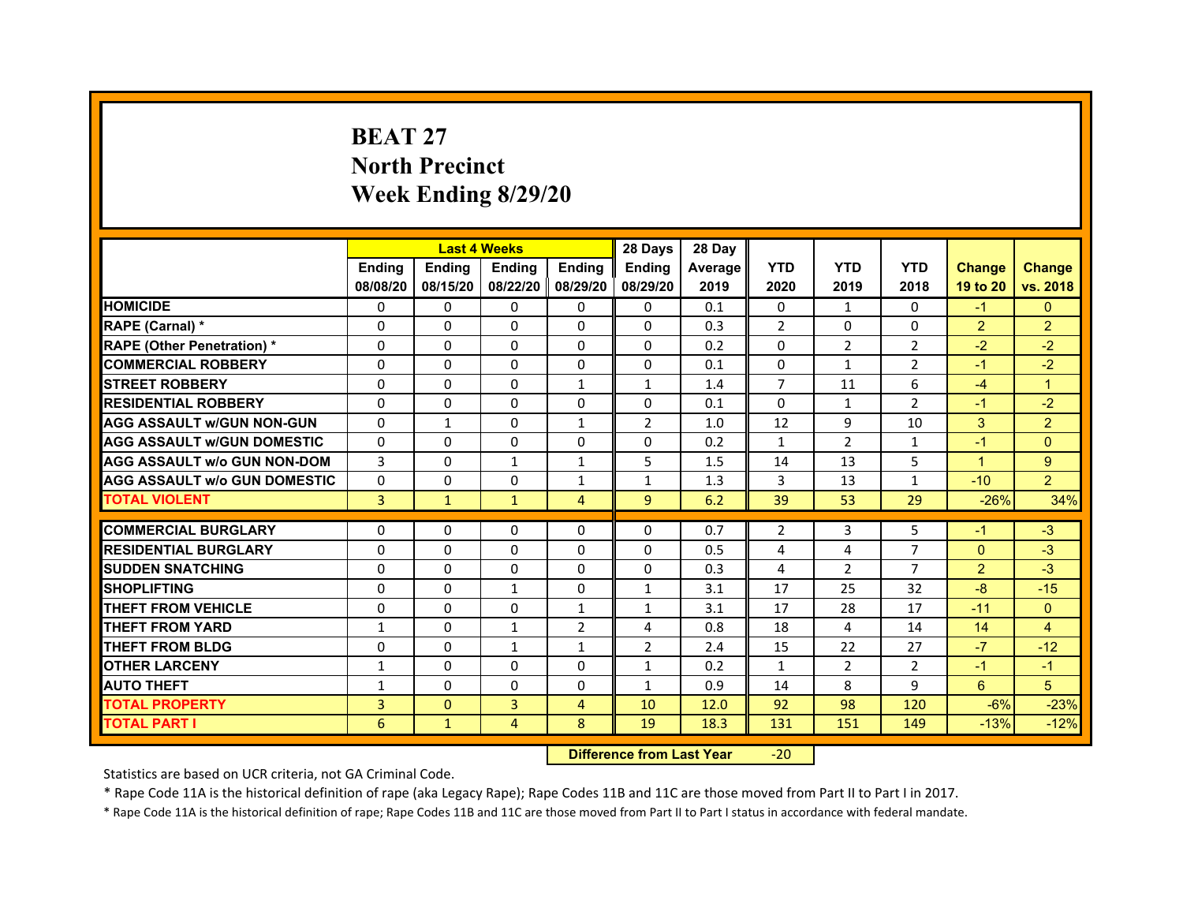# **BEAT 27North PrecinctWeek Ending 8/29/20**

|                                     |                |                | <b>Last 4 Weeks</b> |                   | 28 Days        | 28 Day  |                |                |                |                |                |
|-------------------------------------|----------------|----------------|---------------------|-------------------|----------------|---------|----------------|----------------|----------------|----------------|----------------|
|                                     | <b>Endina</b>  | <b>Ending</b>  | <b>Endina</b>       | <b>Ending</b>     | <b>Endina</b>  | Average | <b>YTD</b>     | <b>YTD</b>     | <b>YTD</b>     | <b>Change</b>  | <b>Change</b>  |
|                                     | 08/08/20       | 08/15/20       |                     | 08/22/20 08/29/20 | 08/29/20       | 2019    | 2020           | 2019           | 2018           | 19 to 20       | vs. 2018       |
| <b>HOMICIDE</b>                     | $\Omega$       | $\Omega$       | $\Omega$            | $\Omega$          | $\Omega$       | 0.1     | $\Omega$       | $\mathbf{1}$   | $\Omega$       | $-1$           | $\mathbf{0}$   |
| RAPE (Carnal) *                     | 0              | 0              | $\Omega$            | $\Omega$          | $\Omega$       | 0.3     | $\mathcal{P}$  | $\Omega$       | $\Omega$       | $\overline{2}$ | $\overline{2}$ |
| <b>RAPE (Other Penetration)*</b>    | 0              | $\Omega$       | 0                   | 0                 | 0              | 0.2     | 0              | 2              | 2              | $-2$           | $-2$           |
| <b>COMMERCIAL ROBBERY</b>           | 0              | $\Omega$       | $\Omega$            | $\mathbf{0}$      | $\Omega$       | 0.1     | $\Omega$       | $\mathbf{1}$   | $\overline{2}$ | $-1$           | $-2$           |
| <b>STREET ROBBERY</b>               | $\Omega$       | $\Omega$       | $\Omega$            | $\mathbf{1}$      | $\mathbf{1}$   | 1.4     | $\overline{7}$ | 11             | 6              | $-4$           | $\overline{1}$ |
| <b>RESIDENTIAL ROBBERY</b>          | $\Omega$       | 0              | $\Omega$            | $\mathbf{0}$      | $\Omega$       | 0.1     | $\Omega$       | $\mathbf{1}$   | $\overline{2}$ | $-1$           | $-2$           |
| <b>AGG ASSAULT w/GUN NON-GUN</b>    | $\Omega$       | $\mathbf{1}$   | $\Omega$            | $\mathbf{1}$      | $\overline{2}$ | 1.0     | 12             | 9              | 10             | 3              | $\overline{2}$ |
| <b>AGG ASSAULT W/GUN DOMESTIC</b>   | $\Omega$       | $\Omega$       | $\Omega$            | $\Omega$          | $\Omega$       | 0.2     | $\mathbf{1}$   | 2              | $\mathbf{1}$   | $-1$           | $\Omega$       |
| <b>AGG ASSAULT W/o GUN NON-DOM</b>  | 3              | 0              | $\mathbf{1}$        | 1                 | 5              | 1.5     | 14             | 13             | 5              | 1              | 9              |
| <b>AGG ASSAULT W/o GUN DOMESTIC</b> | 0              | 0              | 0                   | $\mathbf{1}$      | $\mathbf{1}$   | 1.3     | 3              | 13             | $\mathbf{1}$   | $-10$          | $\overline{2}$ |
| <b>TOTAL VIOLENT</b>                | 3              | $\mathbf{1}$   | $\mathbf{1}$        | $\overline{4}$    | 9              | 6.2     | 39             | 53             | 29             | $-26%$         | 34%            |
|                                     |                |                |                     |                   |                |         |                |                |                |                |                |
| <b>COMMERCIAL BURGLARY</b>          | 0              | 0              | 0                   | 0                 | 0              | 0.7     | $\overline{2}$ | 3              | 5              | $-1$           | $-3$           |
| <b>RESIDENTIAL BURGLARY</b>         | 0              | 0              | 0                   | 0                 | 0              | 0.5     | 4              | $\overline{4}$ | 7              | $\Omega$       | $-3$           |
| <b>SUDDEN SNATCHING</b>             | 0              | 0              | 0                   | $\Omega$          | 0              | 0.3     | 4              | $\overline{2}$ | 7              | 2              | $-3$           |
| <b>SHOPLIFTING</b>                  | $\Omega$       | $\Omega$       | $\mathbf{1}$        | $\Omega$          | $\mathbf{1}$   | 3.1     | 17             | 25             | 32             | $-8$           | $-15$          |
| <b>THEFT FROM VEHICLE</b>           | $\Omega$       | $\Omega$       | $\Omega$            | $\mathbf{1}$      | $\mathbf{1}$   | 3.1     | 17             | 28             | 17             | $-11$          | $\Omega$       |
| <b>THEFT FROM YARD</b>              | 1              | 0              | $\mathbf{1}$        | $\overline{2}$    | 4              | 0.8     | 18             | 4              | 14             | 14             | $\overline{4}$ |
| <b>THEFT FROM BLDG</b>              | 0              | $\Omega$       | $\mathbf{1}$        | $\mathbf{1}$      | $\overline{2}$ | 2.4     | 15             | 22             | 27             | $-7$           | $-12$          |
| <b>OTHER LARCENY</b>                | 1              | $\Omega$       | $\Omega$            | $\mathbf{0}$      | $\mathbf{1}$   | 0.2     | $\mathbf{1}$   | 2              | $\overline{2}$ | $-1$           | $-1$           |
| <b>AUTO THEFT</b>                   | $\mathbf{1}$   | $\Omega$       | $\mathbf{0}$        | $\mathbf{0}$      | $\mathbf{1}$   | 0.9     | 14             | 8              | 9              | 6              | 5              |
| <b>TOTAL PROPERTY</b>               | $\overline{3}$ | $\overline{0}$ | 3                   | 4                 | 10             | 12.0    | 92             | 98             | 120            | $-6%$          | $-23%$         |
| <b>TOTAL PART I</b>                 | 6              | $\mathbf{1}$   | 4                   | 8                 | 19             | 18.3    | 131            | 151            | 149            | $-13%$         | $-12%$         |

 **Difference from Last Year**‐20

Statistics are based on UCR criteria, not GA Criminal Code.

\* Rape Code 11A is the historical definition of rape (aka Legacy Rape); Rape Codes 11B and 11C are those moved from Part II to Part I in 2017.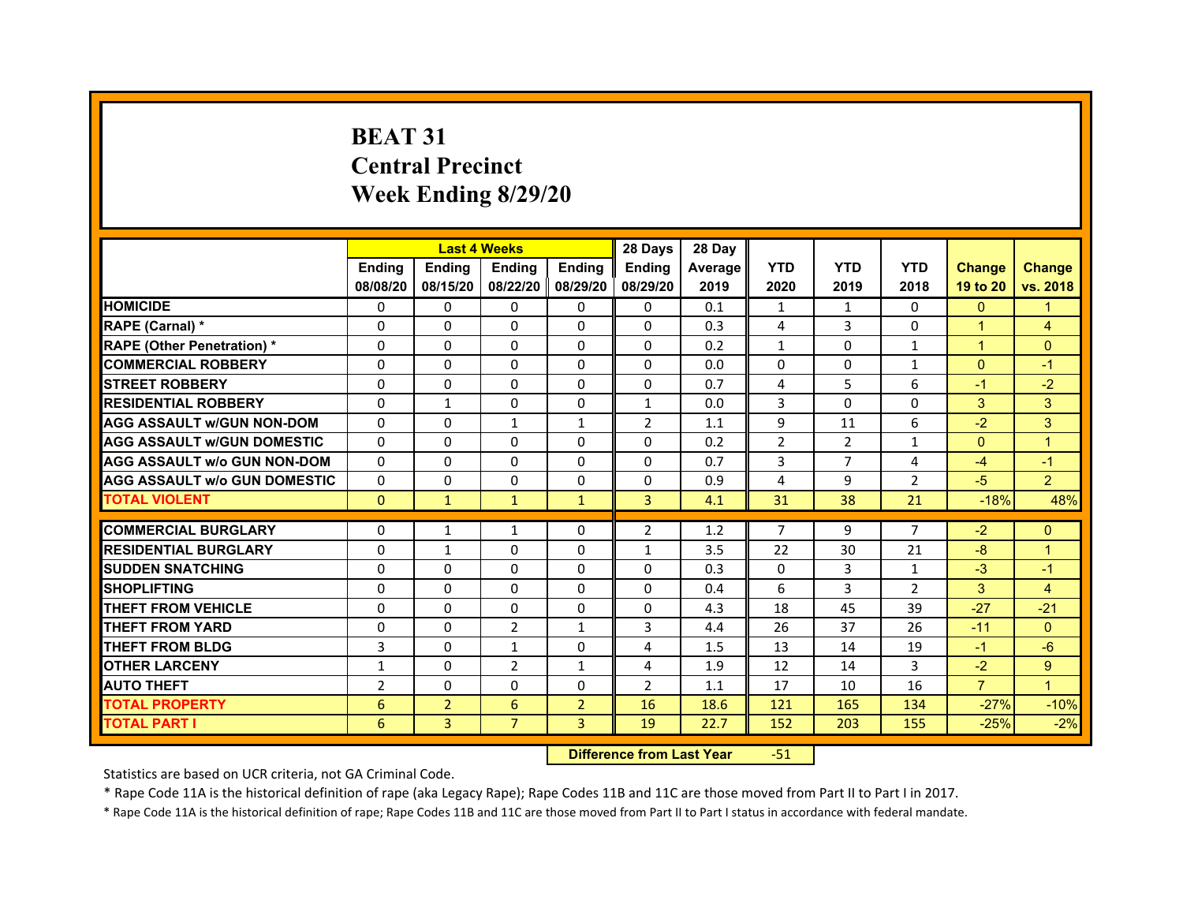# **BEAT 31Central PrecinctWeek Ending 8/29/20**

|                                     |                | <b>Last 4 Weeks</b> |                   |                | 28 Days        | 28 Day  |                |            |                |                |                      |
|-------------------------------------|----------------|---------------------|-------------------|----------------|----------------|---------|----------------|------------|----------------|----------------|----------------------|
|                                     | <b>Endina</b>  | <b>Endina</b>       | <b>Endina</b>     | <b>Ending</b>  | <b>Endina</b>  | Average | <b>YTD</b>     | <b>YTD</b> | <b>YTD</b>     | <b>Change</b>  | <b>Change</b>        |
|                                     | 08/08/20       | 08/15/20            | 08/22/20 08/29/20 |                | 08/29/20       | 2019    | 2020           | 2019       | 2018           | 19 to 20       | vs. 2018             |
| <b>HOMICIDE</b>                     | 0              | 0                   | $\mathbf{0}$      | 0              | 0              | 0.1     | 1              | 1          | $\Omega$       | $\mathbf{0}$   |                      |
| RAPE (Carnal) *                     | $\Omega$       | $\Omega$            | $\Omega$          | $\Omega$       | $\Omega$       | 0.3     | 4              | 3          | $\Omega$       | $\overline{1}$ | $\overline{4}$       |
| <b>RAPE (Other Penetration) *</b>   | 0              | $\Omega$            | $\Omega$          | $\mathbf{0}$   | $\Omega$       | 0.2     | $\mathbf{1}$   | $\Omega$   | $\mathbf{1}$   | $\mathbf{1}$   | $\Omega$             |
| <b>COMMERCIAL ROBBERY</b>           | 0              | 0                   | $\Omega$          | 0              | $\Omega$       | 0.0     | $\Omega$       | 0          | $\mathbf{1}$   | $\mathbf{0}$   | $\blacktriangleleft$ |
| <b>STREET ROBBERY</b>               | 0              | 0                   | 0                 | 0              | 0              | 0.7     | 4              | 5          | 6              | $-1$           | $-2$                 |
| <b>RESIDENTIAL ROBBERY</b>          | 0              | $\mathbf{1}$        | $\Omega$          | $\Omega$       | $\mathbf{1}$   | 0.0     | 3              | $\Omega$   | $\Omega$       | 3              | 3                    |
| <b>AGG ASSAULT w/GUN NON-DOM</b>    | $\Omega$       | $\mathbf 0$         | $\mathbf{1}$      | $\mathbf{1}$   | $\overline{2}$ | 1.1     | 9              | 11         | 6              | $-2$           | 3                    |
| <b>AGG ASSAULT W/GUN DOMESTIC</b>   | $\Omega$       | 0                   | $\Omega$          | 0              | $\Omega$       | 0.2     | $\overline{2}$ | 2          | $\mathbf{1}$   | $\mathbf{0}$   | $\mathbf{1}$         |
| <b>AGG ASSAULT w/o GUN NON-DOM</b>  | 0              | 0                   | $\Omega$          | $\Omega$       | $\Omega$       | 0.7     | 3              | 7          | 4              | $-4$           | $-1$                 |
| <b>AGG ASSAULT W/o GUN DOMESTIC</b> | $\Omega$       | $\Omega$            | 0                 | $\Omega$       | 0              | 0.9     | 4              | 9          | $\overline{2}$ | $-5$           | $\overline{2}$       |
| <b>TOTAL VIOLENT</b>                | $\Omega$       | $\mathbf{1}$        | $\mathbf{1}$      | $\mathbf{1}$   | 3              | 4.1     | 31             | 38         | 21             | $-18%$         | 48%                  |
|                                     |                |                     |                   |                |                |         |                |            |                |                |                      |
| <b>COMMERCIAL BURGLARY</b>          | 0              | 1                   | $\mathbf{1}$      | 0              | 2              | 1.2     | $\overline{7}$ | 9          | $\overline{7}$ | $-2$           | $\Omega$             |
| <b>RESIDENTIAL BURGLARY</b>         | 0              | $\mathbf{1}$        | $\Omega$          | $\Omega$       | 1              | 3.5     | 22             | 30         | 21             | $-8$           | 1                    |
| <b>SUDDEN SNATCHING</b>             | 0              | 0                   | $\Omega$          | 0              | 0              | 0.3     | $\Omega$       | 3          | $\mathbf{1}$   | $-3$           | $\blacktriangleleft$ |
| <b>SHOPLIFTING</b>                  | $\Omega$       | $\Omega$            | $\Omega$          | $\Omega$       | $\Omega$       | 0.4     | 6              | 3          | $\overline{2}$ | 3              | $\overline{4}$       |
| <b>THEFT FROM VEHICLE</b>           | 0              | $\Omega$            | $\Omega$          | $\mathbf{0}$   | $\Omega$       | 4.3     | 18             | 45         | 39             | $-27$          | $-21$                |
| <b>THEFT FROM YARD</b>              | $\Omega$       | $\Omega$            | $\overline{2}$    | $\mathbf{1}$   | 3              | 4.4     | 26             | 37         | 26             | $-11$          | $\Omega$             |
| <b>THEFT FROM BLDG</b>              | 3              | 0                   | $\mathbf{1}$      | 0              | 4              | 1.5     | 13             | 14         | 19             | $-1$           | $-6$                 |
| <b>OTHER LARCENY</b>                | 1              | $\Omega$            | $\overline{2}$    | $\mathbf{1}$   | 4              | 1.9     | 12             | 14         | 3              | $-2$           | 9                    |
| <b>AUTO THEFT</b>                   | $\overline{2}$ | 0                   | $\Omega$          | $\Omega$       | $\overline{2}$ | 1.1     | 17             | 10         | 16             | $\overline{7}$ | $\overline{1}$       |
| <b>TOTAL PROPERTY</b>               | 6              | $\overline{2}$      | 6                 | $\overline{2}$ | 16             | 18.6    | 121            | 165        | 134            | $-27%$         | $-10%$               |
| <b>TOTAL PART I</b>                 | 6              | 3                   | $\overline{7}$    | $\overline{3}$ | 19             | 22.7    | 152            | 203        | 155            | $-25%$         | $-2%$                |

 **Difference from Last Year**r -51

Statistics are based on UCR criteria, not GA Criminal Code.

\* Rape Code 11A is the historical definition of rape (aka Legacy Rape); Rape Codes 11B and 11C are those moved from Part II to Part I in 2017.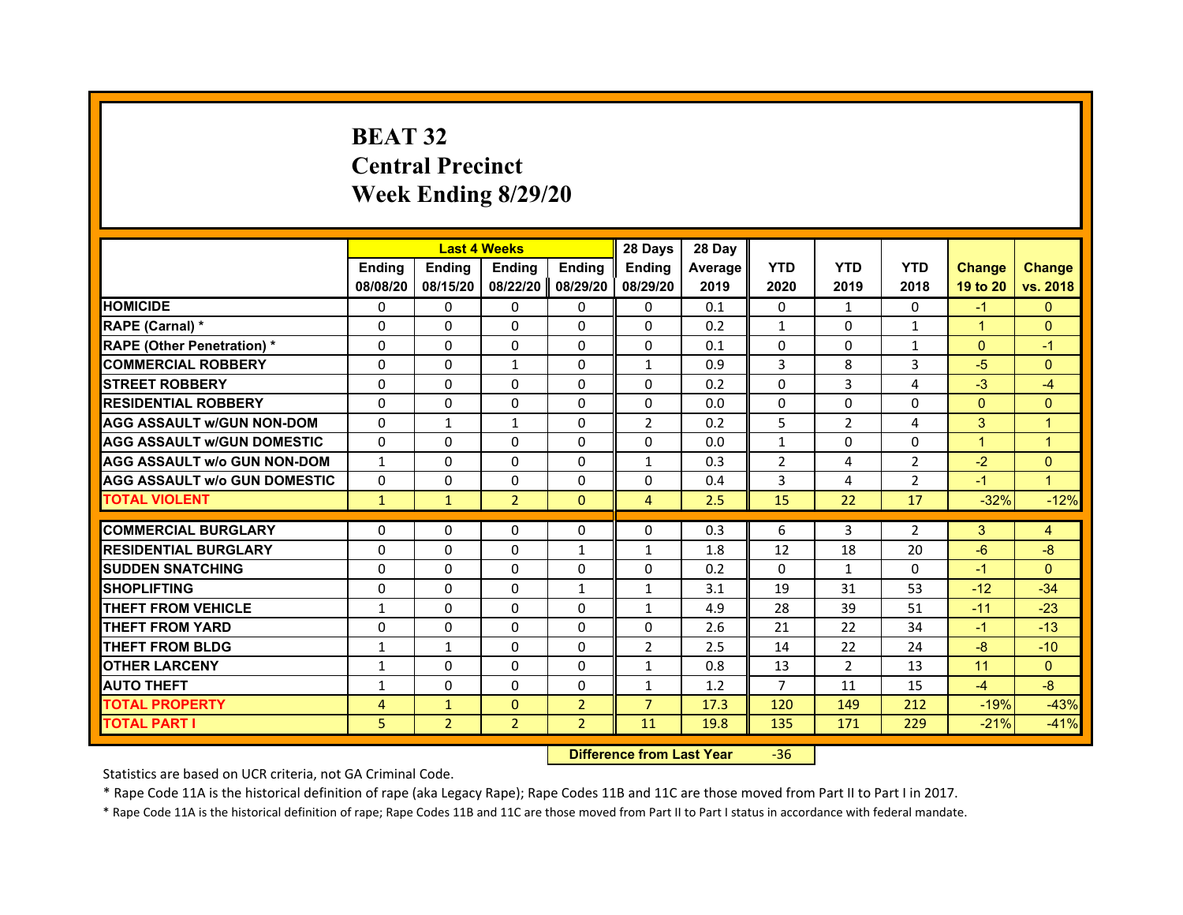# **BEAT 32Central Precinct Week Ending 8/29/20**

|                                     |                |                | <b>Last 4 Weeks</b> |                | 28 Days        | 28 Day         |                |                |                |                      |                |
|-------------------------------------|----------------|----------------|---------------------|----------------|----------------|----------------|----------------|----------------|----------------|----------------------|----------------|
|                                     | <b>Endina</b>  | <b>Ending</b>  | <b>Endina</b>       | <b>Endina</b>  | <b>Endina</b>  | <b>Average</b> | <b>YTD</b>     | <b>YTD</b>     | <b>YTD</b>     | <b>Change</b>        | <b>Change</b>  |
|                                     | 08/08/20       | 08/15/20       | 08/22/20            | 08/29/20       | 08/29/20       | 2019           | 2020           | 2019           | 2018           | 19 to 20             | vs. 2018       |
| <b>HOMICIDE</b>                     | 0              | 0              | 0                   | 0              | 0              | 0.1            | 0              | $\mathbf{1}$   | 0              | $-1$                 | $\mathbf{0}$   |
| RAPE (Carnal) *                     | $\Omega$       | $\Omega$       | $\Omega$            | $\Omega$       | $\Omega$       | 0.2            | $\mathbf{1}$   | $\Omega$       | $\mathbf{1}$   | $\mathbf{1}$         | $\Omega$       |
| <b>RAPE (Other Penetration) *</b>   | $\Omega$       | $\Omega$       | $\Omega$            | $\Omega$       | $\Omega$       | 0.1            | $\Omega$       | $\Omega$       | $\mathbf{1}$   | $\Omega$             | $-1$           |
| <b>COMMERCIAL ROBBERY</b>           | $\Omega$       | $\Omega$       | 1                   | $\Omega$       | 1              | 0.9            | 3              | 8              | 3              | $-5$                 | $\Omega$       |
| <b>STREET ROBBERY</b>               | $\Omega$       | $\Omega$       | $\Omega$            | $\Omega$       | $\Omega$       | 0.2            | $\Omega$       | 3              | 4              | $-3$                 | $-4$           |
| <b>RESIDENTIAL ROBBERY</b>          | $\Omega$       | $\Omega$       | $\Omega$            | $\Omega$       | $\Omega$       | 0.0            | $\Omega$       | $\Omega$       | $\Omega$       | $\Omega$             | $\Omega$       |
| <b>AGG ASSAULT w/GUN NON-DOM</b>    | $\Omega$       | $\mathbf{1}$   | $\mathbf{1}$        | $\Omega$       | $\overline{2}$ | 0.2            | 5              | $\overline{2}$ | 4              | 3                    | $\overline{1}$ |
| <b>AGG ASSAULT W/GUN DOMESTIC</b>   | $\Omega$       | $\Omega$       | $\Omega$            | $\Omega$       | $\Omega$       | 0.0            | $\mathbf{1}$   | $\Omega$       | $\Omega$       | $\blacktriangleleft$ | $\overline{1}$ |
| <b>AGG ASSAULT W/o GUN NON-DOM</b>  | $\mathbf{1}$   | 0              | 0                   | 0              | $\mathbf{1}$   | 0.3            | 2              | 4              | 2              | $-2$                 | $\Omega$       |
| <b>AGG ASSAULT W/o GUN DOMESTIC</b> | $\Omega$       | $\Omega$       | $\Omega$            | $\Omega$       | $\Omega$       | 0.4            | 3              | 4              | $\overline{2}$ | $-1$                 | 1              |
| <b>TOTAL VIOLENT</b>                | $\mathbf{1}$   | $\mathbf{1}$   | $\overline{2}$      | $\mathbf{0}$   | $\overline{4}$ | 2.5            | 15             | 22             | 17             | $-32%$               | $-12%$         |
|                                     |                |                |                     |                |                |                |                |                |                |                      |                |
| <b>COMMERCIAL BURGLARY</b>          | 0              | $\Omega$       | 0                   | $\Omega$       | $\Omega$       | 0.3            | 6              | 3              | $\overline{2}$ | 3                    | 4              |
| <b>RESIDENTIAL BURGLARY</b>         | $\Omega$       | $\Omega$       | $\Omega$            | $\mathbf{1}$   | $\mathbf{1}$   | 1.8            | 12             | 18             | 20             | $-6$                 | $-8$           |
| <b>SUDDEN SNATCHING</b>             | $\Omega$       | $\Omega$       | $\Omega$            | $\Omega$       | $\Omega$       | 0.2            | $\Omega$       | $\mathbf{1}$   | $\Omega$       | $-1$                 | $\Omega$       |
| <b>SHOPLIFTING</b>                  | $\Omega$       | $\Omega$       | $\Omega$            | $\mathbf{1}$   | $\mathbf{1}$   | 3.1            | 19             | 31             | 53             | $-12$                | $-34$          |
| <b>THEFT FROM VEHICLE</b>           | 1              | $\Omega$       | $\Omega$            | $\Omega$       | $\mathbf{1}$   | 4.9            | 28             | 39             | 51             | $-11$                | $-23$          |
| <b>THEFT FROM YARD</b>              | $\Omega$       | $\Omega$       | $\Omega$            | $\Omega$       | $\Omega$       | 2.6            | 21             | 22             | 34             | $-1$                 | $-13$          |
| <b>THEFT FROM BLDG</b>              | 1              | $\mathbf{1}$   | $\Omega$            | $\Omega$       | $\overline{2}$ | 2.5            | 14             | 22             | 24             | $-8$                 | $-10$          |
| <b>OTHER LARCENY</b>                | $\mathbf{1}$   | 0              | 0                   | $\Omega$       | $\mathbf{1}$   | 0.8            | 13             | 2              | 13             | 11                   | $\Omega$       |
| <b>AUTO THEFT</b>                   | $\mathbf{1}$   | $\Omega$       | $\Omega$            | $\Omega$       | $\mathbf{1}$   | 1.2            | $\overline{7}$ | 11             | 15             | $-4$                 | $-8$           |
| <b>TOTAL PROPERTY</b>               | $\overline{4}$ | $\mathbf{1}$   | $\Omega$            | $\overline{2}$ | $\overline{7}$ | 17.3           | 120            | 149            | 212            | $-19%$               | $-43%$         |
| <b>TOTAL PART I</b>                 | 5              | $\overline{2}$ | $\overline{2}$      | $\overline{2}$ | 11             | 19.8           | 135            | 171            | 229            | $-21%$               | $-41%$         |

 **Difference from Last Year**‐36

Statistics are based on UCR criteria, not GA Criminal Code.

\* Rape Code 11A is the historical definition of rape (aka Legacy Rape); Rape Codes 11B and 11C are those moved from Part II to Part I in 2017.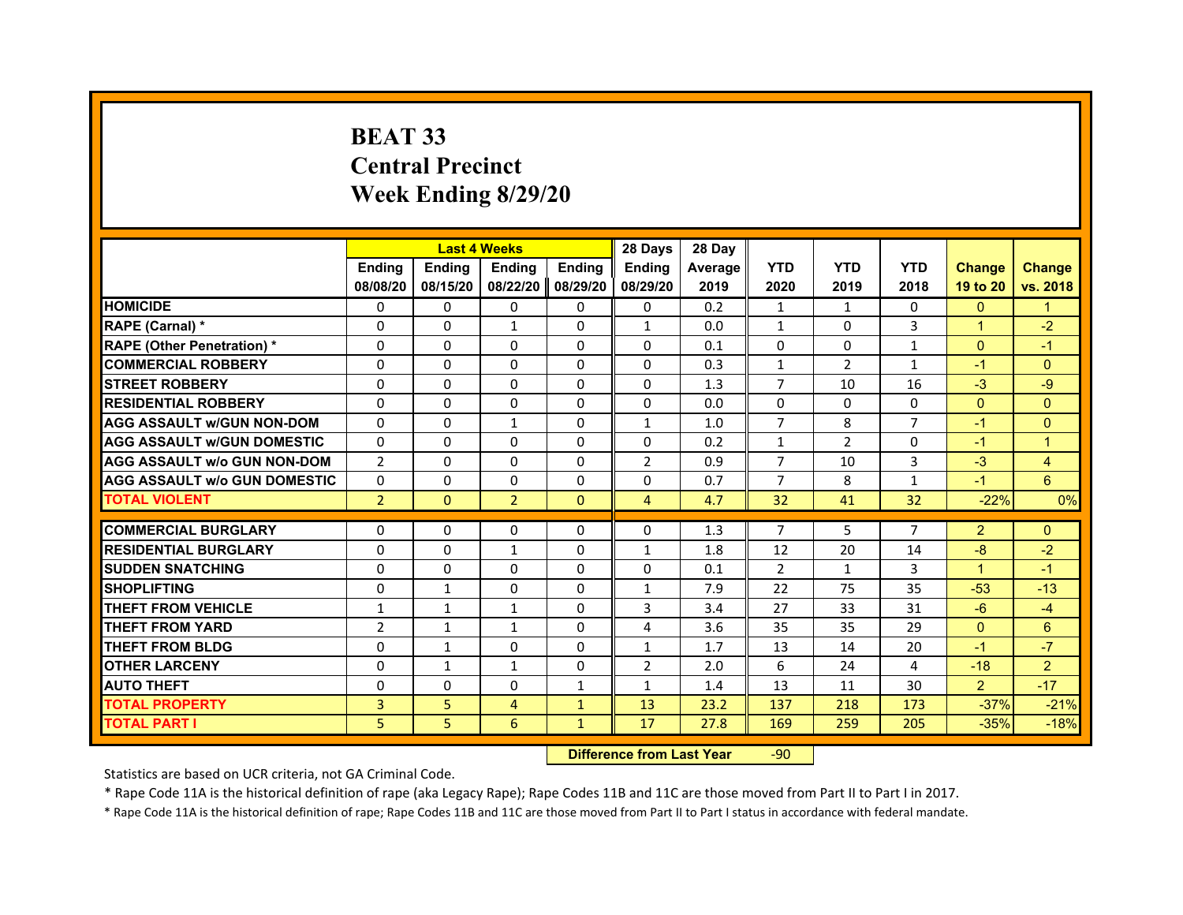# **BEAT 33Central PrecinctWeek Ending 8/29/20**

|                                     |                | <b>Last 4 Weeks</b> |                |               | 28 Days        | 28 Day  |                |                |                |                      |                |
|-------------------------------------|----------------|---------------------|----------------|---------------|----------------|---------|----------------|----------------|----------------|----------------------|----------------|
|                                     | <b>Ending</b>  | <b>Endina</b>       | <b>Endina</b>  | <b>Ending</b> | <b>Ending</b>  | Average | <b>YTD</b>     | <b>YTD</b>     | <b>YTD</b>     | <b>Change</b>        | <b>Change</b>  |
|                                     | 08/08/20       | 08/15/20            | 08/22/20       | 08/29/20      | 08/29/20       | 2019    | 2020           | 2019           | 2018           | 19 to 20             | vs. 2018       |
| <b>HOMICIDE</b>                     | 0              | 0                   | $\mathbf{0}$   | $\Omega$      | $\mathbf{0}$   | 0.2     | $\mathbf{1}$   | $\mathbf{1}$   | $\Omega$       | $\Omega$             |                |
| RAPE (Carnal) *                     | $\Omega$       | $\Omega$            | $\mathbf{1}$   | $\mathbf{0}$  | $\mathbf{1}$   | 0.0     | $\mathbf{1}$   | $\Omega$       | 3              | $\mathbf{1}$         | $-2$           |
| <b>RAPE (Other Penetration) *</b>   | 0              | 0                   | $\Omega$       | $\mathbf{0}$  | 0              | 0.1     | 0              | 0              | $\mathbf{1}$   | $\Omega$             | $-1$           |
| <b>COMMERCIAL ROBBERY</b>           | $\mathbf 0$    | 0                   | $\Omega$       | $\Omega$      | $\Omega$       | 0.3     | 1              | $\overline{2}$ | $\mathbf{1}$   | $-1$                 | $\mathbf{0}$   |
| <b>STREET ROBBERY</b>               | $\Omega$       | 0                   | 0              | $\mathbf{0}$  | 0              | 1.3     | $\overline{7}$ | 10             | 16             | $-3$                 | $-9$           |
| <b>RESIDENTIAL ROBBERY</b>          | $\Omega$       | $\Omega$            | $\Omega$       | $\mathbf{0}$  | $\Omega$       | 0.0     | $\Omega$       | $\Omega$       | $\Omega$       | $\Omega$             | $\mathbf{0}$   |
| <b>AGG ASSAULT w/GUN NON-DOM</b>    | $\Omega$       | $\Omega$            | $\mathbf{1}$   | $\mathbf{0}$  | $\mathbf{1}$   | 1.0     | $\overline{7}$ | 8              | $\overline{7}$ | $-1$                 | $\mathbf{0}$   |
| <b>AGG ASSAULT W/GUN DOMESTIC</b>   | $\Omega$       | $\Omega$            | $\Omega$       | $\mathbf{0}$  | $\Omega$       | 0.2     | $\mathbf{1}$   | 2              | $\Omega$       | $-1$                 | $\overline{1}$ |
| <b>AGG ASSAULT W/o GUN NON-DOM</b>  | $\overline{2}$ | $\Omega$            | $\Omega$       | 0             | $\overline{2}$ | 0.9     | 7              | 10             | 3              | $-3$                 | $\overline{4}$ |
| <b>AGG ASSAULT W/o GUN DOMESTIC</b> | $\Omega$       | 0                   | 0              | 0             | 0              | 0.7     | $\overline{7}$ | 8              | $\mathbf{1}$   | $-1$                 | 6              |
| <b>TOTAL VIOLENT</b>                | $\overline{2}$ | $\mathbf{0}$        | $\overline{2}$ | $\mathbf{0}$  | 4              | 4.7     | 32             | 41             | 32             | $-22%$               | 0%             |
|                                     |                |                     |                |               |                |         |                |                |                |                      |                |
| <b>COMMERCIAL BURGLARY</b>          | 0              | 0                   | 0              | 0             | $\Omega$       | 1.3     | 7              | 5              | $\overline{7}$ | $\overline{2}$       | $\mathbf{0}$   |
| <b>RESIDENTIAL BURGLARY</b>         | 0              | 0                   | $\mathbf{1}$   | 0             | $\mathbf{1}$   | 1.8     | 12             | 20             | 14             | $-8$                 | $-2$           |
| <b>SUDDEN SNATCHING</b>             | 0              | $\Omega$            | 0              | $\Omega$      | 0              | 0.1     | $\overline{2}$ | $\mathbf{1}$   | 3              | $\blacktriangleleft$ | $-1$           |
| <b>SHOPLIFTING</b>                  | $\mathbf 0$    | $\mathbf{1}$        | $\Omega$       | $\mathbf{0}$  | $\mathbf{1}$   | 7.9     | 22             | 75             | 35             | $-53$                | $-13$          |
| <b>THEFT FROM VEHICLE</b>           | $\mathbf{1}$   | $\mathbf{1}$        | $\mathbf{1}$   | 0             | 3              | 3.4     | 27             | 33             | 31             | $-6$                 | $-4$           |
| <b>THEFT FROM YARD</b>              | $\overline{2}$ | $\mathbf{1}$        | 1              | $\Omega$      | 4              | 3.6     | 35             | 35             | 29             | $\Omega$             | 6              |
| <b>THEFT FROM BLDG</b>              | $\Omega$       | $\mathbf{1}$        | 0              | $\mathbf{0}$  | $\mathbf{1}$   | 1.7     | 13             | 14             | 20             | $-1$                 | $-7$           |
| <b>OTHER LARCENY</b>                | 0              | $\mathbf{1}$        | $\mathbf{1}$   | $\mathbf{0}$  | $\overline{2}$ | 2.0     | 6              | 24             | 4              | $-18$                | $\overline{2}$ |
| <b>AUTO THEFT</b>                   | $\Omega$       | $\Omega$            | $\Omega$       | $\mathbf{1}$  | $\mathbf{1}$   | 1.4     | 13             | 11             | 30             | $\overline{2}$       | $-17$          |
| <b>TOTAL PROPERTY</b>               | 3              | 5                   | $\overline{4}$ | $\mathbf{1}$  | 13             | 23.2    | 137            | 218            | 173            | $-37%$               | $-21%$         |
| TOTAL PART I                        | 5              | 5                   | 6              | $\mathbf{1}$  | 17             | 27.8    | 169            | 259            | 205            | $-35%$               | $-18%$         |

 **Difference from Last Year**r -90

Statistics are based on UCR criteria, not GA Criminal Code.

\* Rape Code 11A is the historical definition of rape (aka Legacy Rape); Rape Codes 11B and 11C are those moved from Part II to Part I in 2017.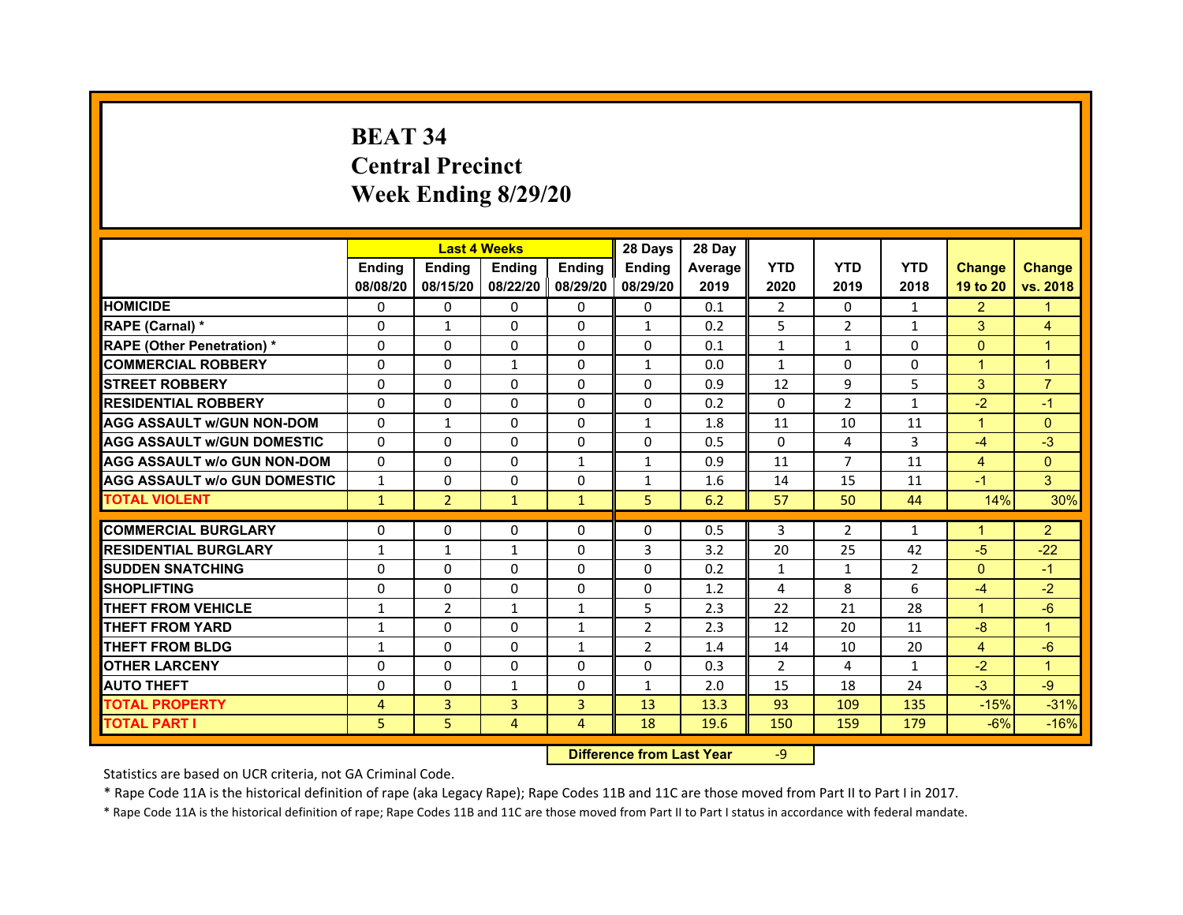# **BEAT 34Central Precinct Week Ending 8/29/20**

|                                     |                | <b>Last 4 Weeks</b> |                   |               | 28 Days        | 28 Day  |                |                |                |                      |                |
|-------------------------------------|----------------|---------------------|-------------------|---------------|----------------|---------|----------------|----------------|----------------|----------------------|----------------|
|                                     | <b>Ending</b>  | <b>Endina</b>       | Ending            | <b>Ending</b> | <b>Endina</b>  | Average | <b>YTD</b>     | <b>YTD</b>     | <b>YTD</b>     | <b>Change</b>        | <b>Change</b>  |
|                                     | 08/08/20       | 08/15/20            | 08/22/20 08/29/20 |               | 08/29/20       | 2019    | 2020           | 2019           | 2018           | 19 to 20             | vs. 2018       |
| <b>HOMICIDE</b>                     | 0              | 0                   | $\Omega$          | $\Omega$      | $\mathbf{0}$   | 0.1     | $\overline{2}$ | 0              | $\mathbf{1}$   | $\overline{2}$       |                |
| RAPE (Carnal) *                     | $\Omega$       | $\mathbf{1}$        | $\Omega$          | $\mathbf{0}$  | $\mathbf{1}$   | 0.2     | 5              | 2              | $\mathbf{1}$   | 3                    | 4              |
| <b>RAPE (Other Penetration)*</b>    | 0              | 0                   | 0                 | $\mathbf{0}$  | 0              | 0.1     | $\mathbf{1}$   | $\mathbf{1}$   | 0              | $\Omega$             | $\overline{1}$ |
| <b>COMMERCIAL ROBBERY</b>           | 0              | $\mathbf 0$         | $\mathbf{1}$      | $\Omega$      | $\mathbf{1}$   | 0.0     | $\mathbf{1}$   | $\Omega$       | $\Omega$       | $\blacktriangleleft$ | $\overline{1}$ |
| <b>STREET ROBBERY</b>               | $\Omega$       | $\Omega$            | 0                 | $\mathbf{0}$  | 0              | 0.9     | 12             | 9              | 5              | 3                    | $\overline{7}$ |
| <b>RESIDENTIAL ROBBERY</b>          | $\Omega$       | 0                   | $\Omega$          | $\mathbf{0}$  | $\Omega$       | 0.2     | $\Omega$       | $\overline{2}$ | $\mathbf{1}$   | $-2$                 | $-1$           |
| <b>AGG ASSAULT w/GUN NON-DOM</b>    | $\Omega$       | $\mathbf{1}$        | $\Omega$          | $\mathbf{0}$  | $\mathbf{1}$   | 1.8     | 11             | 10             | 11             | $\mathbf{1}$         | $\mathbf{0}$   |
| <b>AGG ASSAULT W/GUN DOMESTIC</b>   | $\Omega$       | $\Omega$            | $\Omega$          | $\mathbf{0}$  | $\Omega$       | 0.5     | $\Omega$       | 4              | 3              | $-4$                 | $-3$           |
| <b>AGG ASSAULT w/o GUN NON-DOM</b>  | $\Omega$       | 0                   | $\Omega$          | $\mathbf{1}$  | $\mathbf{1}$   | 0.9     | 11             | $\overline{7}$ | 11             | 4                    | $\mathbf{0}$   |
| <b>AGG ASSAULT W/o GUN DOMESTIC</b> | $\mathbf{1}$   | 0                   | 0                 | 0             | $\mathbf{1}$   | 1.6     | 14             | 15             | 11             | $-1$                 | 3              |
| <b>TOTAL VIOLENT</b>                | $\mathbf{1}$   | $\overline{2}$      | $\mathbf{1}$      | $\mathbf{1}$  | 5              | 6.2     | 57             | 50             | 44             | 14%                  | 30%            |
|                                     |                |                     |                   |               |                |         |                |                |                |                      |                |
| <b>COMMERCIAL BURGLARY</b>          | 0              | 0                   | 0                 | 0             | $\Omega$       | 0.5     | 3              | 2              | $\mathbf{1}$   | 1                    | $\overline{2}$ |
| <b>RESIDENTIAL BURGLARY</b>         | $\mathbf{1}$   | $\mathbf{1}$        | $\mathbf{1}$      | 0             | 3              | 3.2     | 20             | 25             | 42             | $-5$                 | $-22$          |
| <b>SUDDEN SNATCHING</b>             | 0              | 0                   | 0                 | $\Omega$      | 0              | 0.2     | $\mathbf{1}$   | $\mathbf{1}$   | $\overline{2}$ | $\Omega$             | $-1$           |
| <b>SHOPLIFTING</b>                  | $\mathbf 0$    | $\mathbf 0$         | $\Omega$          | $\mathbf{0}$  | $\Omega$       | 1.2     | 4              | 8              | 6              | $-4$                 | $-2$           |
| <b>THEFT FROM VEHICLE</b>           | $\mathbf{1}$   | $\overline{2}$      | $\mathbf{1}$      | $\mathbf{1}$  | 5              | 2.3     | 22             | 21             | 28             | $\blacktriangleleft$ | $-6$           |
| <b>THEFT FROM YARD</b>              | $\mathbf{1}$   | 0                   | $\Omega$          | $\mathbf{1}$  | $\overline{2}$ | 2.3     | 12             | 20             | 11             | -8                   | $\overline{1}$ |
| <b>THEFT FROM BLDG</b>              | $\mathbf{1}$   | $\Omega$            | 0                 | $\mathbf{1}$  | $\overline{2}$ | 1.4     | 14             | 10             | 20             | 4                    | $-6$           |
| <b>OTHER LARCENY</b>                | $\Omega$       | $\Omega$            | 0                 | 0             | 0              | 0.3     | 2              | 4              | $\mathbf{1}$   | $-2$                 | $\overline{1}$ |
| <b>AUTO THEFT</b>                   | $\Omega$       | $\Omega$            | $\mathbf{1}$      | $\mathbf{0}$  | $\mathbf{1}$   | 2.0     | 15             | 18             | 24             | $-3$                 | $-9$           |
| <b>TOTAL PROPERTY</b>               | $\overline{4}$ | 3                   | 3                 | 3             | 13             | 13.3    | 93             | 109            | 135            | $-15%$               | $-31%$         |
| <b>TOTAL PART I</b>                 | 5              | 5                   | 4                 | 4             | 18             | 19.6    | 150            | 159            | 179            | $-6%$                | $-16%$         |

 **Difference from Last Year**‐9

Statistics are based on UCR criteria, not GA Criminal Code.

\* Rape Code 11A is the historical definition of rape (aka Legacy Rape); Rape Codes 11B and 11C are those moved from Part II to Part I in 2017.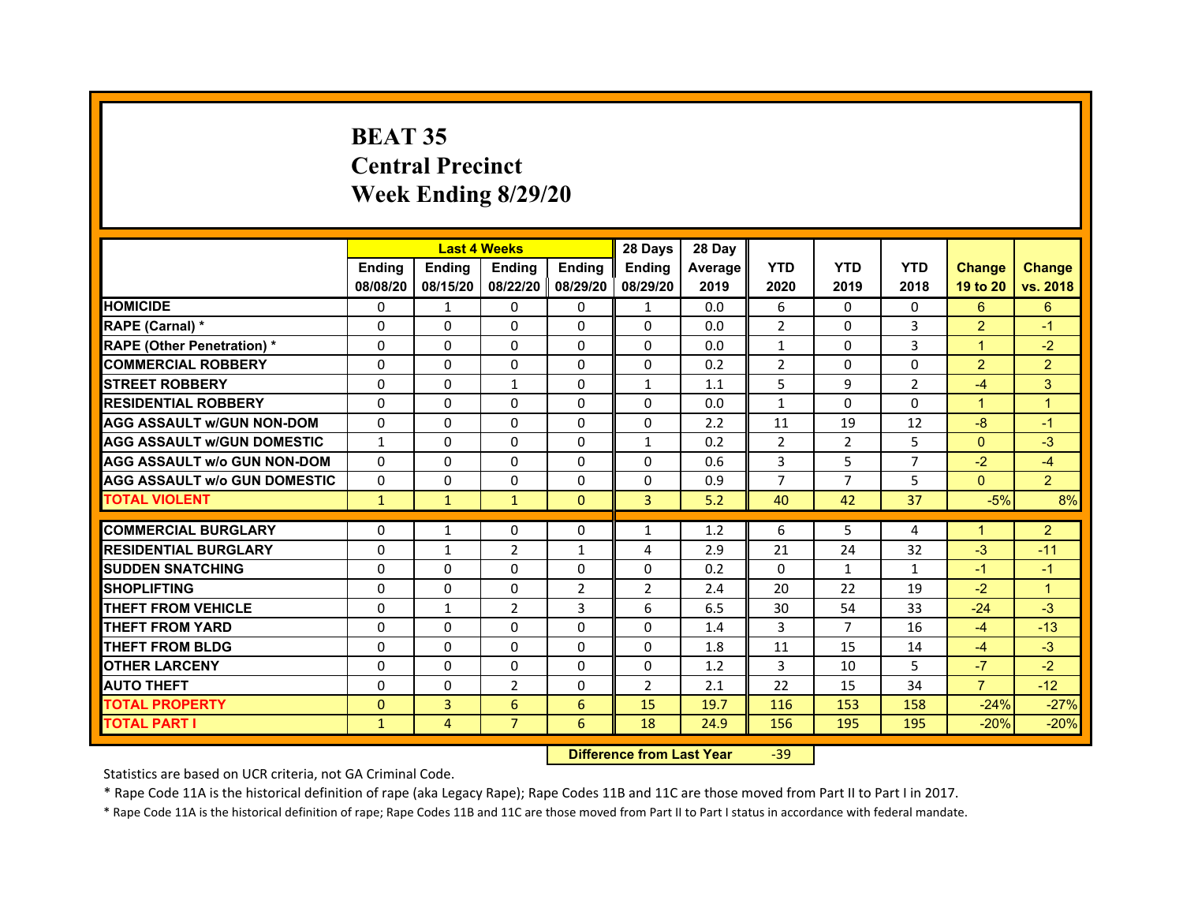# **BEAT 35Central PrecinctWeek Ending 8/29/20**

|                                     |               |               | <b>Last 4 Weeks</b> |                   | 28 Days        | 28 Day  |                |                |                |                |                |
|-------------------------------------|---------------|---------------|---------------------|-------------------|----------------|---------|----------------|----------------|----------------|----------------|----------------|
|                                     | <b>Endina</b> | <b>Ending</b> | <b>Endina</b>       | <b>Ending</b>     | <b>Endina</b>  | Average | <b>YTD</b>     | <b>YTD</b>     | <b>YTD</b>     | <b>Change</b>  | <b>Change</b>  |
|                                     | 08/08/20      | 08/15/20      |                     | 08/22/20 08/29/20 | 08/29/20       | 2019    | 2020           | 2019           | 2018           | 19 to 20       | vs. 2018       |
| <b>HOMICIDE</b>                     | $\Omega$      | $\mathbf{1}$  | $\Omega$            | $\Omega$          | $\mathbf{1}$   | 0.0     | 6              | $\Omega$       | $\Omega$       | 6              | 6              |
| RAPE (Carnal) *                     | 0             | 0             | $\Omega$            | $\Omega$          | $\Omega$       | 0.0     | $\overline{2}$ | $\Omega$       | 3              | $\overline{2}$ | $-1$           |
| <b>RAPE (Other Penetration)*</b>    | 0             | $\Omega$      | 0                   | $\mathbf{0}$      | 0              | 0.0     | $\mathbf{1}$   | 0              | 3              | $\mathbf 1$    | $-2$           |
| <b>COMMERCIAL ROBBERY</b>           | 0             | $\Omega$      | $\Omega$            | $\mathbf{0}$      | $\Omega$       | 0.2     | $\overline{2}$ | $\Omega$       | $\Omega$       | $\overline{2}$ | $\overline{2}$ |
| <b>STREET ROBBERY</b>               | $\Omega$      | $\Omega$      | $\mathbf{1}$        | $\mathbf{0}$      | $\mathbf{1}$   | 1.1     | 5              | 9              | $\overline{2}$ | $-4$           | 3              |
| <b>RESIDENTIAL ROBBERY</b>          | $\Omega$      | 0             | $\Omega$            | $\Omega$          | $\Omega$       | 0.0     | $\mathbf{1}$   | $\Omega$       | $\Omega$       | $\overline{1}$ | $\overline{1}$ |
| <b>AGG ASSAULT w/GUN NON-DOM</b>    | $\Omega$      | $\Omega$      | $\Omega$            | $\mathbf{0}$      | $\Omega$       | 2.2     | 11             | 19             | 12             | $-8$           | $-1$           |
| <b>AGG ASSAULT W/GUN DOMESTIC</b>   | $\mathbf{1}$  | $\Omega$      | $\Omega$            | $\Omega$          | $\mathbf{1}$   | 0.2     | 2              | 2              | 5              | $\Omega$       | $-3$           |
| <b>AGG ASSAULT W/o GUN NON-DOM</b>  | 0             | 0             | $\Omega$            | 0                 | 0              | 0.6     | 3              | 5              | 7              | $-2$           | $-4$           |
| <b>AGG ASSAULT W/o GUN DOMESTIC</b> | 0             | 0             | 0                   | 0                 | 0              | 0.9     | $\overline{7}$ | $\overline{7}$ | 5              | $\Omega$       | $\overline{2}$ |
| <b>TOTAL VIOLENT</b>                | $\mathbf{1}$  | $\mathbf{1}$  | $\mathbf{1}$        | $\mathbf{0}$      | 3              | 5.2     | 40             | 42             | 37             | $-5%$          | 8%             |
|                                     |               |               |                     |                   |                |         |                |                |                |                |                |
| <b>COMMERCIAL BURGLARY</b>          | 0             | 1             | 0                   | 0                 | 1              | 1.2     | 6              | 5              | 4              | 1              | $\overline{2}$ |
| <b>RESIDENTIAL BURGLARY</b>         | 0             | $\mathbf{1}$  | $\overline{2}$      | 1                 | 4              | 2.9     | 21             | 24             | 32             | $-3$           | $-11$          |
| <b>SUDDEN SNATCHING</b>             | 0             | 0             | 0                   | $\Omega$          | 0              | 0.2     | $\Omega$       | $\mathbf{1}$   | $\mathbf{1}$   | $-1$           | $-1$           |
| <b>SHOPLIFTING</b>                  | $\Omega$      | $\Omega$      | $\Omega$            | $\overline{2}$    | $\overline{2}$ | 2.4     | 20             | 22             | 19             | $-2$           | $\overline{1}$ |
| <b>THEFT FROM VEHICLE</b>           | $\Omega$      | $\mathbf{1}$  | $\overline{2}$      | 3                 | 6              | 6.5     | 30             | 54             | 33             | $-24$          | $-3$           |
| <b>THEFT FROM YARD</b>              | 0             | 0             | 0                   | 0                 | 0              | 1.4     | 3              | 7              | 16             | $-4$           | $-13$          |
| <b>THEFT FROM BLDG</b>              | 0             | $\Omega$      | $\Omega$            | 0                 | $\Omega$       | 1.8     | 11             | 15             | 14             | $-4$           | $-3$           |
| <b>OTHER LARCENY</b>                | 0             | $\Omega$      | $\Omega$            | $\mathbf{0}$      | $\Omega$       | 1.2     | 3              | 10             | 5              | $-7$           | $-2$           |
| <b>AUTO THEFT</b>                   | $\Omega$      | $\Omega$      | $\overline{2}$      | $\mathbf{0}$      | $\overline{2}$ | 2.1     | 22             | 15             | 34             | $\overline{7}$ | $-12$          |
| <b>TOTAL PROPERTY</b>               | $\Omega$      | 3             | 6                   | 6                 | 15             | 19.7    | 116            | 153            | 158            | $-24%$         | $-27%$         |
| <b>TOTAL PART I</b>                 | $\mathbf{1}$  | 4             | $\overline{7}$      | 6                 | 18             | 24.9    | 156            | 195            | 195            | $-20%$         | $-20%$         |

 **Difference from Last Year**r -39

Statistics are based on UCR criteria, not GA Criminal Code.

\* Rape Code 11A is the historical definition of rape (aka Legacy Rape); Rape Codes 11B and 11C are those moved from Part II to Part I in 2017.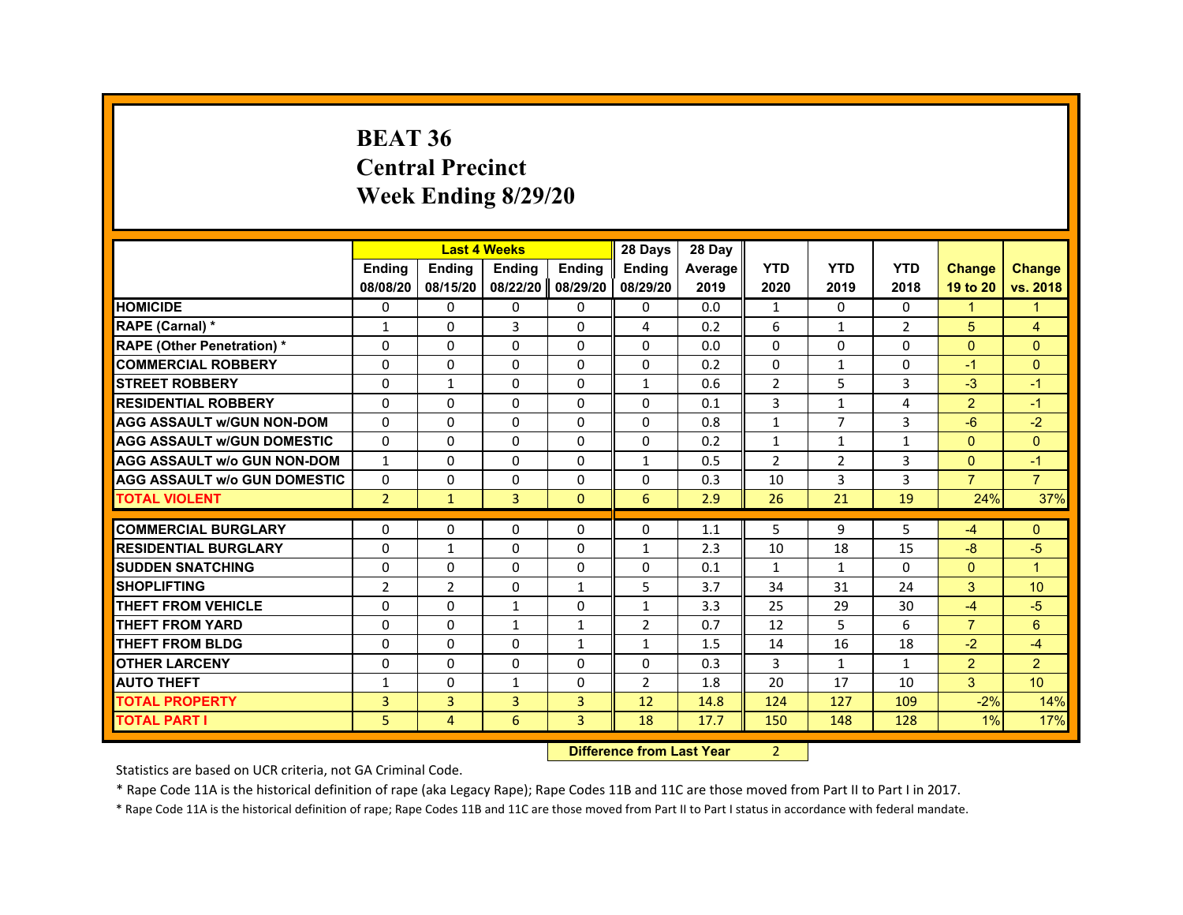#### **BEAT 36Central PrecinctWeek Ending 8/29/20**

|                                     |                | <b>Last 4 Weeks</b> |                   |                | 28 Days        | 28 Day  |                |                |              |                |                      |
|-------------------------------------|----------------|---------------------|-------------------|----------------|----------------|---------|----------------|----------------|--------------|----------------|----------------------|
|                                     | <b>Endina</b>  | Ending              | Ending            | <b>Endina</b>  | <b>Ending</b>  | Average | <b>YTD</b>     | <b>YTD</b>     | <b>YTD</b>   | <b>Change</b>  | <b>Change</b>        |
|                                     | 08/08/20       | 08/15/20            | 08/22/20 08/29/20 |                | 08/29/20       | 2019    | 2020           | 2019           | 2018         | 19 to 20       | vs. 2018             |
| <b>HOMICIDE</b>                     | $\Omega$       | $\mathbf{0}$        | $\mathbf{0}$      | 0              | 0              | 0.0     | $\mathbf{1}$   | 0              | $\mathbf{0}$ | $\mathbf{1}$   | $\blacktriangleleft$ |
| RAPE (Carnal) *                     | $\mathbf{1}$   | 0                   | 3                 | 0              | 4              | 0.2     | 6              | $\mathbf{1}$   | 2            | 5              | $\overline{4}$       |
| <b>RAPE (Other Penetration) *</b>   | 0              | $\Omega$            | $\Omega$          | 0              | $\Omega$       | 0.0     | $\Omega$       | 0              | 0            | $\Omega$       | $\mathbf{0}$         |
| <b>COMMERCIAL ROBBERY</b>           | 0              | 0                   | $\Omega$          | 0              | 0              | 0.2     | $\Omega$       | 1              | 0            | $-1$           | $\Omega$             |
| <b>STREET ROBBERY</b>               | $\Omega$       | $\mathbf{1}$        | $\Omega$          | $\Omega$       | $\mathbf{1}$   | 0.6     | $\overline{2}$ | 5              | 3            | $-3$           | $-1$                 |
| <b>RESIDENTIAL ROBBERY</b>          | 0              | $\Omega$            | $\Omega$          | $\Omega$       | $\Omega$       | 0.1     | 3              | $\mathbf{1}$   | 4            | $\overline{2}$ | $-1$                 |
| <b>AGG ASSAULT w/GUN NON-DOM</b>    | $\Omega$       | $\Omega$            | $\Omega$          | 0              | $\Omega$       | 0.8     | $\mathbf{1}$   | $\overline{7}$ | 3            | $-6$           | $-2$                 |
| <b>AGG ASSAULT w/GUN DOMESTIC</b>   | $\Omega$       | $\mathbf 0$         | $\Omega$          | $\Omega$       | $\Omega$       | 0.2     | 1              | $\mathbf{1}$   | $\mathbf{1}$ | $\mathbf{0}$   | $\mathbf{0}$         |
| <b>AGG ASSAULT w/o GUN NON-DOM</b>  | $\mathbf{1}$   | $\Omega$            | $\Omega$          | 0              | $\mathbf{1}$   | 0.5     | $\overline{2}$ | 2              | 3            | $\mathbf{0}$   | $-1$                 |
| <b>AGG ASSAULT w/o GUN DOMESTIC</b> | $\Omega$       | $\mathbf 0$         | $\mathbf 0$       | 0              | 0              | 0.3     | 10             | 3              | 3            | $\overline{7}$ | $\overline{7}$       |
| <b>TOTAL VIOLENT</b>                | $\overline{2}$ | $\mathbf{1}$        | 3                 | $\Omega$       | 6              | 2.9     | 26             | 21             | 19           | 24%            | 37%                  |
|                                     |                |                     |                   |                |                |         |                |                |              |                |                      |
| <b>COMMERCIAL BURGLARY</b>          | 0              | 0                   | 0                 | 0              | 0              | 1.1     | 5              | 9              | 5            | -4             | $\mathbf{0}$         |
| <b>RESIDENTIAL BURGLARY</b>         | $\Omega$       | $\mathbf{1}$        | $\Omega$          | 0              | $\mathbf{1}$   | 2.3     | 10             | 18             | 15           | $-8$           | $-5$                 |
| <b>SUDDEN SNATCHING</b>             | $\Omega$       | $\Omega$            | $\Omega$          | $\mathbf{0}$   | $\Omega$       | 0.1     | $\mathbf{1}$   | $\mathbf{1}$   | $\Omega$     | $\mathbf{0}$   | $\overline{1}$       |
| <b>SHOPLIFTING</b>                  | $\overline{2}$ | $\overline{2}$      | 0                 | $\mathbf{1}$   | 5              | 3.7     | 34             | 31             | 24           | 3              | 10 <sup>10</sup>     |
| <b>THEFT FROM VEHICLE</b>           | 0              | 0                   | 1                 | 0              | 1              | 3.3     | 25             | 29             | 30           | $-4$           | $-5$                 |
| <b>THEFT FROM YARD</b>              | 0              | 0                   | 1                 | $\mathbf{1}$   | $\overline{2}$ | 0.7     | 12             | 5              | 6            | $\overline{7}$ | 6                    |
| <b>THEFT FROM BLDG</b>              | $\Omega$       | $\Omega$            | 0                 | $\mathbf{1}$   | $\mathbf{1}$   | 1.5     | 14             | 16             | 18           | $-2$           | $-4$                 |
| <b>OTHER LARCENY</b>                | $\Omega$       | $\Omega$            | $\Omega$          | $\Omega$       | $\Omega$       | 0.3     | $\overline{3}$ | $\mathbf{1}$   | $\mathbf{1}$ | 2              | 2                    |
| <b>AUTO THEFT</b>                   | $\mathbf{1}$   | 0                   | $\mathbf{1}$      | 0              | $\mathcal{P}$  | 1.8     | 20             | 17             | 10           | 3              | 10 <sup>10</sup>     |
| <b>TOTAL PROPERTY</b>               | 3              | 3                   | 3                 | 3              | 12             | 14.8    | 124            | 127            | 109          | $-2%$          | 14%                  |
| <b>TOTAL PART I</b>                 | 5              | 4                   | 6                 | $\overline{3}$ | 18             | 17.7    | 150            | 148            | 128          | 1%             | 17%                  |

 **Difference from Last Year**r 2

Statistics are based on UCR criteria, not GA Criminal Code.

\* Rape Code 11A is the historical definition of rape (aka Legacy Rape); Rape Codes 11B and 11C are those moved from Part II to Part I in 2017.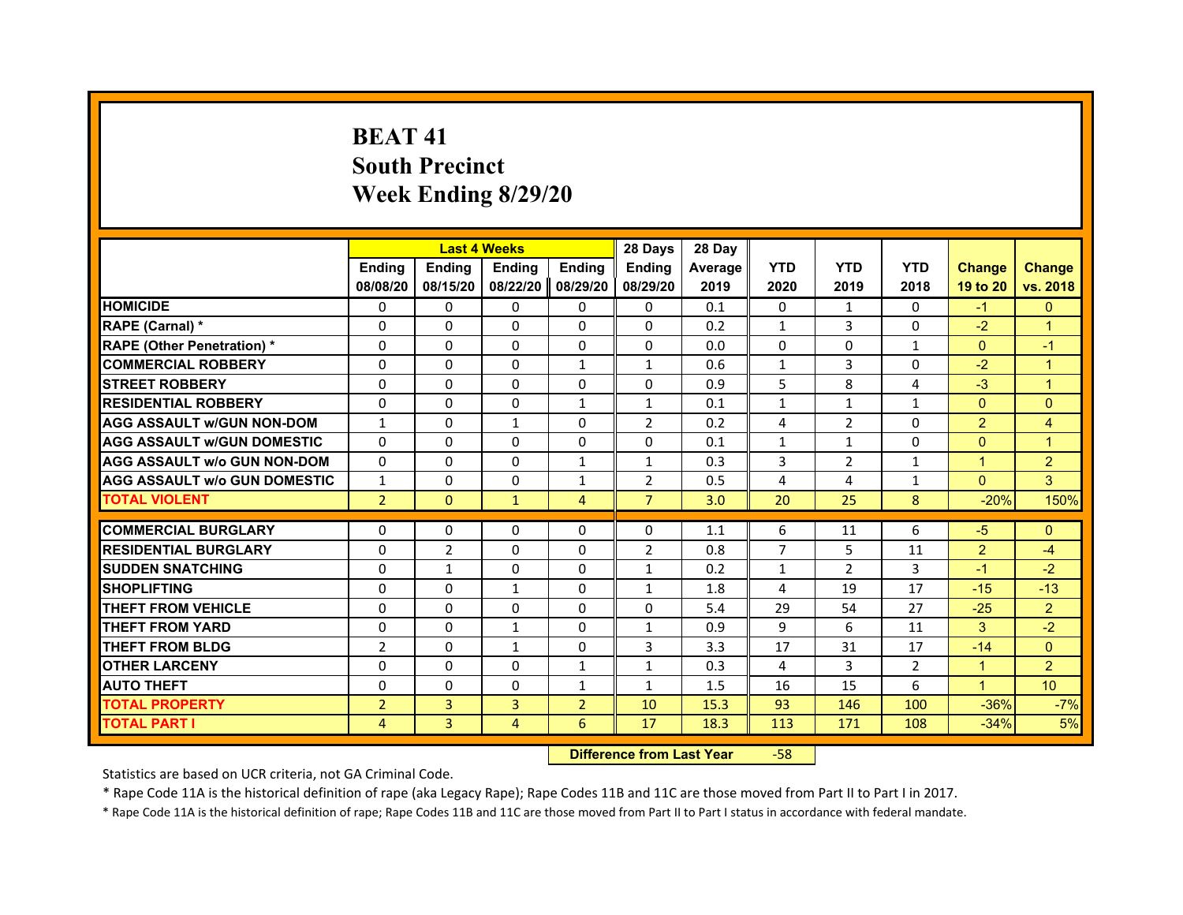# **BEAT 41South Precinct Week Ending 8/29/20**

|                                     |                | <b>Last 4 Weeks</b> |               |                | 28 Days        | 28 Day  |                |                |              |                      |                |
|-------------------------------------|----------------|---------------------|---------------|----------------|----------------|---------|----------------|----------------|--------------|----------------------|----------------|
|                                     | <b>Ending</b>  | Ending              | <b>Ending</b> | <b>Ending</b>  | <b>Endina</b>  | Average | <b>YTD</b>     | <b>YTD</b>     | <b>YTD</b>   | <b>Change</b>        | <b>Change</b>  |
|                                     | 08/08/20       | 08/15/20            | 08/22/20      | 08/29/20       | 08/29/20       | 2019    | 2020           | 2019           | 2018         | 19 to 20             | vs. 2018       |
| <b>HOMICIDE</b>                     | 0              | 0                   | 0             | 0              | 0              | 0.1     | 0              | $\mathbf{1}$   | 0            | $-1$                 | $\mathbf{0}$   |
| RAPE (Carnal) *                     | $\Omega$       | $\Omega$            | $\Omega$      | $\Omega$       | $\Omega$       | 0.2     | $\mathbf{1}$   | 3              | $\Omega$     | $-2$                 | $\overline{1}$ |
| <b>RAPE (Other Penetration) *</b>   | 0              | 0                   | 0             | 0              | 0              | 0.0     | $\mathbf{0}$   | $\mathbf{0}$   | $\mathbf{1}$ | $\mathbf{0}$         | $-1$           |
| <b>COMMERCIAL ROBBERY</b>           | $\Omega$       | $\Omega$            | $\Omega$      | 1              | $\mathbf{1}$   | 0.6     | $\mathbf{1}$   | 3              | $\Omega$     | $-2$                 | $\overline{1}$ |
| <b>STREET ROBBERY</b>               | $\Omega$       | $\Omega$            | $\Omega$      | $\Omega$       | $\Omega$       | 0.9     | 5              | 8              | 4            | $-3$                 | $\overline{1}$ |
| <b>RESIDENTIAL ROBBERY</b>          | $\Omega$       | $\Omega$            | $\Omega$      | $\mathbf{1}$   | $\mathbf{1}$   | 0.1     | $\mathbf{1}$   | $\mathbf{1}$   | $\mathbf{1}$ | $\Omega$             | $\Omega$       |
| <b>AGG ASSAULT w/GUN NON-DOM</b>    | $\mathbf{1}$   | $\Omega$            | $\mathbf{1}$  | $\Omega$       | $\overline{2}$ | 0.2     | 4              | $\overline{2}$ | 0            | 2                    | $\overline{4}$ |
| <b>AGG ASSAULT W/GUN DOMESTIC</b>   | $\Omega$       | $\Omega$            | $\Omega$      | $\Omega$       | $\Omega$       | 0.1     | $\mathbf{1}$   | $\mathbf{1}$   | $\Omega$     | $\Omega$             | $\overline{1}$ |
| <b>AGG ASSAULT W/o GUN NON-DOM</b>  | $\Omega$       | $\Omega$            | $\Omega$      | 1              | $\mathbf{1}$   | 0.3     | 3              | $\overline{2}$ | $\mathbf{1}$ | $\blacktriangleleft$ | $\overline{c}$ |
| <b>AGG ASSAULT W/o GUN DOMESTIC</b> | $\mathbf{1}$   | $\Omega$            | $\Omega$      | $\mathbf{1}$   | $\overline{2}$ | 0.5     | 4              | 4              | 1            | $\Omega$             | 3              |
| <b>TOTAL VIOLENT</b>                | $\overline{2}$ | $\Omega$            | $\mathbf{1}$  | 4              | $\overline{7}$ | 3.0     | 20             | 25             | 8            | $-20%$               | 150%           |
|                                     |                |                     |               |                |                |         |                |                |              |                      |                |
| <b>COMMERCIAL BURGLARY</b>          | 0              | 0                   | 0             | 0              | 0              | 1.1     | 6              | 11             | 6            | $-5$                 | $\mathbf{0}$   |
| <b>RESIDENTIAL BURGLARY</b>         | $\Omega$       | $\overline{2}$      | $\Omega$      | $\Omega$       | $\overline{2}$ | 0.8     | $\overline{7}$ | 5              | 11           | $\overline{2}$       | $-4$           |
| <b>SUDDEN SNATCHING</b>             | 0              | $\mathbf{1}$        | 0             | 0              | $\mathbf{1}$   | 0.2     | $\mathbf{1}$   | $\overline{2}$ | 3            | $-1$                 | $-2$           |
| <b>SHOPLIFTING</b>                  | $\Omega$       | $\Omega$            | $\mathbf{1}$  | $\Omega$       | $\mathbf{1}$   | 1.8     | 4              | 19             | 17           | $-15$                | $-13$          |
| THEFT FROM VEHICLE                  | $\Omega$       | $\Omega$            | $\Omega$      | $\Omega$       | $\Omega$       | 5.4     | 29             | 54             | 27           | $-25$                | $\overline{2}$ |
| <b>THEFT FROM YARD</b>              | 0              | $\Omega$            | $\mathbf{1}$  | 0              | $\mathbf{1}$   | 0.9     | 9              | 6              | 11           | 3                    | $-2$           |
| <b>THEFT FROM BLDG</b>              | $\overline{2}$ | $\Omega$            | $\mathbf{1}$  | $\Omega$       | 3              | 3.3     | 17             | 31             | 17           | $-14$                | $\Omega$       |
| <b>OTHER LARCENY</b>                | $\Omega$       | $\Omega$            | $\Omega$      | $\mathbf{1}$   | $\mathbf{1}$   | 0.3     | 4              | 3              | 2            | $\mathbf{1}$         | $\overline{2}$ |
| <b>AUTO THEFT</b>                   | $\Omega$       | $\Omega$            | $\Omega$      | $\mathbf{1}$   | $\mathbf{1}$   | 1.5     | 16             | 15             | 6            | $\mathbf{1}$         | 10             |
| <b>TOTAL PROPERTY</b>               | $\overline{2}$ | 3                   | 3             | $\overline{2}$ | 10             | 15.3    | 93             | 146            | 100          | $-36%$               | $-7%$          |
| <b>TOTAL PART I</b>                 | $\overline{4}$ | 3                   | 4             | 6              | 17             | 18.3    | 113            | 171            | 108          | $-34%$               | 5%             |

 **Difference from Last Year**‐58

Statistics are based on UCR criteria, not GA Criminal Code.

\* Rape Code 11A is the historical definition of rape (aka Legacy Rape); Rape Codes 11B and 11C are those moved from Part II to Part I in 2017.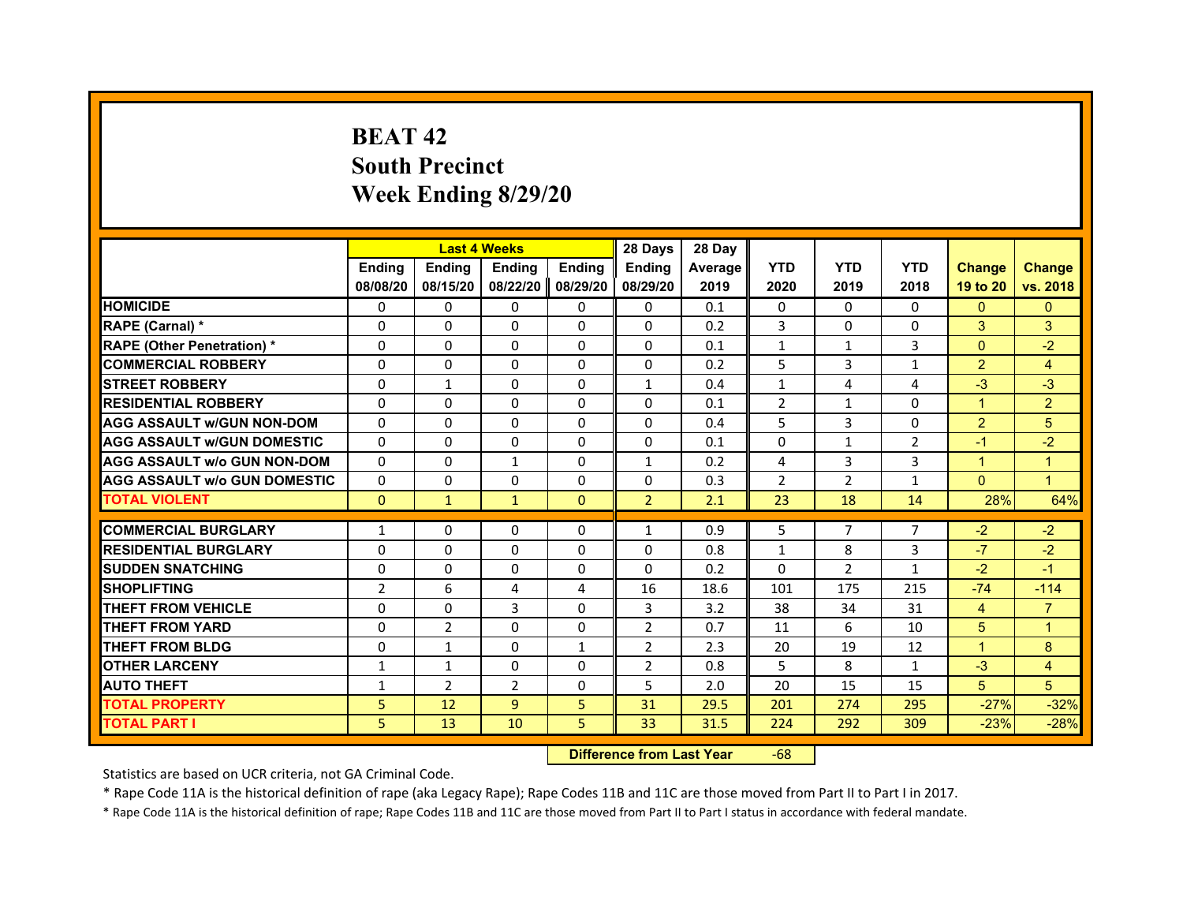# **BEAT 42South Precinct Week Ending 8/29/20**

|                                     |                | <b>Last 4 Weeks</b> |                |               | 28 Days        | 28 Day  |                |                |                |                      |                |
|-------------------------------------|----------------|---------------------|----------------|---------------|----------------|---------|----------------|----------------|----------------|----------------------|----------------|
|                                     | <b>Endina</b>  | <b>Ending</b>       | <b>Endina</b>  | <b>Ending</b> | <b>Endina</b>  | Average | <b>YTD</b>     | <b>YTD</b>     | <b>YTD</b>     | <b>Change</b>        | <b>Change</b>  |
|                                     | 08/08/20       | 08/15/20            | 08/22/20       | 08/29/20      | 08/29/20       | 2019    | 2020           | 2019           | 2018           | 19 to 20             | vs. 2018       |
| <b>HOMICIDE</b>                     | 0              | $\Omega$            | $\Omega$       | 0             | $\mathbf{0}$   | 0.1     | $\mathbf{0}$   | 0              | $\mathbf{0}$   | $\mathbf{0}$         | $\mathbf{0}$   |
| RAPE (Carnal) *                     | $\Omega$       | $\Omega$            | $\Omega$       | $\mathbf{0}$  | $\mathbf{0}$   | 0.2     | 3              | $\mathbf{0}$   | $\Omega$       | 3                    | 3              |
| <b>RAPE (Other Penetration)*</b>    | 0              | $\mathbf{0}$        | $\Omega$       | $\mathbf{0}$  | $\Omega$       | 0.1     | $\mathbf{1}$   | $\mathbf{1}$   | 3              | $\mathbf{0}$         | $-2$           |
| <b>COMMERCIAL ROBBERY</b>           | 0              | $\Omega$            | 0              | 0             | 0              | 0.2     | 5              | 3              | $\mathbf{1}$   | $\overline{2}$       | $\overline{4}$ |
| <b>STREET ROBBERY</b>               | $\Omega$       | $\mathbf{1}$        | 0              | $\Omega$      | $\mathbf{1}$   | 0.4     | $\mathbf{1}$   | 4              | 4              | $-3$                 | $-3$           |
| <b>RESIDENTIAL ROBBERY</b>          | 0              | $\mathbf{0}$        | 0              | $\mathbf{0}$  | 0              | 0.1     | $\overline{2}$ | $\mathbf{1}$   | 0              | $\blacktriangleleft$ | $\overline{2}$ |
| <b>AGG ASSAULT W/GUN NON-DOM</b>    | $\Omega$       | $\Omega$            | $\Omega$       | $\Omega$      | $\Omega$       | 0.4     | 5              | 3              | $\Omega$       | $\overline{2}$       | 5              |
| <b>AGG ASSAULT W/GUN DOMESTIC</b>   | $\Omega$       | $\Omega$            | $\Omega$       | $\Omega$      | $\Omega$       | 0.1     | $\Omega$       | $\mathbf{1}$   | $\overline{2}$ | $-1$                 | $-2$           |
| <b>AGG ASSAULT w/o GUN NON-DOM</b>  | 0              | 0                   | $\mathbf{1}$   | 0             | $\mathbf{1}$   | 0.2     | 4              | 3              | 3              | $\overline{1}$       | $\overline{1}$ |
| <b>AGG ASSAULT W/o GUN DOMESTIC</b> | 0              | $\Omega$            | 0              | 0             | 0              | 0.3     | $\overline{2}$ | $\overline{2}$ | 1              | $\Omega$             | $\overline{1}$ |
| <b>TOTAL VIOLENT</b>                | $\mathbf{0}$   | $\mathbf{1}$        | $\mathbf{1}$   | $\mathbf{0}$  | $\overline{2}$ | 2.1     | 23             | 18             | 14             | 28%                  | 64%            |
|                                     |                |                     |                |               |                |         |                |                |                |                      |                |
| <b>COMMERCIAL BURGLARY</b>          | $\mathbf{1}$   | 0                   | 0              | 0             | $\mathbf{1}$   | 0.9     | 5              | 7              | 7              | $-2$                 | $-2$           |
| <b>RESIDENTIAL BURGLARY</b>         | $\Omega$       | $\mathbf{0}$        | 0              | $\Omega$      | $\Omega$       | 0.8     | $\mathbf{1}$   | 8              | 3              | $-7$                 | $-2$           |
| <b>SUDDEN SNATCHING</b>             | $\Omega$       | $\Omega$            | $\Omega$       | $\Omega$      | $\Omega$       | 0.2     | $\Omega$       | $\overline{2}$ | 1              | $-2$                 | $-1$           |
| <b>SHOPLIFTING</b>                  | $\overline{2}$ | 6                   | 4              | 4             | 16             | 18.6    | 101            | 175            | 215            | $-74$                | $-114$         |
| <b>THEFT FROM VEHICLE</b>           | $\Omega$       | $\Omega$            | 3              | $\Omega$      | 3              | 3.2     | 38             | 34             | 31             | 4                    | $\overline{7}$ |
| <b>THEFT FROM YARD</b>              | 0              | 2                   | $\Omega$       | 0             | $\overline{2}$ | 0.7     | 11             | 6              | 10             | 5                    | $\overline{1}$ |
| <b>THEFT FROM BLDG</b>              | $\Omega$       | $\mathbf{1}$        | 0              | $\mathbf{1}$  | $\overline{2}$ | 2.3     | 20             | 19             | 12             | $\blacktriangleleft$ | 8              |
| <b>OTHER LARCENY</b>                | $\mathbf{1}$   | $\mathbf{1}$        | $\Omega$       | $\Omega$      | $\overline{2}$ | 0.8     | 5              | 8              | $\mathbf{1}$   | $-3$                 | $\overline{4}$ |
| <b>AUTO THEFT</b>                   | $\mathbf{1}$   | $\overline{2}$      | $\overline{2}$ | $\mathbf{0}$  | 5              | 2.0     | 20             | 15             | 15             | 5                    | 5              |
| <b>TOTAL PROPERTY</b>               | 5              | 12                  | 9              | 5             | 31             | 29.5    | 201            | 274            | 295            | $-27%$               | $-32%$         |
| <b>TOTAL PART I</b>                 | 5.             | 13                  | 10             | 5             | 33             | 31.5    | 224            | 292            | 309            | $-23%$               | $-28%$         |

 **Difference from Last Year**r -68

Statistics are based on UCR criteria, not GA Criminal Code.

\* Rape Code 11A is the historical definition of rape (aka Legacy Rape); Rape Codes 11B and 11C are those moved from Part II to Part I in 2017.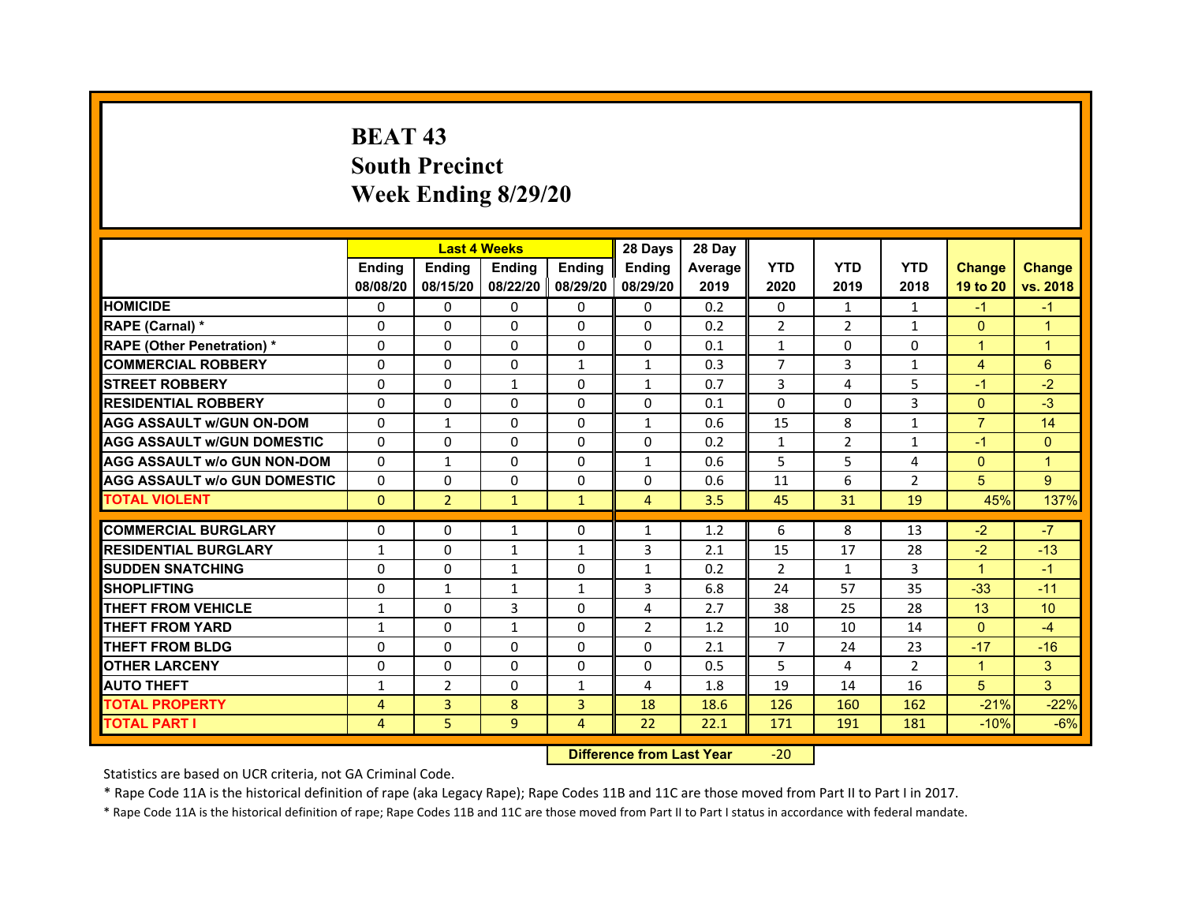# **BEAT 43South PrecinctWeek Ending 8/29/20**

|                                     |               | <b>Last 4 Weeks</b> |                   |                | 28 Days        | 28 Day  |                |                |                |                |                |
|-------------------------------------|---------------|---------------------|-------------------|----------------|----------------|---------|----------------|----------------|----------------|----------------|----------------|
|                                     | <b>Endina</b> | <b>Endina</b>       | <b>Endina</b>     | <b>Ending</b>  | <b>Endina</b>  | Average | <b>YTD</b>     | <b>YTD</b>     | <b>YTD</b>     | <b>Change</b>  | <b>Change</b>  |
|                                     | 08/08/20      | 08/15/20            | 08/22/20 08/29/20 |                | 08/29/20       | 2019    | 2020           | 2019           | 2018           | 19 to 20       | vs. 2018       |
| <b>HOMICIDE</b>                     | 0             | 0                   | $\mathbf{0}$      | 0              | 0              | 0.2     | $\mathbf{0}$   | 1              | 1              | $-1$           | $-1$           |
| RAPE (Carnal) *                     | $\Omega$      | $\Omega$            | $\Omega$          | $\Omega$       | $\Omega$       | 0.2     | $\overline{2}$ | 2              | $\mathbf{1}$   | $\Omega$       | $\overline{1}$ |
| <b>RAPE (Other Penetration) *</b>   | 0             | $\Omega$            | $\Omega$          | $\mathbf{0}$   | 0              | 0.1     | $\mathbf{1}$   | $\Omega$       | $\Omega$       | $\mathbf{1}$   | $\overline{1}$ |
| <b>COMMERCIAL ROBBERY</b>           | 0             | 0                   | $\Omega$          | 1              | $\mathbf{1}$   | 0.3     | 7              | 3              | 1              | 4              | 6              |
| <b>STREET ROBBERY</b>               | 0             | 0                   | $\mathbf{1}$      | 0              | $\mathbf{1}$   | 0.7     | 3              | $\overline{4}$ | 5              | $-1$           | $-2$           |
| <b>RESIDENTIAL ROBBERY</b>          | 0             | 0                   | $\Omega$          | $\Omega$       | $\Omega$       | 0.1     | $\Omega$       | $\Omega$       | 3              | $\Omega$       | $-3$           |
| <b>AGG ASSAULT w/GUN ON-DOM</b>     | $\Omega$      | $\mathbf{1}$        | $\Omega$          | $\Omega$       | $\mathbf{1}$   | 0.6     | 15             | 8              | $\mathbf{1}$   | $\overline{7}$ | 14             |
| <b>AGG ASSAULT W/GUN DOMESTIC</b>   | $\Omega$      | 0                   | $\Omega$          | 0              | 0              | 0.2     | $\mathbf{1}$   | 2              | $\mathbf{1}$   | $-1$           | $\Omega$       |
| <b>AGG ASSAULT W/o GUN NON-DOM</b>  | 0             | 1                   | $\Omega$          | $\Omega$       | $\mathbf{1}$   | 0.6     | 5              | 5              | 4              | $\Omega$       | $\mathbf 1$    |
| <b>AGG ASSAULT W/o GUN DOMESTIC</b> | $\Omega$      | 0                   | 0                 | $\Omega$       | 0              | 0.6     | 11             | 6              | $\overline{2}$ | 5              | 9              |
| <b>TOTAL VIOLENT</b>                | $\Omega$      | $\overline{2}$      | $\mathbf{1}$      | $\mathbf{1}$   | $\overline{4}$ | 3.5     | 45             | 31             | 19             | 45%            | 137%           |
|                                     |               |                     |                   |                |                |         |                |                |                |                |                |
| <b>COMMERCIAL BURGLARY</b>          | 0             | 0                   | $\mathbf{1}$      | 0              | $\mathbf{1}$   | 1.2     | 6              | 8              | 13             | $-2$           | $-7$           |
| <b>RESIDENTIAL BURGLARY</b>         | $\mathbf{1}$  | $\Omega$            | 1                 | $\mathbf{1}$   | 3              | 2.1     | 15             | 17             | 28             | $-2$           | $-13$          |
| <b>SUDDEN SNATCHING</b>             | 0             | 0                   | $\mathbf{1}$      | 0              | $\mathbf{1}$   | 0.2     | $\overline{2}$ | $\mathbf{1}$   | 3              | 1              | $-1$           |
| <b>SHOPLIFTING</b>                  | $\mathbf 0$   | $\mathbf{1}$        | $\mathbf{1}$      | $\mathbf{1}$   | 3              | 6.8     | 24             | 57             | 35             | $-33$          | $-11$          |
| <b>THEFT FROM VEHICLE</b>           | $\mathbf{1}$  | $\Omega$            | 3                 | $\mathbf{0}$   | 4              | 2.7     | 38             | 25             | 28             | 13             | 10             |
| <b>THEFT FROM YARD</b>              | 1             | $\Omega$            | 1                 | $\Omega$       | $\overline{2}$ | 1.2     | 10             | 10             | 14             | $\Omega$       | $-4$           |
| <b>THEFT FROM BLDG</b>              | 0             | 0                   | 0                 | 0              | 0              | 2.1     | 7              | 24             | 23             | $-17$          | $-16$          |
| <b>OTHER LARCENY</b>                | 0             | 0                   | $\Omega$          | $\Omega$       | $\Omega$       | 0.5     | 5              | 4              | $\overline{2}$ | 1              | 3              |
| <b>AUTO THEFT</b>                   | 1             | $\overline{2}$      | $\Omega$          | $\mathbf{1}$   | 4              | 1.8     | 19             | 14             | 16             | 5              | 3              |
| <b>TOTAL PROPERTY</b>               | 4             | 3                   | 8                 | 3              | 18             | 18.6    | 126            | 160            | 162            | $-21%$         | $-22%$         |
| <b>TOTAL PART I</b>                 | 4             | 5                   | 9                 | $\overline{4}$ | 22             | 22.1    | 171            | 191            | 181            | $-10%$         | $-6%$          |

 **Difference from Last Year**‐20

Statistics are based on UCR criteria, not GA Criminal Code.

\* Rape Code 11A is the historical definition of rape (aka Legacy Rape); Rape Codes 11B and 11C are those moved from Part II to Part I in 2017.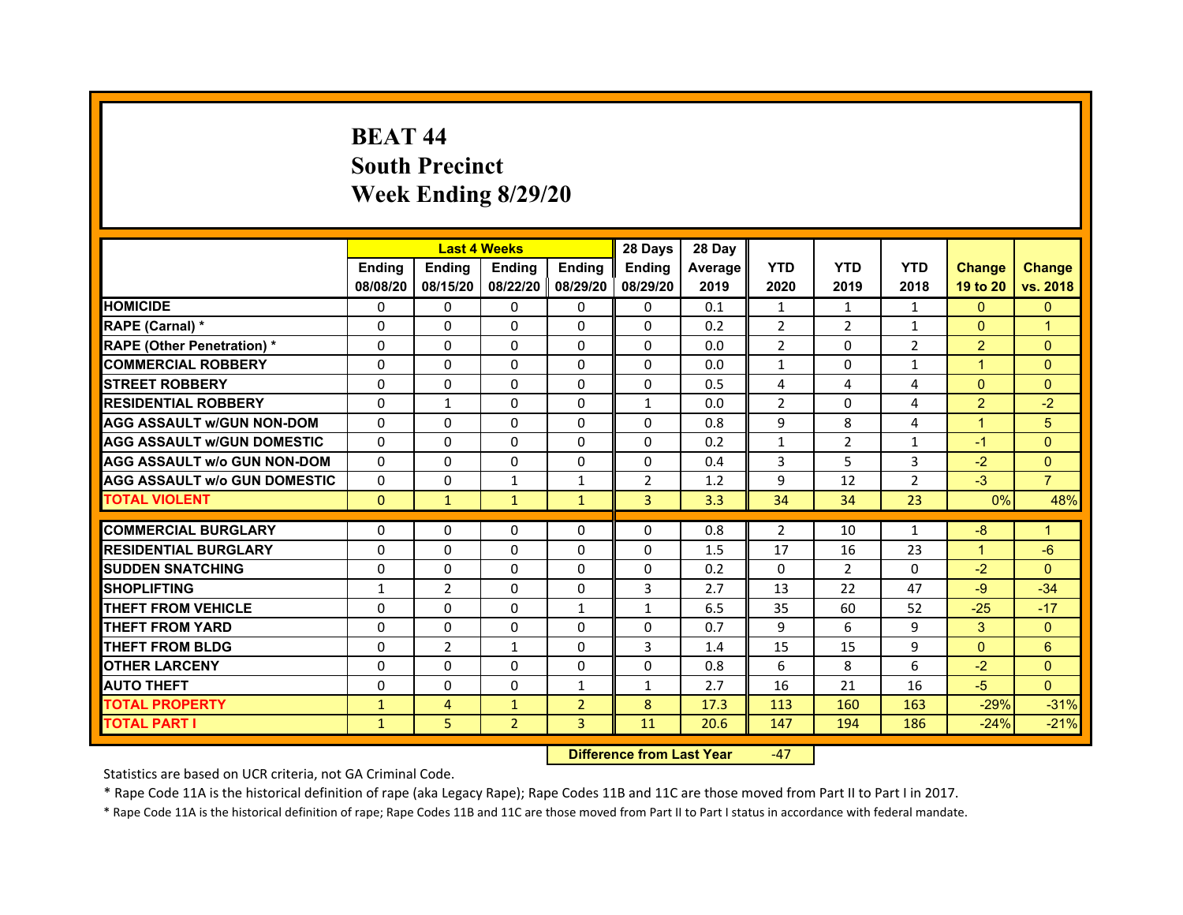# **BEAT 44South Precinct Week Ending 8/29/20**

|                                     |               | <b>Last 4 Weeks</b> |                |                | 28 Days        | 28 Day  |                |            |                |                |                      |
|-------------------------------------|---------------|---------------------|----------------|----------------|----------------|---------|----------------|------------|----------------|----------------|----------------------|
|                                     | <b>Endina</b> | <b>Ending</b>       | <b>Endina</b>  | <b>Endina</b>  | <b>Endina</b>  | Average | <b>YTD</b>     | <b>YTD</b> | <b>YTD</b>     | <b>Change</b>  | <b>Change</b>        |
|                                     | 08/08/20      | 08/15/20            | 08/22/20       | 08/29/20       | 08/29/20       | 2019    | 2020           | 2019       | 2018           | 19 to 20       | vs. 2018             |
| <b>HOMICIDE</b>                     | 0             | $\Omega$            | $\Omega$       | 0              | 0              | 0.1     | $\mathbf{1}$   | 1          | 1              | $\mathbf{0}$   | $\mathbf{0}$         |
| RAPE (Carnal) *                     | $\Omega$      | $\Omega$            | $\Omega$       | $\Omega$       | $\Omega$       | 0.2     | $\overline{2}$ | 2          | $\mathbf{1}$   | $\Omega$       | $\overline{1}$       |
| <b>RAPE (Other Penetration) *</b>   | $\Omega$      | $\Omega$            | $\Omega$       | $\Omega$       | $\Omega$       | 0.0     | $\overline{2}$ | $\Omega$   | $\overline{2}$ | 2              | $\Omega$             |
| <b>COMMERCIAL ROBBERY</b>           | 0             | 0                   | 0              | 0              | 0              | 0.0     | $\mathbf{1}$   | 0          | $\mathbf{1}$   | 1              | $\Omega$             |
| <b>STREET ROBBERY</b>               | 0             | 0                   | $\Omega$       | $\Omega$       | 0              | 0.5     | 4              | 4          | $\overline{4}$ | $\Omega$       | $\Omega$             |
| <b>RESIDENTIAL ROBBERY</b>          | $\Omega$      | $\mathbf{1}$        | $\Omega$       | $\Omega$       | $\mathbf{1}$   | 0.0     | $\overline{2}$ | $\Omega$   | $\overline{a}$ | 2              | $-2$                 |
| <b>AGG ASSAULT w/GUN NON-DOM</b>    | $\Omega$      | $\Omega$            | $\Omega$       | $\Omega$       | $\Omega$       | 0.8     | 9              | 8          | 4              | $\overline{1}$ | 5                    |
| <b>AGG ASSAULT W/GUN DOMESTIC</b>   | $\Omega$      | 0                   | $\Omega$       | $\Omega$       | $\Omega$       | 0.2     | $\mathbf{1}$   | 2          | $\mathbf{1}$   | $-1$           | $\Omega$             |
| AGG ASSAULT w/o GUN NON-DOM         | $\Omega$      | $\Omega$            | $\Omega$       | 0              | 0              | 0.4     | 3              | 5          | 3              | $-2$           | $\Omega$             |
| <b>AGG ASSAULT w/o GUN DOMESTIC</b> | $\Omega$      | 0                   | $\mathbf{1}$   | $\mathbf{1}$   | 2              | 1.2     | 9              | 12         | 2              | $-3$           | $\overline{7}$       |
| <b>TOTAL VIOLENT</b>                | $\mathbf{0}$  | $\mathbf{1}$        | $\mathbf{1}$   | $\mathbf{1}$   | $\overline{3}$ | 3.3     | 34             | 34         | 23             | 0%             | 48%                  |
|                                     |               |                     |                |                |                |         |                |            |                |                |                      |
| <b>COMMERCIAL BURGLARY</b>          | $\Omega$      | 0                   | $\Omega$       | 0              | 0              | 0.8     | 2              | 10         | $\mathbf{1}$   | $-8$           | $\blacktriangleleft$ |
| <b>RESIDENTIAL BURGLARY</b>         | $\Omega$      | 0                   | 0              | 0              | 0              | 1.5     | 17             | 16         | 23             | $\mathbf 1$    | -6                   |
| <b>SUDDEN SNATCHING</b>             | $\Omega$      | $\Omega$            | 0              | $\Omega$       | 0              | 0.2     | 0              | 2          | $\Omega$       | $-2$           | $\Omega$             |
| <b>SHOPLIFTING</b>                  | $\mathbf{1}$  | $\overline{2}$      | $\Omega$       | $\Omega$       | $\overline{3}$ | 2.7     | 13             | 22         | 47             | $-9$           | $-34$                |
| <b>THEFT FROM VEHICLE</b>           | $\Omega$      | $\Omega$            | $\Omega$       | $\mathbf{1}$   | $\mathbf{1}$   | 6.5     | 35             | 60         | 52             | $-25$          | $-17$                |
| <b>THEFT FROM YARD</b>              | $\Omega$      | $\Omega$            | $\Omega$       | $\Omega$       | $\Omega$       | 0.7     | 9              | 6          | 9              | 3              | $\Omega$             |
| <b>THEFT FROM BLDG</b>              | $\Omega$      | $\overline{2}$      | 1              | $\Omega$       | 3              | 1.4     | 15             | 15         | 9              | $\Omega$       | 6                    |
| <b>OTHER LARCENY</b>                | $\Omega$      | $\Omega$            | $\Omega$       | $\Omega$       | $\Omega$       | 0.8     | 6              | 8          | 6              | $-2$           | $\Omega$             |
| <b>AUTO THEFT</b>                   | $\Omega$      | $\Omega$            | $\Omega$       | $\mathbf{1}$   | $\mathbf{1}$   | 2.7     | 16             | 21         | 16             | $-5$           | $\Omega$             |
| <b>TOTAL PROPERTY</b>               | $\mathbf{1}$  | 4                   | $\mathbf{1}$   | $\overline{2}$ | 8              | 17.3    | 113            | 160        | 163            | $-29%$         | $-31%$               |
| <b>TOTAL PART I</b>                 | $\mathbf{1}$  | 5                   | $\overline{2}$ | 3              | 11             | 20.6    | 147            | 194        | 186            | $-24%$         | $-21%$               |

 **Difference from Last Year**‐47

Statistics are based on UCR criteria, not GA Criminal Code.

\* Rape Code 11A is the historical definition of rape (aka Legacy Rape); Rape Codes 11B and 11C are those moved from Part II to Part I in 2017.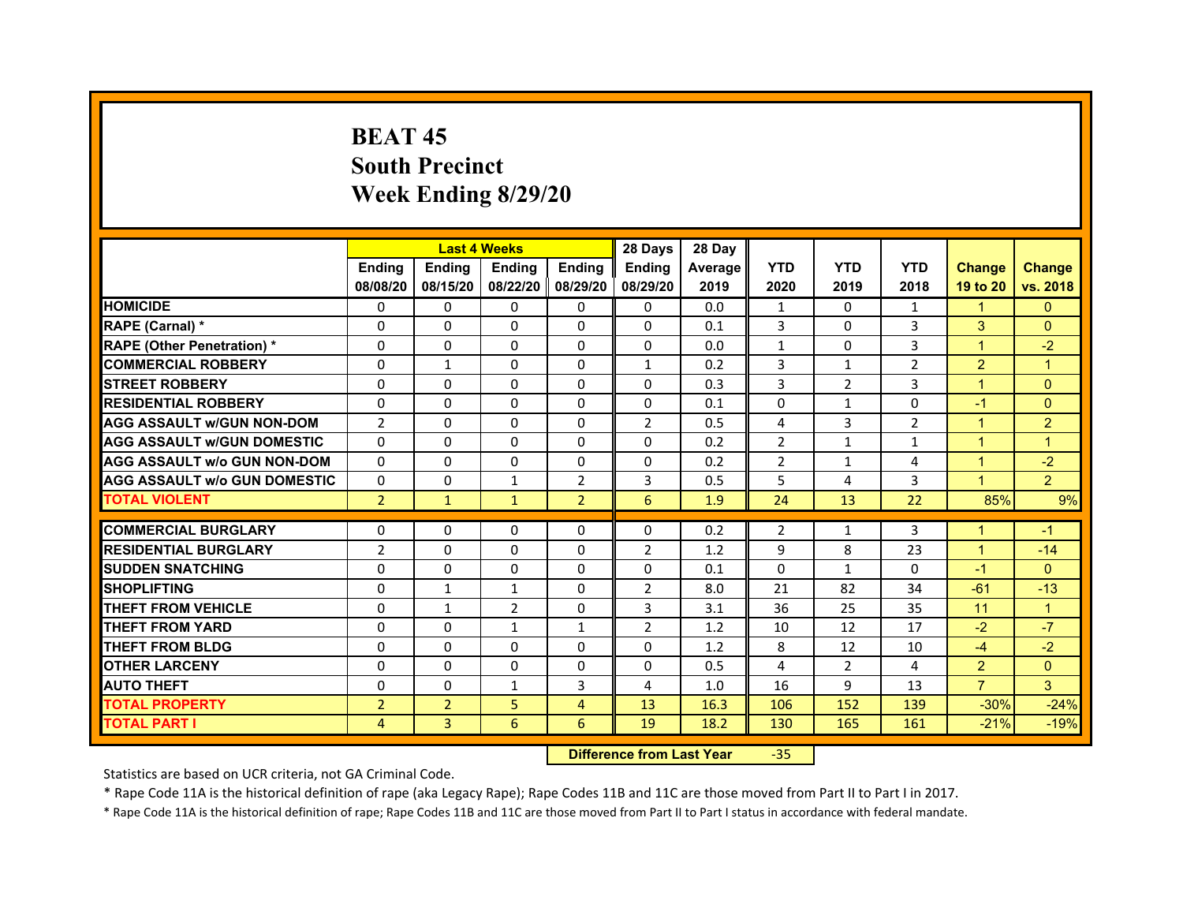# **BEAT 45South PrecinctWeek Ending 8/29/20**

|                                     |                |                | <b>Last 4 Weeks</b> |                | 28 Days        | 28 Day  |                |                |                |                      |                |
|-------------------------------------|----------------|----------------|---------------------|----------------|----------------|---------|----------------|----------------|----------------|----------------------|----------------|
|                                     | <b>Endina</b>  | <b>Endina</b>  | <b>Endina</b>       | <b>Ending</b>  | <b>Endina</b>  | Average | <b>YTD</b>     | <b>YTD</b>     | <b>YTD</b>     | <b>Change</b>        | <b>Change</b>  |
|                                     | 08/08/20       | 08/15/20       | 08/22/20 08/29/20   |                | 08/29/20       | 2019    | 2020           | 2019           | 2018           | 19 to 20             | vs. 2018       |
| <b>HOMICIDE</b>                     | 0              | 0              | $\mathbf{0}$        | 0              | 0              | 0.0     | 1              | 0              | 1              | 1                    | $\mathbf{0}$   |
| RAPE (Carnal) *                     | $\Omega$       | $\Omega$       | $\Omega$            | $\Omega$       | $\Omega$       | 0.1     | 3              | $\Omega$       | 3              | 3                    | $\Omega$       |
| <b>RAPE (Other Penetration) *</b>   | 0              | $\Omega$       | $\Omega$            | $\mathbf{0}$   | $\Omega$       | 0.0     | $\mathbf{1}$   | $\Omega$       | 3              | $\mathbf{1}$         | $-2$           |
| <b>COMMERCIAL ROBBERY</b>           | 0              | $\mathbf{1}$   | $\Omega$            | 0              | $\mathbf{1}$   | 0.2     | 3              | 1              | 2              | $\overline{2}$       | 1              |
| <b>STREET ROBBERY</b>               | 0              | 0              | 0                   | 0              | 0              | 0.3     | 3              | $\overline{2}$ | 3              | 1                    | $\Omega$       |
| <b>RESIDENTIAL ROBBERY</b>          | 0              | 0              | $\Omega$            | $\Omega$       | $\Omega$       | 0.1     | $\Omega$       | $\mathbf{1}$   | $\Omega$       | $-1$                 | $\Omega$       |
| <b>AGG ASSAULT w/GUN NON-DOM</b>    | $\overline{2}$ | $\mathbf 0$    | $\Omega$            | $\Omega$       | $\overline{2}$ | 0.5     | 4              | 3              | $\overline{2}$ | $\overline{1}$       | $\overline{2}$ |
| <b>AGG ASSAULT W/GUN DOMESTIC</b>   | 0              | 0              | $\Omega$            | 0              | $\Omega$       | 0.2     | $\overline{2}$ | $\mathbf{1}$   | $\mathbf{1}$   | 1                    | $\mathbf 1$    |
| <b>AGG ASSAULT w/o GUN NON-DOM</b>  | 0              | 0              | $\Omega$            | 0              | $\Omega$       | 0.2     | $\overline{2}$ | $\mathbf{1}$   | 4              | 1                    | $-2$           |
| <b>AGG ASSAULT W/o GUN DOMESTIC</b> | $\Omega$       | $\Omega$       | $\mathbf{1}$        | $\overline{2}$ | 3              | 0.5     | 5              | 4              | 3              | $\blacktriangleleft$ | $\overline{2}$ |
| <b>TOTAL VIOLENT</b>                | $\overline{2}$ | $\mathbf{1}$   | $\mathbf{1}$        | $\overline{2}$ | 6              | 1.9     | 24             | 13             | 22             | 85%                  | 9%             |
|                                     |                |                |                     |                |                |         |                |                |                |                      |                |
| <b>COMMERCIAL BURGLARY</b>          | 0              | 0              | $\Omega$            | 0              | $\Omega$       | 0.2     | 2              | $\mathbf{1}$   | 3              | 1                    | $-1$           |
| <b>RESIDENTIAL BURGLARY</b>         | $\overline{2}$ | $\Omega$       | 0                   | $\Omega$       | 2              | 1.2     | 9              | 8              | 23             | 1                    | $-14$          |
| <b>SUDDEN SNATCHING</b>             | 0              | 0              | $\Omega$            | 0              | 0              | 0.1     | $\Omega$       | $\mathbf{1}$   | $\Omega$       | $-1$                 | $\Omega$       |
| <b>SHOPLIFTING</b>                  | $\Omega$       | 1              | $\mathbf{1}$        | $\Omega$       | $\overline{2}$ | 8.0     | 21             | 82             | 34             | $-61$                | $-13$          |
| <b>THEFT FROM VEHICLE</b>           | $\Omega$       | $\mathbf{1}$   | $\overline{2}$      | $\mathbf{0}$   | 3              | 3.1     | 36             | 25             | 35             | 11                   | $\overline{1}$ |
| <b>THEFT FROM YARD</b>              | $\Omega$       | $\Omega$       | $\mathbf{1}$        | $\mathbf{1}$   | $\overline{2}$ | 1.2     | 10             | 12             | 17             | $-2$                 | $-7$           |
| <b>THEFT FROM BLDG</b>              | 0              | 0              | 0                   | 0              | 0              | 1.2     | 8              | 12             | 10             | $-4$                 | $-2$           |
| <b>OTHER LARCENY</b>                | 0              | 0              | $\Omega$            | $\Omega$       | $\Omega$       | 0.5     | 4              | 2              | 4              | $\overline{2}$       | $\Omega$       |
| <b>AUTO THEFT</b>                   | $\mathbf 0$    | 0              | $\mathbf{1}$        | 3              | 4              | 1.0     | 16             | 9              | 13             | $\overline{7}$       | 3              |
| <b>TOTAL PROPERTY</b>               | $\overline{2}$ | $\overline{2}$ | 5                   | 4              | 13             | 16.3    | 106            | 152            | 139            | $-30%$               | $-24%$         |
| <b>TOTAL PART I</b>                 | 4              | 3              | 6                   | 6              | 19             | 18.2    | 130            | 165            | 161            | $-21%$               | $-19%$         |

 **Difference from Last Year**‐35

Statistics are based on UCR criteria, not GA Criminal Code.

\* Rape Code 11A is the historical definition of rape (aka Legacy Rape); Rape Codes 11B and 11C are those moved from Part II to Part I in 2017.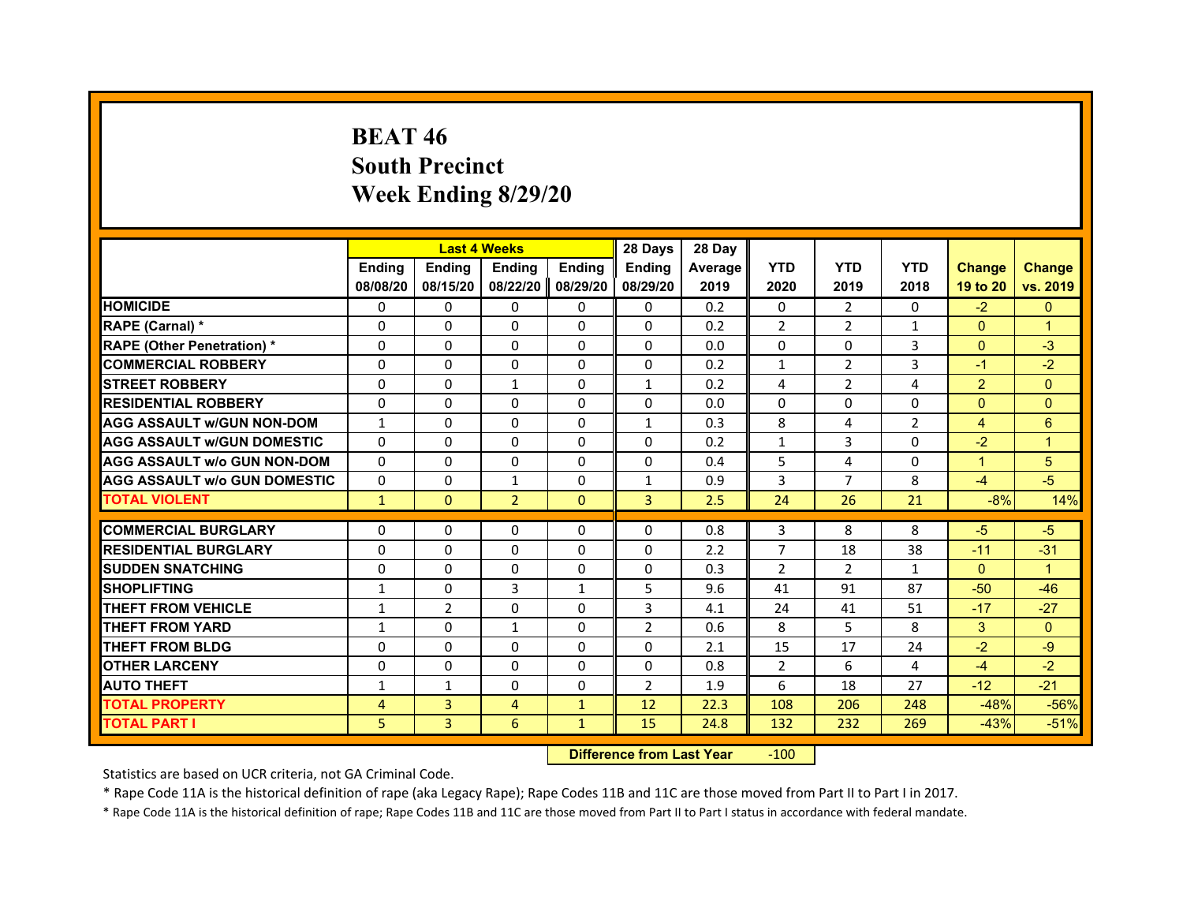# **BEAT 46South Precinct Week Ending 8/29/20**

|                                     |               | <b>Last 4 Weeks</b> |                |               | 28 Days        | 28 Day  |                |                |                |                      |                |
|-------------------------------------|---------------|---------------------|----------------|---------------|----------------|---------|----------------|----------------|----------------|----------------------|----------------|
|                                     | <b>Endina</b> | Ending              | <b>Endina</b>  | <b>Endina</b> | <b>Endina</b>  | Average | <b>YTD</b>     | <b>YTD</b>     | <b>YTD</b>     | <b>Change</b>        | <b>Change</b>  |
|                                     | 08/08/20      | 08/15/20            | 08/22/20       | 08/29/20      | 08/29/20       | 2019    | 2020           | 2019           | 2018           | 19 to 20             | vs. 2019       |
| <b>HOMICIDE</b>                     | $\Omega$      | $\mathbf{0}$        | $\Omega$       | $\Omega$      | $\Omega$       | 0.2     | $\mathbf{0}$   | $\overline{2}$ | $\mathbf{0}$   | $-2$                 | $\mathbf{0}$   |
| RAPE (Carnal) *                     | $\Omega$      | $\Omega$            | $\Omega$       | $\mathbf{0}$  | $\mathbf{0}$   | 0.2     | $\overline{2}$ | $\overline{2}$ | $\mathbf{1}$   | $\Omega$             | $\overline{1}$ |
| <b>RAPE (Other Penetration) *</b>   | $\Omega$      | $\Omega$            | $\Omega$       | $\mathbf{0}$  | $\Omega$       | 0.0     | $\mathbf{0}$   | $\Omega$       | 3              | $\Omega$             | $-3$           |
| <b>COMMERCIAL ROBBERY</b>           | 0             | 0                   | 0              | 0             | 0              | 0.2     | 1              | $\overline{2}$ | 3              | $-1$                 | $-2$           |
| <b>STREET ROBBERY</b>               | $\Omega$      | $\Omega$            | $\mathbf{1}$   | $\mathbf{0}$  | $\mathbf{1}$   | 0.2     | 4              | $\overline{2}$ | 4              | $\overline{2}$       | $\mathbf{0}$   |
| <b>RESIDENTIAL ROBBERY</b>          | $\Omega$      | $\Omega$            | 0              | $\mathbf{0}$  | 0              | 0.0     | $\Omega$       | $\Omega$       | 0              | $\mathbf{0}$         | $\mathbf{0}$   |
| <b>AGG ASSAULT W/GUN NON-DOM</b>    | $\mathbf{1}$  | $\Omega$            | $\Omega$       | $\mathbf{0}$  | $\mathbf{1}$   | 0.3     | 8              | 4              | $\overline{2}$ | $\overline{4}$       | 6              |
| <b>AGG ASSAULT W/GUN DOMESTIC</b>   | $\Omega$      | $\Omega$            | $\Omega$       | $\mathbf{0}$  | $\Omega$       | 0.2     | $\mathbf{1}$   | 3              | $\Omega$       | $-2$                 | $\overline{1}$ |
| <b>AGG ASSAULT W/o GUN NON-DOM</b>  | 0             | $\Omega$            | 0              | 0             | 0              | 0.4     | 5              | 4              | 0              | $\blacktriangleleft$ | 5              |
| <b>AGG ASSAULT W/o GUN DOMESTIC</b> | 0             | $\Omega$            | 1              | $\mathbf{0}$  | $\mathbf{1}$   | 0.9     | 3              | $\overline{7}$ | 8              | $-4$                 | $-5$           |
| <b>TOTAL VIOLENT</b>                | $\mathbf{1}$  | $\mathbf{0}$        | $\overline{2}$ | $\mathbf{0}$  | 3              | 2.5     | 24             | 26             | 21             | $-8%$                | 14%            |
|                                     |               |                     |                |               |                |         |                |                |                |                      |                |
| <b>COMMERCIAL BURGLARY</b>          | 0             | $\Omega$            | 0              | 0             | 0              | 0.8     | 3              | 8              | 8              | $-5$                 | $-5$           |
| <b>RESIDENTIAL BURGLARY</b>         | $\Omega$      | $\Omega$            | $\Omega$       | $\Omega$      | $\Omega$       | 2.2     | $\overline{7}$ | 18             | 38             | $-11$                | $-31$          |
| <b>SUDDEN SNATCHING</b>             | 0             | $\Omega$            | 0              | 0             | 0              | 0.3     | $\overline{2}$ | $\overline{2}$ | $\mathbf{1}$   | $\mathbf{0}$         | $\overline{1}$ |
| <b>SHOPLIFTING</b>                  | $\mathbf{1}$  | $\Omega$            | 3              | $\mathbf{1}$  | 5              | 9.6     | 41             | 91             | 87             | $-50$                | $-46$          |
| <b>THEFT FROM VEHICLE</b>           | $\mathbf{1}$  | $\overline{2}$      | $\Omega$       | $\Omega$      | 3              | 4.1     | 24             | 41             | 51             | $-17$                | $-27$          |
| <b>THEFT FROM YARD</b>              | 1             | $\Omega$            | 1              | 0             | $\overline{2}$ | 0.6     | 8              | 5              | 8              | 3                    | $\mathbf{0}$   |
| <b>THEFT FROM BLDG</b>              | $\Omega$      | $\Omega$            | $\Omega$       | $\Omega$      | $\Omega$       | 2.1     | 15             | 17             | 24             | $-2$                 | $-9$           |
| <b>OTHER LARCENY</b>                | $\Omega$      | $\Omega$            | $\Omega$       | $\Omega$      | $\Omega$       | 0.8     | $\overline{2}$ | 6              | 4              | $-4$                 | $-2$           |
| <b>AUTO THEFT</b>                   | $\mathbf{1}$  | $\mathbf{1}$        | $\Omega$       | $\Omega$      | $\overline{2}$ | 1.9     | 6              | 18             | 27             | $-12$                | $-21$          |
| <b>TOTAL PROPERTY</b>               | 4             | 3                   | 4              | $\mathbf{1}$  | 12             | 22.3    | 108            | 206            | 248            | $-48%$               | $-56%$         |
| <b>TOTAL PART I</b>                 | 5             | 3                   | 6              | $\mathbf{1}$  | 15             | 24.8    | 132            | 232            | 269            | $-43%$               | $-51%$         |

 **Difference from Last Year**r -100

Statistics are based on UCR criteria, not GA Criminal Code.

\* Rape Code 11A is the historical definition of rape (aka Legacy Rape); Rape Codes 11B and 11C are those moved from Part II to Part I in 2017.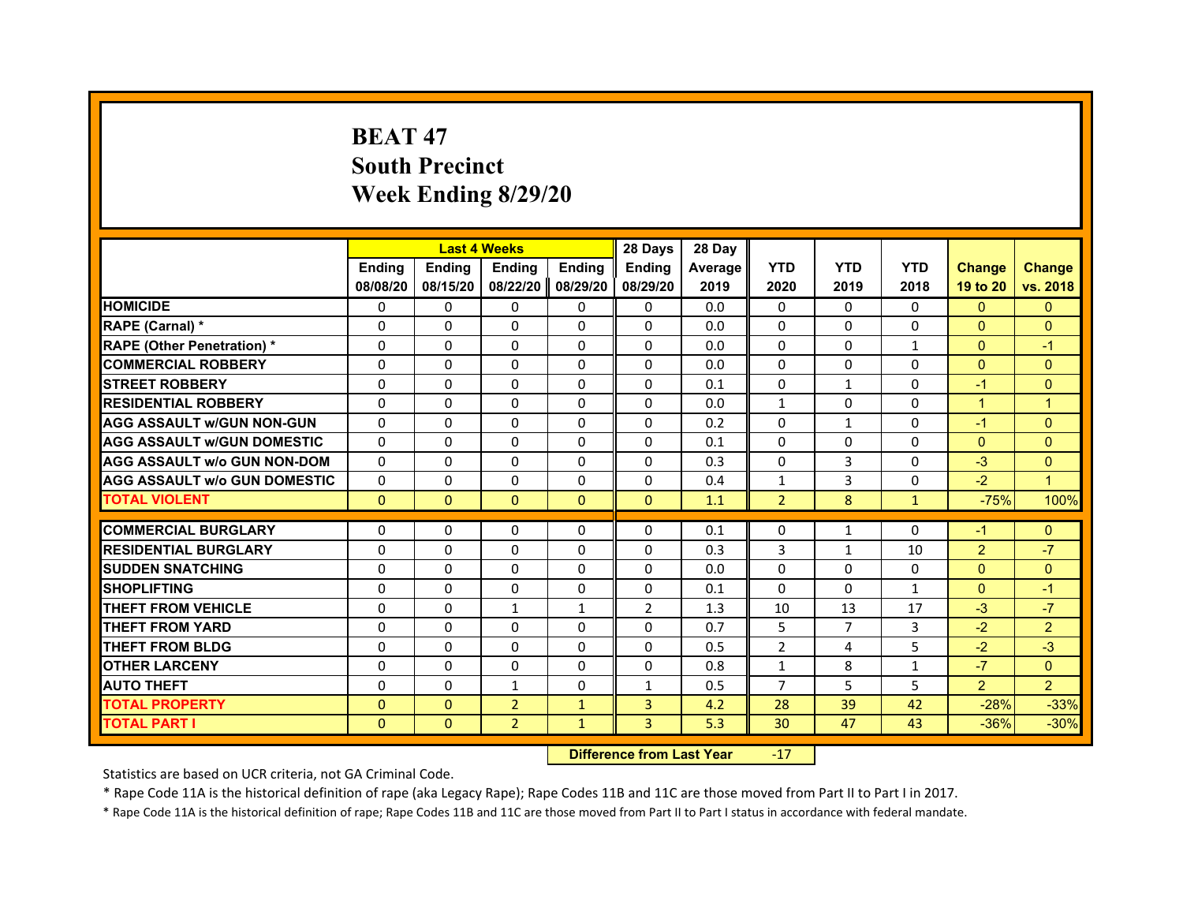# **BEAT 47South Precinct Week Ending 8/29/20**

|                                     |                           |                           | <b>Last 4 Weeks</b>       |                           | 28 Days                   | 28 Day                 |                    |                    |                    |                           |                           |
|-------------------------------------|---------------------------|---------------------------|---------------------------|---------------------------|---------------------------|------------------------|--------------------|--------------------|--------------------|---------------------------|---------------------------|
|                                     | <b>Endina</b><br>08/08/20 | <b>Endina</b><br>08/15/20 | <b>Endina</b><br>08/22/20 | <b>Endina</b><br>08/29/20 | <b>Endina</b><br>08/29/20 | <b>Average</b><br>2019 | <b>YTD</b><br>2020 | <b>YTD</b><br>2019 | <b>YTD</b><br>2018 | <b>Change</b><br>19 to 20 | <b>Change</b><br>vs. 2018 |
| <b>HOMICIDE</b>                     | 0                         | $\Omega$                  | $\Omega$                  | $\Omega$                  | 0                         | 0.0                    | $\Omega$           | $\Omega$           | $\Omega$           | $\Omega$                  | $\mathbf{0}$              |
| RAPE (Carnal) *                     | $\Omega$                  | $\Omega$                  | $\Omega$                  | $\Omega$                  | $\Omega$                  | 0.0                    | $\Omega$           | $\Omega$           | $\Omega$           | $\Omega$                  | $\mathbf 0$               |
| <b>RAPE (Other Penetration) *</b>   | $\Omega$                  | $\Omega$                  | $\Omega$                  | $\Omega$                  | $\Omega$                  | 0.0                    | $\Omega$           | $\Omega$           | $\mathbf{1}$       | $\Omega$                  | $-1$                      |
| <b>COMMERCIAL ROBBERY</b>           | 0                         | 0                         | 0                         | 0                         | 0                         | 0.0                    | 0                  | 0                  | 0                  | $\Omega$                  | $\Omega$                  |
| <b>STREET ROBBERY</b>               | $\Omega$                  | $\Omega$                  | $\Omega$                  | $\Omega$                  | $\Omega$                  | 0.1                    | $\Omega$           | $\mathbf{1}$       | $\Omega$           | $-1$                      | $\Omega$                  |
| <b>RESIDENTIAL ROBBERY</b>          | $\Omega$                  | $\Omega$                  | $\Omega$                  | $\Omega$                  | $\Omega$                  | 0.0                    | $\mathbf{1}$       | $\Omega$           | $\Omega$           | $\mathbf{1}$              | $\mathbf{1}$              |
| <b>AGG ASSAULT W/GUN NON-GUN</b>    | $\Omega$                  | $\Omega$                  | $\Omega$                  | $\Omega$                  | $\Omega$                  | 0.2                    | $\Omega$           | $\mathbf{1}$       | $\Omega$           | $-1$                      | $\overline{0}$            |
| <b>AGG ASSAULT W/GUN DOMESTIC</b>   | $\Omega$                  | $\Omega$                  | $\Omega$                  | $\Omega$                  | $\Omega$                  | 0.1                    | $\Omega$           | $\Omega$           | $\Omega$           | $\Omega$                  | $\Omega$                  |
| <b>AGG ASSAULT W/o GUN NON-DOM</b>  | $\Omega$                  | $\Omega$                  | $\Omega$                  | $\Omega$                  | $\Omega$                  | 0.3                    | $\Omega$           | 3                  | $\Omega$           | $-3$                      | $\mathbf{0}$              |
| <b>AGG ASSAULT W/o GUN DOMESTIC</b> | $\Omega$                  | $\Omega$                  | 0                         | $\Omega$                  | $\Omega$                  | 0.4                    | $\mathbf{1}$       | 3                  | 0                  | $-2$                      | $\overline{1}$            |
| <b>TOTAL VIOLENT</b>                | $\mathbf{0}$              | $\mathbf{0}$              | $\mathbf{0}$              | $\Omega$                  | $\mathbf{0}$              | 1.1                    | $\overline{2}$     | 8                  | $\mathbf{1}$       | $-75%$                    | 100%                      |
|                                     |                           |                           |                           |                           |                           |                        |                    |                    |                    |                           |                           |
| <b>COMMERCIAL BURGLARY</b>          | 0                         | 0                         | 0                         | 0                         | 0                         | 0.1                    | 0                  | $\mathbf{1}$       | 0                  | $-1$                      | $\mathbf{0}$              |
| <b>RESIDENTIAL BURGLARY</b>         | $\Omega$                  | $\Omega$                  | 0                         | $\Omega$                  | 0                         | 0.3                    | 3                  | $\mathbf{1}$       | 10                 | $\overline{2}$            | $-7$                      |
| <b>SUDDEN SNATCHING</b>             | 0                         | $\Omega$                  | $\Omega$                  | 0                         | 0                         | 0.0                    | 0                  | 0                  | 0                  | $\mathbf{0}$              | $\Omega$                  |
| <b>SHOPLIFTING</b>                  | $\Omega$                  | $\Omega$                  | $\Omega$                  | $\Omega$                  | $\Omega$                  | 0.1                    | $\Omega$           | $\Omega$           | $\mathbf{1}$       | $\Omega$                  | $-1$                      |
| <b>THEFT FROM VEHICLE</b>           | $\Omega$                  | $\Omega$                  | $\mathbf{1}$              | $\mathbf{1}$              | $\overline{2}$            | 1.3                    | 10                 | 13                 | 17                 | $-3$                      | $-7$                      |
| <b>THEFT FROM YARD</b>              | 0                         | 0                         | 0                         | 0                         | $\Omega$                  | 0.7                    | 5                  | 7                  | 3                  | $-2$                      | $\overline{2}$            |
| <b>THEFT FROM BLDG</b>              | $\Omega$                  | $\Omega$                  | $\Omega$                  | 0                         | $\Omega$                  | 0.5                    | $\overline{2}$     | 4                  | 5                  | $-2$                      | $-3$                      |
| <b>OTHER LARCENY</b>                | $\Omega$                  | $\Omega$                  | $\Omega$                  | $\Omega$                  | $\Omega$                  | 0.8                    | $\mathbf{1}$       | 8                  | $\mathbf{1}$       | $-7$                      | $\Omega$                  |
| <b>AUTO THEFT</b>                   | $\Omega$                  | $\Omega$                  | $\mathbf{1}$              | $\Omega$                  | $\mathbf{1}$              | 0.5                    | $\overline{7}$     | 5                  | 5                  | $\overline{2}$            | $\overline{2}$            |
| <b>TOTAL PROPERTY</b>               | $\mathbf{0}$              | $\mathbf{0}$              | $\overline{2}$            | $\mathbf{1}$              | 3                         | 4.2                    | 28                 | 39                 | 42                 | $-28%$                    | $-33%$                    |
| TOTAL PART I                        | $\mathbf{0}$              | $\mathbf{0}$              | $\overline{2}$            | $\mathbf{1}$              | 3                         | 5.3                    | 30                 | 47                 | 43                 | $-36%$                    | $-30%$                    |

 **Difference from Last Year**r -17

Statistics are based on UCR criteria, not GA Criminal Code.

\* Rape Code 11A is the historical definition of rape (aka Legacy Rape); Rape Codes 11B and 11C are those moved from Part II to Part I in 2017.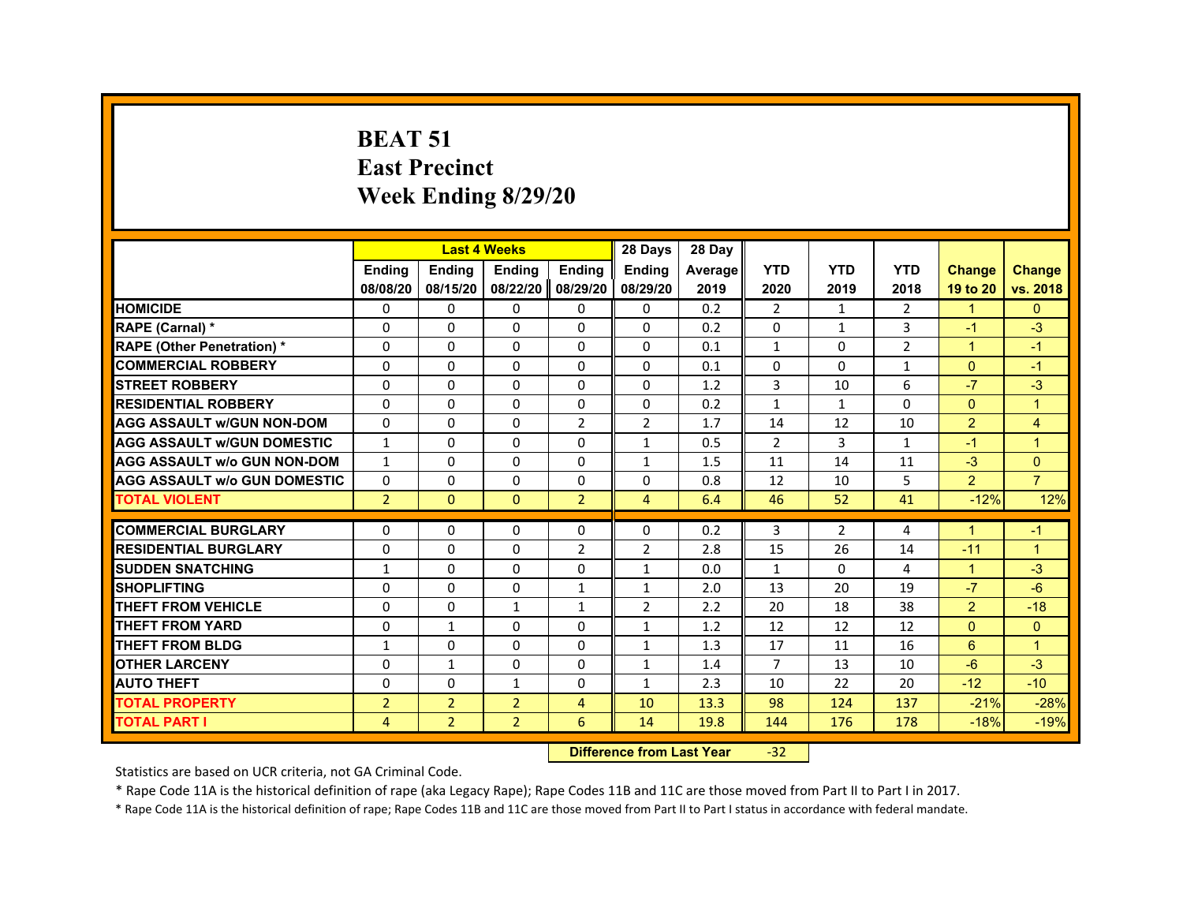#### **BEAT 51East Precinct Week Ending 8/29/20**

|                                     |                | <b>Last 4 Weeks</b> |                |                   | 28 Days        | 28 Day  |                |                |                |                      |                |
|-------------------------------------|----------------|---------------------|----------------|-------------------|----------------|---------|----------------|----------------|----------------|----------------------|----------------|
|                                     | <b>Ending</b>  | <b>Endina</b>       | <b>Endina</b>  | <b>Ending</b>     | <b>Endina</b>  | Average | <b>YTD</b>     | <b>YTD</b>     | <b>YTD</b>     | <b>Change</b>        | <b>Change</b>  |
|                                     | 08/08/20       | 08/15/20            |                | 08/22/20 08/29/20 | 08/29/20       | 2019    | 2020           | 2019           | 2018           | 19 to 20             | vs. 2018       |
| <b>HOMICIDE</b>                     | 0              | 0                   | 0              | $\Omega$          | 0              | 0.2     | $\overline{2}$ | $\mathbf{1}$   | $\overline{2}$ | $\blacktriangleleft$ | $\mathbf{0}$   |
| RAPE (Carnal) *                     | 0              | 0                   | $\Omega$       | 0                 | 0              | 0.2     | 0              | $\mathbf{1}$   | 3              | $-1$                 | $-3$           |
| <b>RAPE (Other Penetration) *</b>   | 0              | 0                   | 0              | 0                 | $\Omega$       | 0.1     | $\mathbf{1}$   | $\Omega$       | $\overline{2}$ | $\blacktriangleleft$ | $-1$           |
| <b>COMMERCIAL ROBBERY</b>           | 0              | $\Omega$            | $\Omega$       | $\Omega$          | $\Omega$       | 0.1     | $\Omega$       | $\Omega$       | $\mathbf{1}$   | $\Omega$             | $-1$           |
| <b>STREET ROBBERY</b>               | $\Omega$       | $\Omega$            | $\Omega$       | $\Omega$          | $\Omega$       | 1.2     | 3              | 10             | 6              | $-7$                 | $-3$           |
| <b>RESIDENTIAL ROBBERY</b>          | 0              | 0                   | $\Omega$       | 0                 | 0              | 0.2     | $\mathbf{1}$   | $\mathbf{1}$   | $\Omega$       | $\mathbf{0}$         | $\overline{1}$ |
| <b>AGG ASSAULT W/GUN NON-DOM</b>    | 0              | 0                   | $\Omega$       | $\overline{2}$    | $\overline{2}$ | 1.7     | 14             | 12             | 10             | $\overline{2}$       | $\overline{4}$ |
| <b>AGG ASSAULT w/GUN DOMESTIC</b>   | $\mathbf{1}$   | 0                   | 0              | 0                 | $\mathbf{1}$   | 0.5     | 2              | 3              | 1              | $-1$                 | $\overline{1}$ |
| <b>AGG ASSAULT w/o GUN NON-DOM</b>  | $\mathbf{1}$   | $\Omega$            | 0              | 0                 | $\mathbf{1}$   | 1.5     | 11             | 14             | 11             | $-3$                 | $\Omega$       |
| <b>AGG ASSAULT w/o GUN DOMESTIC</b> | $\Omega$       | 0                   | $\Omega$       | $\mathbf{0}$      | $\Omega$       | 0.8     | 12             | 10             | 5              | $\overline{2}$       | $\overline{7}$ |
| <b>TOTAL VIOLENT</b>                | $\overline{2}$ | $\Omega$            | $\Omega$       | $\overline{2}$    | $\overline{4}$ | 6.4     | 46             | 52             | 41             | $-12%$               | 12%            |
| <b>COMMERCIAL BURGLARY</b>          | 0              | 0                   | 0              | 0                 | 0              | 0.2     | 3              | $\overline{2}$ | 4              | -1                   | $-1$           |
| <b>RESIDENTIAL BURGLARY</b>         | 0              | $\Omega$            | $\Omega$       | $\overline{2}$    | $\overline{2}$ | 2.8     | 15             | 26             | 14             | $-11$                | $\overline{1}$ |
| <b>SUDDEN SNATCHING</b>             | 1              | $\Omega$            | $\Omega$       | $\Omega$          | $\mathbf{1}$   | 0.0     | $\mathbf{1}$   | $\Omega$       | 4              | $\mathbf{1}$         | $-3$           |
| <b>SHOPLIFTING</b>                  | 0              | $\Omega$            | $\Omega$       | $\mathbf{1}$      | $\mathbf{1}$   | 2.0     | 13             | 20             | 19             | $-7$                 | $-6$           |
| <b>THEFT FROM VEHICLE</b>           | 0              | $\Omega$            | $\mathbf{1}$   | $\mathbf{1}$      | $\overline{2}$ | 2.2     | 20             | 18             | 38             | $\overline{2}$       | $-18$          |
| <b>THEFT FROM YARD</b>              | $\Omega$       | $\mathbf{1}$        | $\Omega$       | $\Omega$          | $\mathbf{1}$   | 1.2     | 12             | 12             | 12             | $\mathbf{0}$         | $\mathbf{0}$   |
| <b>THEFT FROM BLDG</b>              | $\mathbf{1}$   | $\Omega$            | $\Omega$       | $\Omega$          | $\mathbf{1}$   | 1.3     | 17             | 11             | 16             | 6                    | $\overline{1}$ |
| <b>OTHER LARCENY</b>                | 0              | 1                   | 0              | 0                 | $\mathbf{1}$   | 1.4     | $\overline{7}$ | 13             | 10             | $-6$                 | $-3$           |
| <b>AUTO THEFT</b>                   | 0              | 0                   | $\mathbf{1}$   | 0                 | $\mathbf{1}$   | 2.3     | 10             | 22             | 20             | $-12$                | $-10$          |
| <b>TOTAL PROPERTY</b>               | $\overline{2}$ | $\overline{2}$      | $\overline{2}$ | $\overline{4}$    | 10             | 13.3    | 98             | 124            | 137            | $-21%$               | $-28%$         |
| <b>TOTAL PART I</b>                 | 4              | $\overline{2}$      | $\overline{2}$ | 6                 | 14             | 19.8    | 144            | 176            | 178            | $-18%$               | $-19%$         |
|                                     |                |                     |                |                   |                |         | $\sim$         |                |                |                      |                |

#### **Difference from Last Year**‐32

Statistics are based on UCR criteria, not GA Criminal Code.

\* Rape Code 11A is the historical definition of rape (aka Legacy Rape); Rape Codes 11B and 11C are those moved from Part II to Part I in 2017.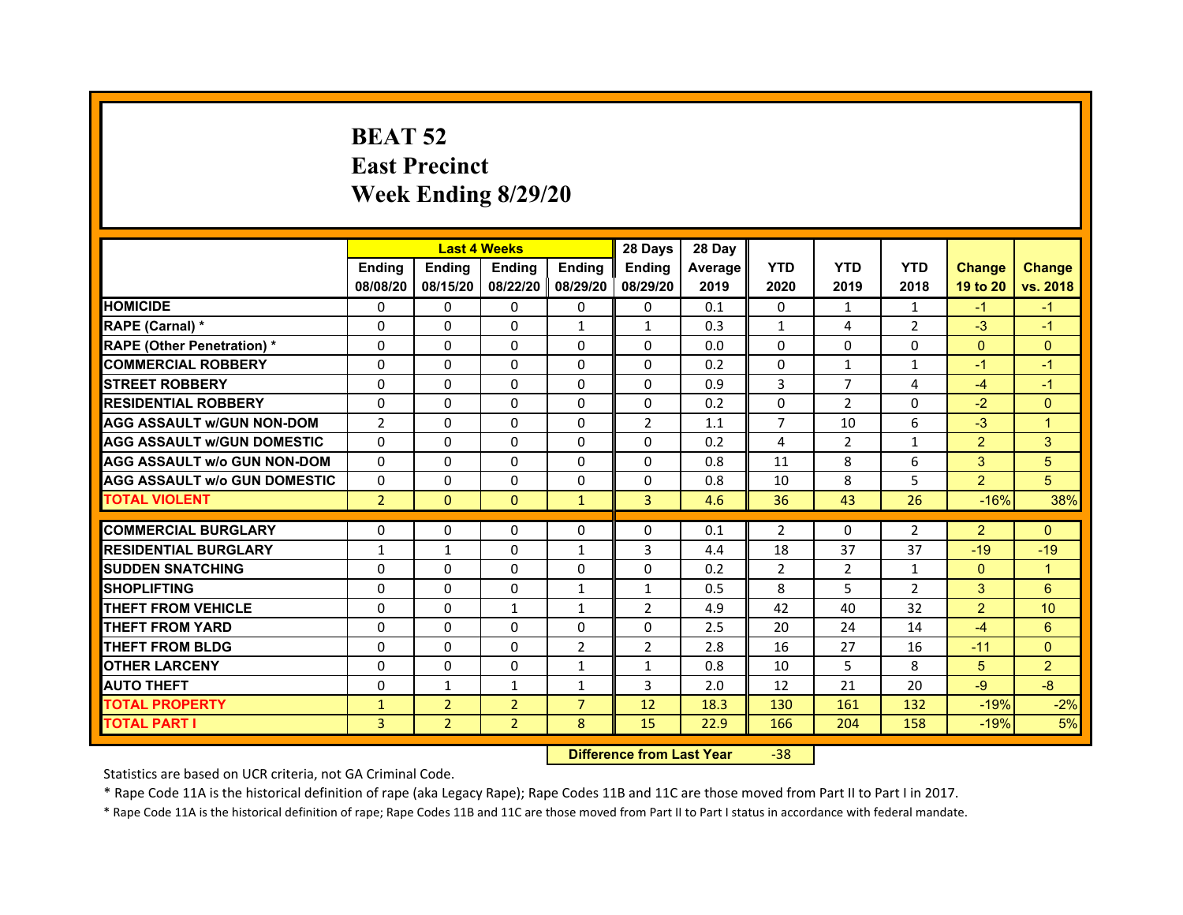# **BEAT 52East Precinct Week Ending 8/29/20**

|                                     |                | <b>Last 4 Weeks</b> |                   |                | 28 Days        | 28 Day  |                |                |                |                |                |
|-------------------------------------|----------------|---------------------|-------------------|----------------|----------------|---------|----------------|----------------|----------------|----------------|----------------|
|                                     | <b>Endina</b>  | <b>Endina</b>       | <b>Endina</b>     | <b>Ending</b>  | <b>Endina</b>  | Average | <b>YTD</b>     | <b>YTD</b>     | <b>YTD</b>     | <b>Change</b>  | <b>Change</b>  |
|                                     | 08/08/20       | 08/15/20            | 08/22/20 08/29/20 |                | 08/29/20       | 2019    | 2020           | 2019           | 2018           | 19 to 20       | vs. 2018       |
| <b>HOMICIDE</b>                     | 0              | 0                   | $\mathbf{0}$      | 0              | 0              | 0.1     | $\mathbf{0}$   | 1              | 1              | $-1$           | $-1$           |
| RAPE (Carnal) *                     | $\Omega$       | $\Omega$            | $\Omega$          | $\mathbf{1}$   | $\mathbf{1}$   | 0.3     | $\mathbf{1}$   | 4              | $\overline{2}$ | $-3$           | $-1$           |
| <b>RAPE (Other Penetration) *</b>   | 0              | $\Omega$            | $\Omega$          | $\Omega$       | $\Omega$       | 0.0     | $\Omega$       | $\Omega$       | $\Omega$       | $\Omega$       | $\Omega$       |
| <b>COMMERCIAL ROBBERY</b>           | 0              | 0                   | $\Omega$          | 0              | $\Omega$       | 0.2     | $\Omega$       | 1              | $\mathbf{1}$   | $-1$           | $-1$           |
| <b>STREET ROBBERY</b>               | 0              | 0                   | 0                 | 0              | 0              | 0.9     | 3              | 7              | $\overline{4}$ | $-4$           | $-1$           |
| <b>RESIDENTIAL ROBBERY</b>          | 0              | $\Omega$            | $\Omega$          | $\Omega$       | $\Omega$       | 0.2     | $\Omega$       | 2              | $\Omega$       | $-2$           | $\Omega$       |
| <b>AGG ASSAULT w/GUN NON-DOM</b>    | $\overline{2}$ | $\mathbf 0$         | $\Omega$          | $\Omega$       | $\overline{2}$ | 1.1     | $\overline{7}$ | 10             | 6              | $-3$           | $\overline{1}$ |
| <b>AGG ASSAULT W/GUN DOMESTIC</b>   | 0              | 0                   | $\Omega$          | 0              | $\Omega$       | 0.2     | 4              | 2              | $\mathbf{1}$   | $\overline{2}$ | 3              |
| <b>AGG ASSAULT w/o GUN NON-DOM</b>  | 0              | 0                   | $\Omega$          | $\Omega$       | $\Omega$       | 0.8     | 11             | 8              | 6              | 3              | 5              |
| <b>AGG ASSAULT W/o GUN DOMESTIC</b> | $\Omega$       | $\Omega$            | 0                 | $\Omega$       | 0              | 0.8     | 10             | 8              | 5              | $\overline{2}$ | 5              |
| <b>TOTAL VIOLENT</b>                | $\overline{2}$ | $\Omega$            | $\mathbf{0}$      | $\mathbf{1}$   | 3              | 4.6     | 36             | 43             | 26             | $-16%$         | 38%            |
|                                     |                |                     |                   |                |                |         |                |                |                |                |                |
| <b>COMMERCIAL BURGLARY</b>          | 0              | 0                   | $\Omega$          | 0              | $\Omega$       | 0.1     | 2              | $\Omega$       | 2              | $\overline{2}$ | $\Omega$       |
| <b>RESIDENTIAL BURGLARY</b>         | $\mathbf{1}$   | $\mathbf{1}$        | 0                 | $\mathbf{1}$   | 3              | 4.4     | 18             | 37             | 37             | $-19$          | $-19$          |
| <b>SUDDEN SNATCHING</b>             | 0              | 0                   | $\Omega$          | 0              | 0              | 0.2     | $\overline{2}$ | $\overline{2}$ | $\mathbf{1}$   | $\Omega$       | 1              |
| <b>SHOPLIFTING</b>                  | $\Omega$       | 0                   | $\Omega$          | $\mathbf{1}$   | $\mathbf{1}$   | 0.5     | 8              | 5              | $\overline{2}$ | 3              | 6              |
| <b>THEFT FROM VEHICLE</b>           | 0              | $\Omega$            | $\mathbf{1}$      | $\mathbf{1}$   | $\overline{2}$ | 4.9     | 42             | 40             | 32             | $\overline{2}$ | 10             |
| <b>THEFT FROM YARD</b>              | $\Omega$       | $\Omega$            | $\Omega$          | $\Omega$       | $\Omega$       | 2.5     | 20             | 24             | 14             | $-4$           | 6              |
| <b>THEFT FROM BLDG</b>              | 0              | 0                   | 0                 | $\overline{2}$ | $\overline{2}$ | 2.8     | 16             | 27             | 16             | $-11$          | $\Omega$       |
| <b>OTHER LARCENY</b>                | 0              | 0                   | $\Omega$          | $\mathbf{1}$   | $\mathbf{1}$   | 0.8     | 10             | 5              | 8              | 5              | $\overline{2}$ |
| <b>AUTO THEFT</b>                   | $\mathbf 0$    | 1                   | $\mathbf{1}$      | $\mathbf{1}$   | 3              | 2.0     | 12             | 21             | 20             | $-9$           | $-8$           |
| <b>TOTAL PROPERTY</b>               | $\mathbf{1}$   | $\overline{2}$      | $\overline{2}$    | $\overline{7}$ | 12             | 18.3    | 130            | 161            | 132            | $-19%$         | $-2%$          |
| <b>TOTAL PART I</b>                 | 3              | $\overline{2}$      | $\overline{2}$    | 8              | 15             | 22.9    | 166            | 204            | 158            | $-19%$         | 5%             |

 **Difference from Last Year**‐38

Statistics are based on UCR criteria, not GA Criminal Code.

\* Rape Code 11A is the historical definition of rape (aka Legacy Rape); Rape Codes 11B and 11C are those moved from Part II to Part I in 2017.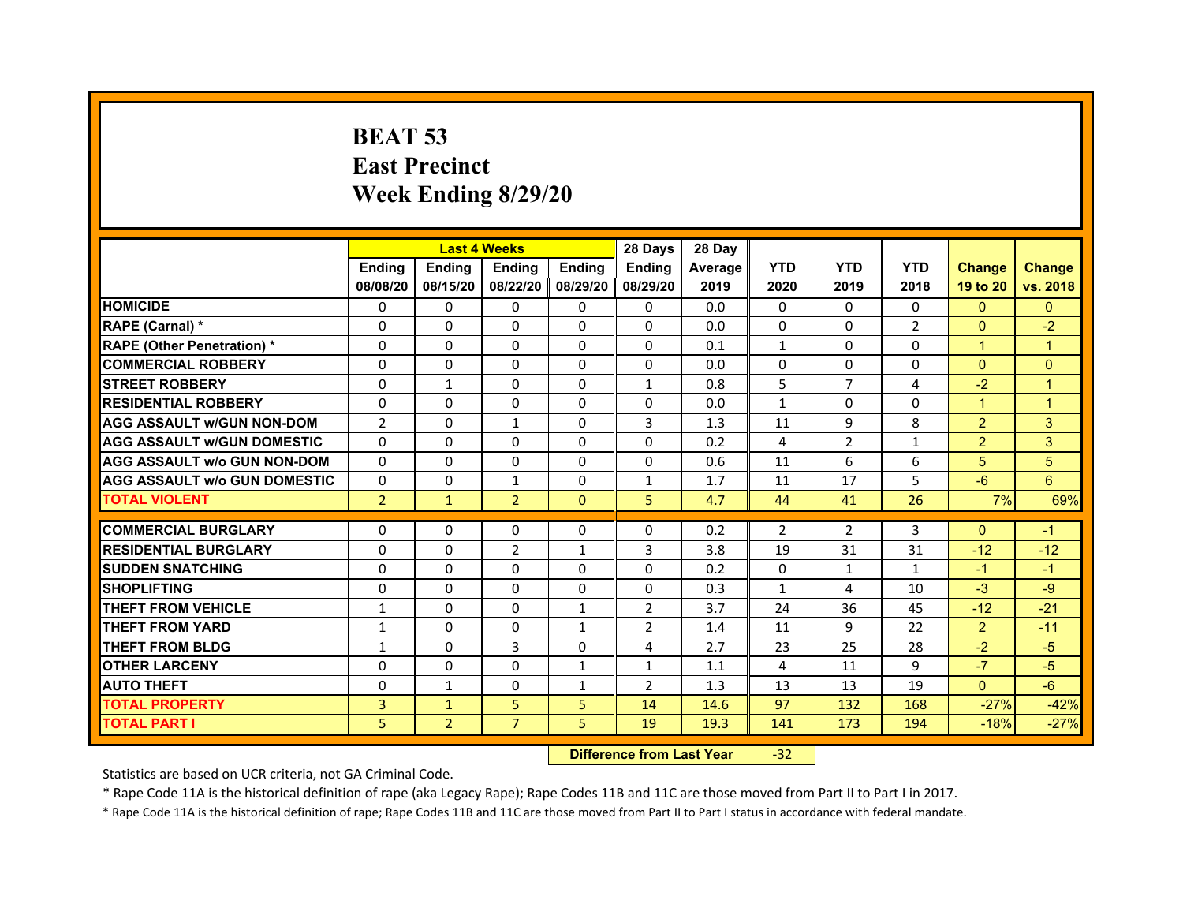# **BEAT 53East Precinct Week Ending 8/29/20**

|                                     |                | <b>Last 4 Weeks</b> |                |              | 28 Days        | 28 Day  |                |                |              |                |                |
|-------------------------------------|----------------|---------------------|----------------|--------------|----------------|---------|----------------|----------------|--------------|----------------|----------------|
|                                     | <b>Endina</b>  | <b>Endina</b>       | <b>Endina</b>  | Ending       | <b>Ending</b>  | Average | <b>YTD</b>     | <b>YTD</b>     | <b>YTD</b>   | <b>Change</b>  | <b>Change</b>  |
|                                     | 08/08/20       | 08/15/20            | 08/22/20       | 08/29/20     | 08/29/20       | 2019    | 2020           | 2019           | 2018         | 19 to 20       | vs. 2018       |
| <b>HOMICIDE</b>                     | 0              | 0                   | $\mathbf{0}$   | $\mathbf{0}$ | $\mathbf{0}$   | 0.0     | $\mathbf{0}$   | $\Omega$       | 0            | $\mathbf{0}$   | $\mathbf{0}$   |
| RAPE (Carnal) *                     | $\Omega$       | $\Omega$            | $\Omega$       | $\Omega$     | $\Omega$       | 0.0     | $\Omega$       | $\Omega$       | 2            | $\Omega$       | $-2$           |
| <b>RAPE (Other Penetration) *</b>   | $\Omega$       | $\Omega$            | $\Omega$       | $\Omega$     | $\Omega$       | 0.1     | $\mathbf{1}$   | $\Omega$       | $\Omega$     | $\mathbf{1}$   | $\mathbf{1}$   |
| <b>COMMERCIAL ROBBERY</b>           | $\Omega$       | $\Omega$            | $\Omega$       | $\Omega$     | $\Omega$       | 0.0     | $\Omega$       | $\Omega$       | $\Omega$     | $\Omega$       | $\Omega$       |
| <b>STREET ROBBERY</b>               | $\Omega$       | $\mathbf{1}$        | $\Omega$       | $\Omega$     | $\mathbf{1}$   | 0.8     | 5              | $\overline{7}$ | 4            | $-2$           | $\mathbf{1}$   |
| <b>RESIDENTIAL ROBBERY</b>          | $\Omega$       | $\Omega$            | $\Omega$       | $\Omega$     | $\mathbf 0$    | 0.0     | $\mathbf{1}$   | $\mathbf{0}$   | $\Omega$     | $\mathbf{1}$   | $\overline{1}$ |
| <b>AGG ASSAULT w/GUN NON-DOM</b>    | $\overline{2}$ | $\Omega$            | $\mathbf{1}$   | $\Omega$     | 3              | 1.3     | 11             | 9              | 8            | 2              | 3              |
| <b>AGG ASSAULT W/GUN DOMESTIC</b>   | $\Omega$       | 0                   | 0              | 0            | $\Omega$       | 0.2     | 4              | $\overline{2}$ | $\mathbf{1}$ | 2              | 3              |
| <b>AGG ASSAULT W/o GUN NON-DOM</b>  | $\Omega$       | $\Omega$            | $\Omega$       | $\Omega$     | $\Omega$       | 0.6     | 11             | 6              | 6            | 5              | 5              |
| <b>AGG ASSAULT W/o GUN DOMESTIC</b> | $\Omega$       | $\Omega$            | $\mathbf{1}$   | $\Omega$     | $\mathbf{1}$   | 1.7     | 11             | 17             | 5            | $-6$           | 6              |
| <b>TOTAL VIOLENT</b>                | $\overline{2}$ | $\mathbf{1}$        | $\overline{2}$ | $\mathbf 0$  | 5              | 4.7     | 44             | 41             | 26           | 7%             | 69%            |
|                                     |                |                     |                |              |                |         |                |                |              |                |                |
| <b>COMMERCIAL BURGLARY</b>          | 0              | 0                   | 0              | 0            | 0              | 0.2     | $\overline{2}$ | $\overline{2}$ | 3            | $\mathbf{0}$   | $-1$           |
| <b>RESIDENTIAL BURGLARY</b>         | $\Omega$       | $\Omega$            | $\overline{2}$ | $\mathbf{1}$ | 3              | 3.8     | 19             | 31             | 31           | $-12$          | $-12$          |
| <b>SUDDEN SNATCHING</b>             | $\Omega$       | $\Omega$            | $\Omega$       | $\Omega$     | $\Omega$       | 0.2     | 0              | $\mathbf{1}$   | $\mathbf{1}$ | $-1$           | $-1$           |
| <b>SHOPLIFTING</b>                  | $\Omega$       | $\Omega$            | $\Omega$       | $\Omega$     | $\Omega$       | 0.3     | $\mathbf{1}$   | 4              | 10           | $-3$           | $-9$           |
| <b>THEFT FROM VEHICLE</b>           | 1              | 0                   | 0              | $\mathbf{1}$ | 2              | 3.7     | 24             | 36             | 45           | $-12$          | $-21$          |
| <b>THEFT FROM YARD</b>              | $\mathbf{1}$   | $\Omega$            | $\Omega$       | $\mathbf{1}$ | $\overline{2}$ | 1.4     | 11             | 9              | 22           | $\overline{2}$ | $-11$          |
| <b>THEFT FROM BLDG</b>              | $\mathbf{1}$   | $\Omega$            | 3              | $\Omega$     | 4              | 2.7     | 23             | 25             | 28           | $-2$           | $-5$           |
| <b>OTHER LARCENY</b>                | 0              | 0                   | 0              | $\mathbf{1}$ | $\mathbf{1}$   | 1.1     | 4              | 11             | 9            | $-7$           | $-5$           |
| <b>AUTO THEFT</b>                   | $\Omega$       | $\mathbf{1}$        | $\Omega$       | $\mathbf{1}$ | $\overline{2}$ | 1.3     | 13             | 13             | 19           | $\overline{0}$ | $-6$           |
| <b>TOTAL PROPERTY</b>               | 3              | $\mathbf{1}$        | 5              | 5            | 14             | 14.6    | 97             | 132            | 168          | $-27%$         | $-42%$         |
| <b>TOTAL PART I</b>                 | 5              | $\overline{2}$      | $\overline{7}$ | 5            | 19             | 19.3    | 141            | 173            | 194          | $-18%$         | $-27%$         |

 **Difference from Last Year**‐32

Statistics are based on UCR criteria, not GA Criminal Code.

\* Rape Code 11A is the historical definition of rape (aka Legacy Rape); Rape Codes 11B and 11C are those moved from Part II to Part I in 2017.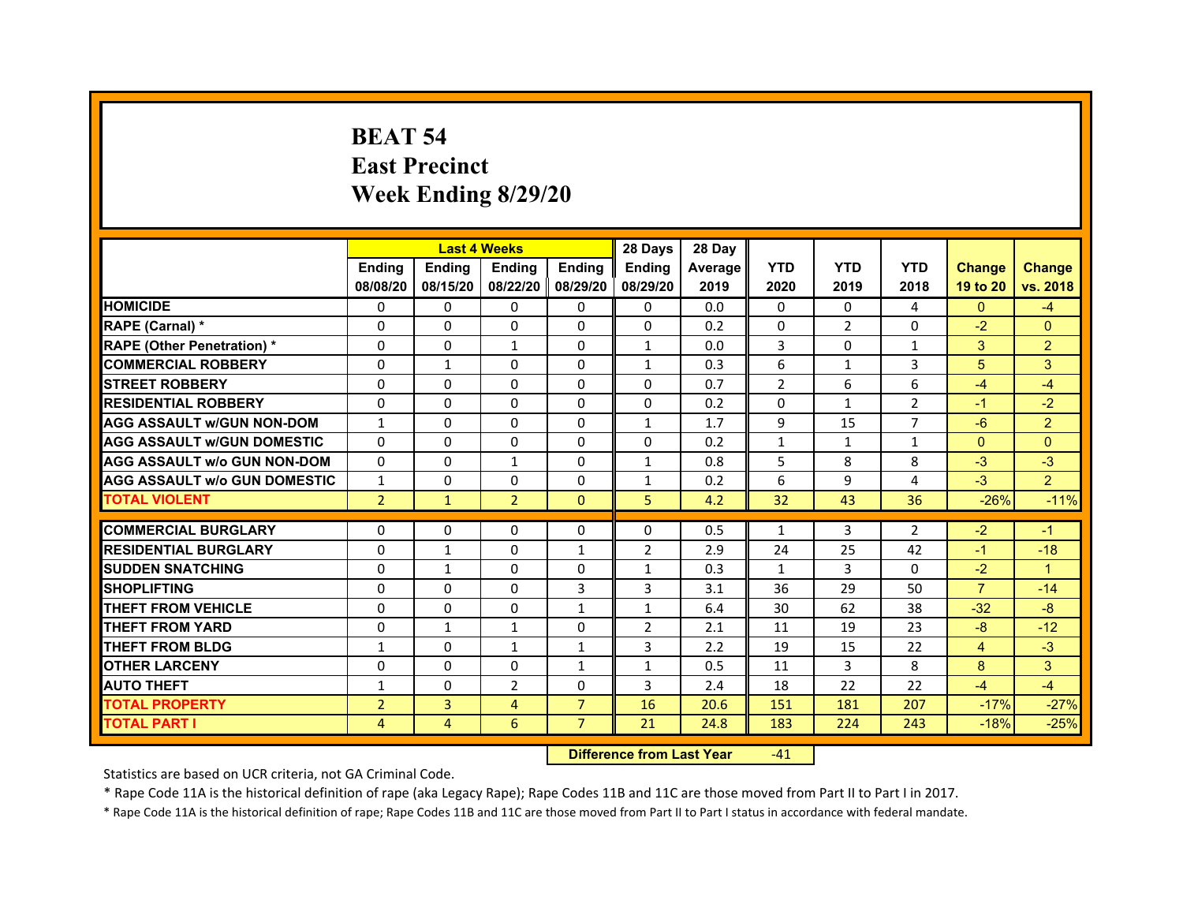# **BEAT 54East Precinct Week Ending 8/29/20**

|                                                           |                | <b>Last 4 Weeks</b> |                     |                | 28 Days        | 28 Day  |                |              |                |                |                |
|-----------------------------------------------------------|----------------|---------------------|---------------------|----------------|----------------|---------|----------------|--------------|----------------|----------------|----------------|
|                                                           | <b>Endina</b>  | <b>Ending</b>       | <b>Endina</b>       | <b>Endina</b>  | <b>Endina</b>  | Average | <b>YTD</b>     | <b>YTD</b>   | <b>YTD</b>     | <b>Change</b>  | <b>Change</b>  |
|                                                           | 08/08/20       | 08/15/20            | 08/22/20   08/29/20 |                | 08/29/20       | 2019    | 2020           | 2019         | 2018           | 19 to 20       | vs. 2018       |
| <b>HOMICIDE</b>                                           | 0              | 0                   | $\mathbf{0}$        | 0              | 0              | 0.0     | $\mathbf{0}$   | 0            | 4              | $\mathbf{0}$   | $-4$           |
| RAPE (Carnal) *                                           | $\Omega$       | $\Omega$            | $\Omega$            | $\mathbf{0}$   | $\Omega$       | 0.2     | $\Omega$       | 2            | $\Omega$       | $-2$           | $\Omega$       |
| <b>RAPE (Other Penetration) *</b>                         | 0              | $\Omega$            | $\mathbf{1}$        | $\Omega$       | $\mathbf{1}$   | 0.0     | 3              | $\Omega$     | $\mathbf{1}$   | 3              | 2              |
| <b>COMMERCIAL ROBBERY</b>                                 | 0              | $\mathbf{1}$        | $\Omega$            | 0              | $\mathbf{1}$   | 0.3     | 6              | 1            | 3              | 5              | 3              |
| <b>STREET ROBBERY</b>                                     | 0              | 0                   | 0                   | 0              | 0              | 0.7     | $\overline{2}$ | 6            | 6              | $-4$           | $-4$           |
| <b>RESIDENTIAL ROBBERY</b>                                | 0              | $\Omega$            | $\Omega$            | $\Omega$       | $\Omega$       | 0.2     | $\Omega$       | $\mathbf{1}$ | $\overline{2}$ | $-1$           | $-2$           |
| <b>AGG ASSAULT w/GUN NON-DOM</b>                          | $\mathbf{1}$   | $\Omega$            | $\Omega$            | $\Omega$       | $\mathbf{1}$   | 1.7     | 9              | 15           | $\overline{7}$ | $-6$           | $\overline{a}$ |
| <b>AGG ASSAULT W/GUN DOMESTIC</b>                         | $\Omega$       | $\Omega$            | $\Omega$            | 0              | $\Omega$       | 0.2     | $\mathbf{1}$   | $\mathbf{1}$ | $\mathbf{1}$   | $\Omega$       | $\Omega$       |
| <b>AGG ASSAULT w/o GUN NON-DOM</b>                        | $\Omega$       | $\Omega$            | $\mathbf{1}$        | $\Omega$       | $\mathbf{1}$   | 0.8     | 5              | 8            | 8              | $-3$           | $-3$           |
| <b>AGG ASSAULT W/o GUN DOMESTIC</b>                       | $\mathbf{1}$   | $\Omega$            | 0                   | $\mathbf{0}$   | 1              | 0.2     | 6              | 9            | 4              | $-3$           | $\overline{2}$ |
| <b>TOTAL VIOLENT</b>                                      | $\overline{2}$ | $\mathbf{1}$        | $\overline{2}$      | $\mathbf{0}$   | 5              | 4.2     | 32             | 43           | 36             | $-26%$         | $-11%$         |
|                                                           |                |                     |                     |                |                |         |                |              |                |                |                |
| <b>COMMERCIAL BURGLARY</b><br><b>RESIDENTIAL BURGLARY</b> | 0              | 0                   | $\Omega$            | $\Omega$       | $\Omega$       | 0.5     | $\mathbf{1}$   | 3            | $\overline{2}$ | $-2$           | $-1$           |
|                                                           | 0              | $\mathbf{1}$        | 0                   | $\mathbf{1}$   | $\overline{2}$ | 2.9     | 24             | 25           | 42             | $-1$           | $-18$<br>1     |
| <b>SUDDEN SNATCHING</b>                                   | 0              | $\mathbf{1}$        | $\Omega$            | 0              | $\mathbf{1}$   | 0.3     | $\mathbf{1}$   | 3            | $\Omega$       | $-2$           |                |
| <b>SHOPLIFTING</b>                                        | $\Omega$       | $\Omega$            | $\Omega$            | 3              | 3              | 3.1     | 36             | 29           | 50             | $\overline{7}$ | $-14$          |
| <b>THEFT FROM VEHICLE</b>                                 | $\Omega$       | $\Omega$            | $\Omega$            | $\mathbf{1}$   | $\mathbf{1}$   | 6.4     | 30             | 62           | 38             | $-32$          | $-8$           |
| <b>THEFT FROM YARD</b>                                    | $\Omega$       | $\mathbf{1}$        | $\mathbf{1}$        | $\Omega$       | $\overline{2}$ | 2.1     | 11             | 19           | 23             | $-8$           | $-12$          |
| <b>THEFT FROM BLDG</b>                                    | 1              | 0                   | 1                   | 1              | 3              | 2.2     | 19             | 15           | 22             | 4              | $-3$           |
| <b>OTHER LARCENY</b>                                      | 0              | 0                   | $\Omega$            | 1              | $\mathbf{1}$   | 0.5     | 11             | 3            | 8              | 8              | 3              |
| <b>AUTO THEFT</b>                                         | 1              | 0                   | $\overline{2}$      | $\Omega$       | 3              | 2.4     | 18             | 22           | 22             | $-4$           | $-4$           |
| <b>TOTAL PROPERTY</b>                                     | $\overline{2}$ | 3                   | $\overline{4}$      | $\overline{7}$ | 16             | 20.6    | 151            | 181          | 207            | $-17%$         | $-27%$         |
| <b>TOTAL PART I</b>                                       | 4              | 4                   | 6                   | $\overline{7}$ | 21             | 24.8    | 183            | 224          | 243            | $-18%$         | $-25%$         |

 **Difference from Last Year**r -41

Statistics are based on UCR criteria, not GA Criminal Code.

\* Rape Code 11A is the historical definition of rape (aka Legacy Rape); Rape Codes 11B and 11C are those moved from Part II to Part I in 2017.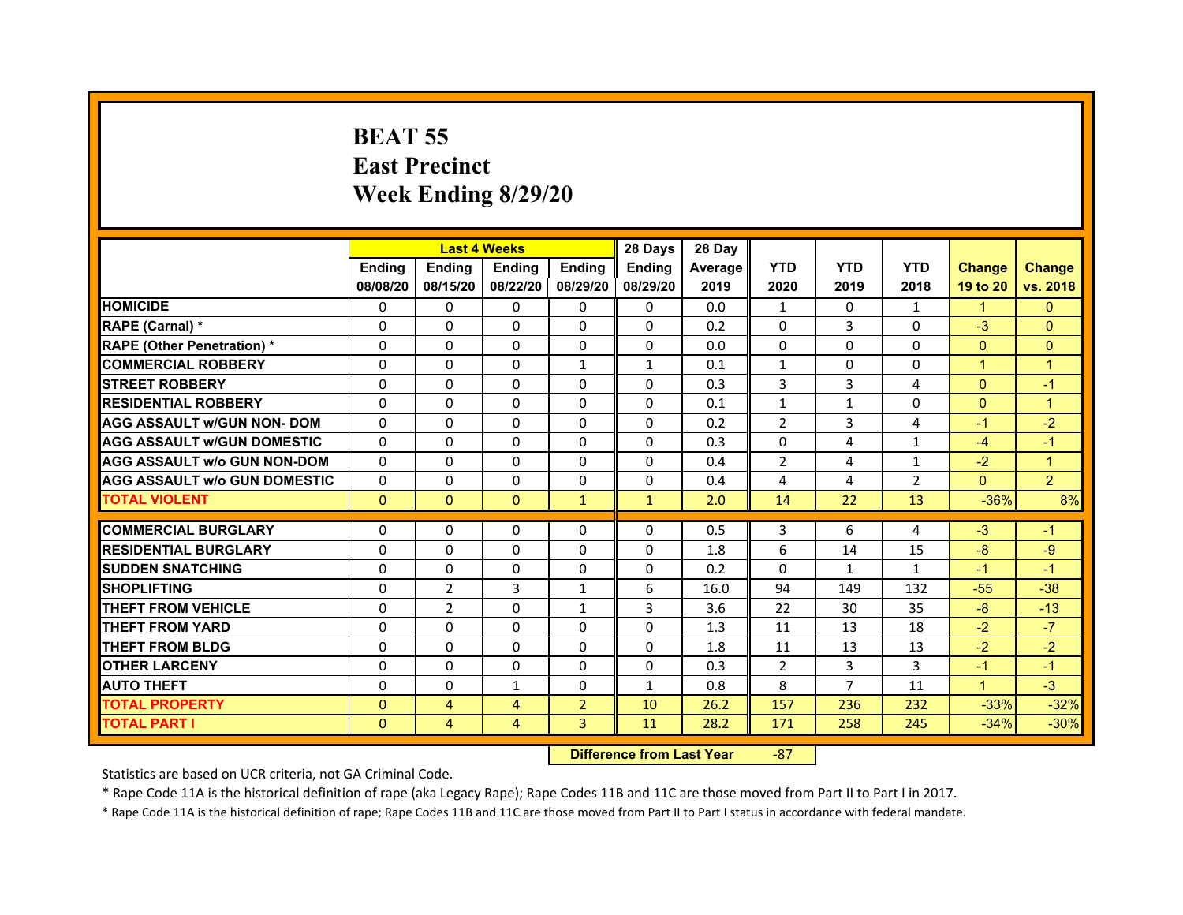# **BEAT 55East Precinct Week Ending 8/29/20**

|                                     |               |                | <b>Last 4 Weeks</b> |                | 28 Days       | 28 Day  |                |                |                |                      |                |
|-------------------------------------|---------------|----------------|---------------------|----------------|---------------|---------|----------------|----------------|----------------|----------------------|----------------|
|                                     | <b>Ending</b> | Ending         | <b>Endina</b>       | <b>Ending</b>  | <b>Endina</b> | Average | <b>YTD</b>     | <b>YTD</b>     | <b>YTD</b>     | <b>Change</b>        | <b>Change</b>  |
|                                     | 08/08/20      | 08/15/20       | 08/22/20            | 08/29/20       | 08/29/20      | 2019    | 2020           | 2019           | 2018           | 19 to 20             | vs. 2018       |
| <b>HOMICIDE</b>                     | $\Omega$      | $\mathbf{0}$   | 0                   | 0              | 0             | 0.0     | $\mathbf{1}$   | 0              | $\mathbf{1}$   | $\mathbf{1}$         | $\Omega$       |
| RAPE (Carnal) *                     | $\Omega$      | $\Omega$       | $\Omega$            | $\Omega$       | $\Omega$      | 0.2     | $\Omega$       | 3              | $\Omega$       | $-3$                 | $\Omega$       |
| <b>RAPE (Other Penetration)*</b>    | $\Omega$      | $\Omega$       | 0                   | 0              | 0             | 0.0     | $\Omega$       | 0              | 0              | $\Omega$             | $\Omega$       |
| <b>COMMERCIAL ROBBERY</b>           | $\Omega$      | $\Omega$       | $\Omega$            | 1              | 1             | 0.1     | 1              | $\Omega$       | $\Omega$       | $\blacktriangleleft$ | $\mathbf{1}$   |
| <b>STREET ROBBERY</b>               | $\Omega$      | $\Omega$       | $\Omega$            | $\Omega$       | $\Omega$      | 0.3     | 3              | 3              | $\overline{4}$ | $\Omega$             | $-1$           |
| <b>RESIDENTIAL ROBBERY</b>          | $\Omega$      | $\Omega$       | $\Omega$            | $\Omega$       | $\Omega$      | 0.1     | $\mathbf{1}$   | $\mathbf{1}$   | $\Omega$       | $\mathbf{0}$         | $\mathbf{1}$   |
| <b>AGG ASSAULT W/GUN NON- DOM</b>   | $\Omega$      | $\Omega$       | $\Omega$            | $\Omega$       | $\Omega$      | 0.2     | $\overline{2}$ | 3              | 4              | $-1$                 | $-2$           |
| <b>AGG ASSAULT W/GUN DOMESTIC</b>   | $\Omega$      | $\Omega$       | $\Omega$            | $\Omega$       | $\Omega$      | 0.3     | $\Omega$       | 4              | $\mathbf{1}$   | $-4$                 | $-1$           |
| <b>AGG ASSAULT W/o GUN NON-DOM</b>  | $\Omega$      | $\Omega$       | $\Omega$            | $\Omega$       | $\Omega$      | 0.4     | $\overline{2}$ | 4              | 1              | $-2$                 | $\mathbf{1}$   |
| <b>AGG ASSAULT W/o GUN DOMESTIC</b> | $\Omega$      | $\Omega$       | $\Omega$            | $\Omega$       | $\Omega$      | 0.4     | 4              | 4              | $\overline{2}$ | $\Omega$             | $\overline{2}$ |
| <b>TOTAL VIOLENT</b>                | $\mathbf{0}$  | $\mathbf{0}$   | $\Omega$            | $\mathbf{1}$   | $\mathbf{1}$  | 2.0     | 14             | 22             | 13             | $-36%$               | 8%             |
|                                     |               |                |                     |                |               |         |                |                |                |                      |                |
| <b>COMMERCIAL BURGLARY</b>          | $\Omega$      | 0              | 0                   | 0              | 0             | 0.5     | 3              | 6              | 4              | $-3$                 | $-1$           |
| <b>RESIDENTIAL BURGLARY</b>         | $\Omega$      | $\Omega$       | $\Omega$            | $\Omega$       | 0             | 1.8     | 6              | 14             | 15             | $-8$                 | $-9$           |
| <b>SUDDEN SNATCHING</b>             | $\Omega$      | $\Omega$       | 0                   | 0              | 0             | 0.2     | 0              | $\mathbf{1}$   | $\mathbf{1}$   | $-1$                 | $-1$           |
| <b>SHOPLIFTING</b>                  | $\Omega$      | $\overline{2}$ | 3                   | $\mathbf{1}$   | 6             | 16.0    | 94             | 149            | 132            | $-55$                | $-38$          |
| <b>THEFT FROM VEHICLE</b>           | $\Omega$      | $\overline{2}$ | $\Omega$            | $\mathbf{1}$   | 3             | 3.6     | 22             | 30             | 35             | $-8$                 | $-13$          |
| <b>THEFT FROM YARD</b>              | $\Omega$      | $\Omega$       | $\Omega$            | $\Omega$       | $\Omega$      | 1.3     | 11             | 13             | 18             | $-2$                 | $-7$           |
| <b>THEFT FROM BLDG</b>              | $\Omega$      | $\Omega$       | $\Omega$            | $\Omega$       | $\Omega$      | 1.8     | 11             | 13             | 13             | $-2$                 | $-2$           |
| <b>OTHER LARCENY</b>                | $\Omega$      | $\Omega$       | $\Omega$            | $\Omega$       | $\Omega$      | 0.3     | $\overline{2}$ | $\overline{3}$ | 3              | $-1$                 | $-1$           |
| <b>AUTO THEFT</b>                   | $\Omega$      | $\Omega$       | $\mathbf{1}$        | $\Omega$       | $\mathbf{1}$  | 0.8     | 8              | $\overline{7}$ | 11             | $\mathbf{1}$         | $-3$           |
| <b>TOTAL PROPERTY</b>               | $\Omega$      | 4              | $\overline{4}$      | $\overline{2}$ | 10            | 26.2    | 157            | 236            | 232            | $-33%$               | $-32%$         |
| <b>TOTAL PART I</b>                 | $\mathbf{0}$  | $\overline{4}$ | 4                   | 3              | 11            | 28.2    | 171            | 258            | 245            | $-34%$               | $-30%$         |

 **Difference from Last Year**‐87

Statistics are based on UCR criteria, not GA Criminal Code.

\* Rape Code 11A is the historical definition of rape (aka Legacy Rape); Rape Codes 11B and 11C are those moved from Part II to Part I in 2017.